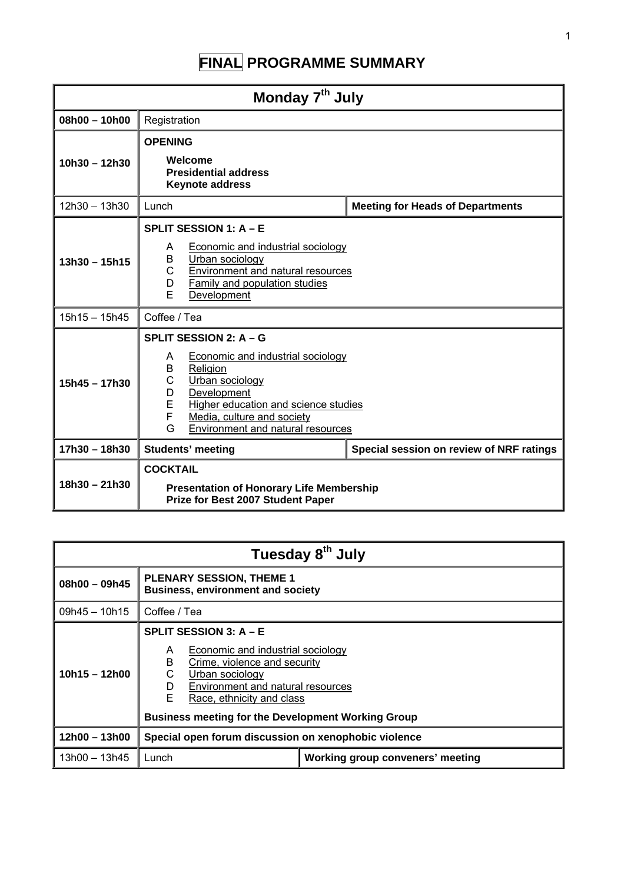# **FINAL PROGRAMME SUMMARY**

| Monday 7 <sup>th</sup> July |                                                                                                                                                                                                                                                                |                                         |  |
|-----------------------------|----------------------------------------------------------------------------------------------------------------------------------------------------------------------------------------------------------------------------------------------------------------|-----------------------------------------|--|
| $08h00 - 10h00$             | Registration                                                                                                                                                                                                                                                   |                                         |  |
|                             | <b>OPENING</b>                                                                                                                                                                                                                                                 |                                         |  |
| $10h30 - 12h30$             | Welcome<br><b>Presidential address</b><br><b>Keynote address</b>                                                                                                                                                                                               |                                         |  |
| 12h30 - 13h30               | Lunch                                                                                                                                                                                                                                                          | <b>Meeting for Heads of Departments</b> |  |
| $13h30 - 15h15$             | <b>SPLIT SESSION 1: A - E</b><br><b>Economic and industrial sociology</b><br>A<br>Urban sociology<br>B<br>C<br>Environment and natural resources<br>D<br><b>Family and population studies</b><br>E<br>Development                                              |                                         |  |
| $15h15 - 15h45$             | Coffee / Tea                                                                                                                                                                                                                                                   |                                         |  |
| $15h45 - 17h30$             | SPLIT SESSION 2: A - G<br><b>Economic and industrial sociology</b><br>A<br>B<br>Religion<br>C<br>Urban sociology<br>Development<br>D<br>E<br>Higher education and science studies<br>F<br>Media, culture and society<br>G<br>Environment and natural resources |                                         |  |
| 17h30 - 18h30               | Special session on review of NRF ratings<br><b>Students' meeting</b>                                                                                                                                                                                           |                                         |  |
| $18h30 - 21h30$             | <b>COCKTAIL</b><br><b>Presentation of Honorary Life Membership</b><br>Prize for Best 2007 Student Paper                                                                                                                                                        |                                         |  |

| Tuesday 8 <sup>th</sup> July |                                                                                                                                                                                                                                                                               |  |
|------------------------------|-------------------------------------------------------------------------------------------------------------------------------------------------------------------------------------------------------------------------------------------------------------------------------|--|
| $08h00 - 09h45$              | <b>PLENARY SESSION, THEME 1</b><br><b>Business, environment and society</b>                                                                                                                                                                                                   |  |
| $09h45 - 10h15$              | Coffee / Tea                                                                                                                                                                                                                                                                  |  |
| $10h15 - 12h00$              | <b>SPLIT SESSION 3: A - E</b><br>Economic and industrial sociology<br>A<br>B<br>Crime, violence and security<br>С<br>Urban sociology<br>Environment and natural resources<br>D<br>F<br>Race, ethnicity and class<br><b>Business meeting for the Development Working Group</b> |  |
| $12h00 - 13h00$              | Special open forum discussion on xenophobic violence                                                                                                                                                                                                                          |  |
| $13h00 - 13h45$              | Working group conveners' meeting<br>Lunch                                                                                                                                                                                                                                     |  |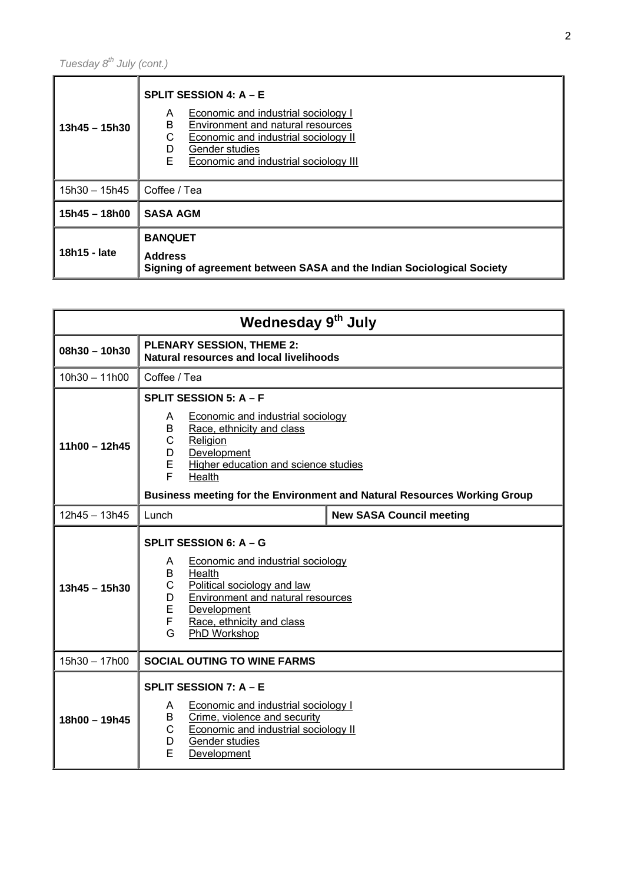| $13h45 - 15h30$ | SPLIT SESSION 4: $A - E$<br>Economic and industrial sociology I<br>A<br>B<br>Environment and natural resources<br>С<br>Economic and industrial sociology II<br>Gender studies<br>D<br>E<br>Economic and industrial sociology III |
|-----------------|----------------------------------------------------------------------------------------------------------------------------------------------------------------------------------------------------------------------------------|
| 15h30 - 15h45   | Coffee / Tea                                                                                                                                                                                                                     |
| $15h45 - 18h00$ | <b>SASA AGM</b>                                                                                                                                                                                                                  |
| 18h15 - late    | <b>BANQUET</b><br><b>Address</b><br>Signing of agreement between SASA and the Indian Sociological Society                                                                                                                        |

| Wednesday 9th July |                                                                                                                                                                                                                                                                                  |  |
|--------------------|----------------------------------------------------------------------------------------------------------------------------------------------------------------------------------------------------------------------------------------------------------------------------------|--|
| $08h30 - 10h30$    | <b>PLENARY SESSION, THEME 2:</b><br><b>Natural resources and local livelihoods</b>                                                                                                                                                                                               |  |
| $10h30 - 11h00$    | Coffee / Tea                                                                                                                                                                                                                                                                     |  |
| $11h00 - 12h45$    | SPLIT SESSION 5: A - F<br>Economic and industrial sociology<br>A<br>Race, ethnicity and class<br>B<br>С<br>Religion<br>Development<br>D<br>E<br>Higher education and science studies<br>F.<br>Health<br>Business meeting for the Environment and Natural Resources Working Group |  |
| $12h45 - 13h45$    | <b>New SASA Council meeting</b><br>Lunch                                                                                                                                                                                                                                         |  |
| $13h45 - 15h30$    | SPLIT SESSION 6: A - G<br><b>Economic and industrial sociology</b><br>A<br>B<br>Health<br>C<br>Political sociology and law<br>Environment and natural resources<br>D<br>E<br>Development<br>F<br>Race, ethnicity and class<br>G<br>PhD Workshop                                  |  |
| 15h30 - 17h00      | <b>SOCIAL OUTING TO WINE FARMS</b>                                                                                                                                                                                                                                               |  |
| $18h00 - 19h45$    | SPLIT SESSION 7: A - E<br><b>Economic and industrial sociology I</b><br>A<br>Crime, violence and security<br>B<br><b>Economic and industrial sociology II</b><br>C<br>Gender studies<br>D.<br>E<br>Development                                                                   |  |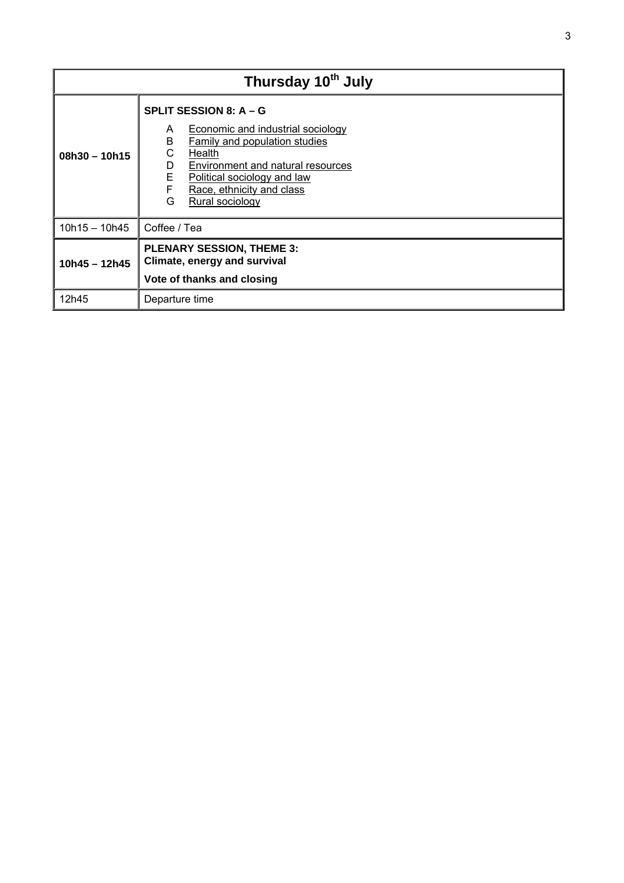| Thursday 10 <sup>th</sup> July |                                                                                                                                                                                                                                                                             |  |
|--------------------------------|-----------------------------------------------------------------------------------------------------------------------------------------------------------------------------------------------------------------------------------------------------------------------------|--|
| $08h30 - 10h15$                | SPLIT SESSION 8: A - G<br><b>Economic and industrial sociology</b><br>A<br>B<br><b>Family and population studies</b><br>С<br>Health<br>Environment and natural resources<br>D<br>E<br>Political sociology and law<br>F<br>Race, ethnicity and class<br>G<br>Rural sociology |  |
| $10h15 - 10h45$                | Coffee / Tea                                                                                                                                                                                                                                                                |  |
| $10h45 - 12h45$                | <b>PLENARY SESSION, THEME 3:</b><br>Climate, energy and survival<br>Vote of thanks and closing                                                                                                                                                                              |  |
| 12h45                          | Departure time                                                                                                                                                                                                                                                              |  |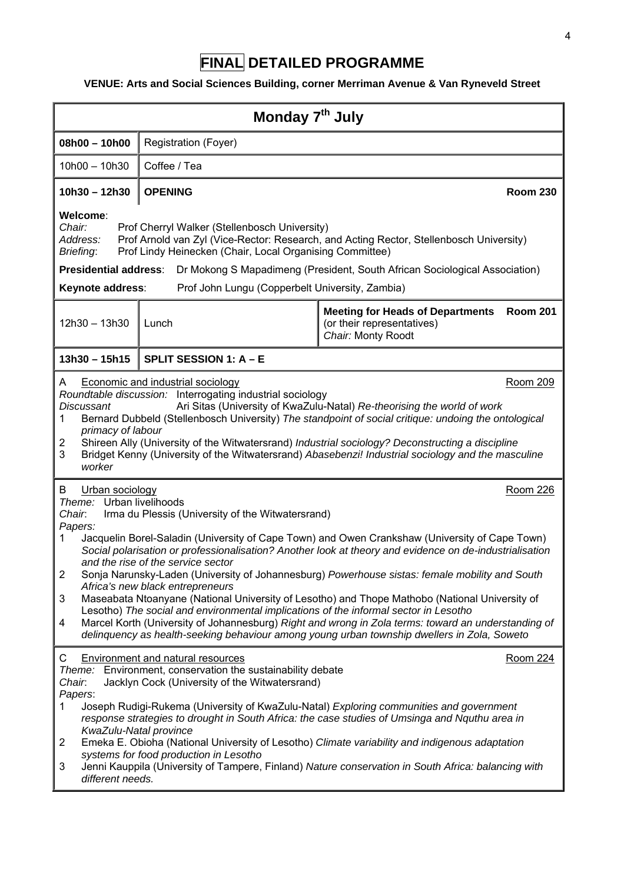## **FINAL DETAILED PROGRAMME**

### **VENUE: Arts and Social Sciences Building, corner Merriman Avenue & Van Ryneveld Street**

| Monday 7 <sup>th</sup> July                                                                                                                                                                                                                                                                                                                                                                                                                                                                                                                                                                                                                                                                                                                                                                                                                                                                                                  |                                                                                                           |                                                                                                                |
|------------------------------------------------------------------------------------------------------------------------------------------------------------------------------------------------------------------------------------------------------------------------------------------------------------------------------------------------------------------------------------------------------------------------------------------------------------------------------------------------------------------------------------------------------------------------------------------------------------------------------------------------------------------------------------------------------------------------------------------------------------------------------------------------------------------------------------------------------------------------------------------------------------------------------|-----------------------------------------------------------------------------------------------------------|----------------------------------------------------------------------------------------------------------------|
| $08h00 - 10h00$                                                                                                                                                                                                                                                                                                                                                                                                                                                                                                                                                                                                                                                                                                                                                                                                                                                                                                              | Registration (Foyer)                                                                                      |                                                                                                                |
| $10h00 - 10h30$                                                                                                                                                                                                                                                                                                                                                                                                                                                                                                                                                                                                                                                                                                                                                                                                                                                                                                              | Coffee / Tea                                                                                              |                                                                                                                |
| $10h30 - 12h30$                                                                                                                                                                                                                                                                                                                                                                                                                                                                                                                                                                                                                                                                                                                                                                                                                                                                                                              | <b>OPENING</b>                                                                                            | <b>Room 230</b>                                                                                                |
| Welcome:<br>Chair:<br>Address:<br>Briefing:                                                                                                                                                                                                                                                                                                                                                                                                                                                                                                                                                                                                                                                                                                                                                                                                                                                                                  | Prof Cherryl Walker (Stellenbosch University)<br>Prof Lindy Heinecken (Chair, Local Organising Committee) | Prof Arnold van Zyl (Vice-Rector: Research, and Acting Rector, Stellenbosch University)                        |
| <b>Presidential address:</b><br>Keynote address:                                                                                                                                                                                                                                                                                                                                                                                                                                                                                                                                                                                                                                                                                                                                                                                                                                                                             | Prof John Lungu (Copperbelt University, Zambia)                                                           | Dr Mokong S Mapadimeng (President, South African Sociological Association)                                     |
| 12h30 - 13h30                                                                                                                                                                                                                                                                                                                                                                                                                                                                                                                                                                                                                                                                                                                                                                                                                                                                                                                | Lunch                                                                                                     | <b>Meeting for Heads of Departments</b><br><b>Room 201</b><br>(or their representatives)<br>Chair: Monty Roodt |
| $13h30 - 15h15$                                                                                                                                                                                                                                                                                                                                                                                                                                                                                                                                                                                                                                                                                                                                                                                                                                                                                                              | SPLIT SESSION 1: A - E                                                                                    |                                                                                                                |
| <b>Economic and industrial sociology</b><br>Room 209<br>A<br>Roundtable discussion: Interrogating industrial sociology<br>Ari Sitas (University of KwaZulu-Natal) Re-theorising the world of work<br><b>Discussant</b><br>Bernard Dubbeld (Stellenbosch University) The standpoint of social critique: undoing the ontological<br>1<br>primacy of labour<br>Shireen Ally (University of the Witwatersrand) Industrial sociology? Deconstructing a discipline<br>2<br>Bridget Kenny (University of the Witwatersrand) Abasebenzi! Industrial sociology and the masculine<br>3<br>worker<br>B<br>Room 226<br>Urban sociology                                                                                                                                                                                                                                                                                                   |                                                                                                           |                                                                                                                |
| Theme: Urban livelihoods<br>Chair.<br>Irma du Plessis (University of the Witwatersrand)<br>Papers:<br>Jacquelin Borel-Saladin (University of Cape Town) and Owen Crankshaw (University of Cape Town)<br>1<br>Social polarisation or professionalisation? Another look at theory and evidence on de-industrialisation<br>and the rise of the service sector<br>$\overline{2}$<br>Sonja Narunsky-Laden (University of Johannesburg) Powerhouse sistas: female mobility and South<br>Africa's new black entrepreneurs<br>Maseabata Ntoanyane (National University of Lesotho) and Thope Mathobo (National University of<br>3<br>Lesotho) The social and environmental implications of the informal sector in Lesotho<br>Marcel Korth (University of Johannesburg) Right and wrong in Zola terms: toward an understanding of<br>4<br>delinquency as health-seeking behaviour among young urban township dwellers in Zola, Soweto |                                                                                                           |                                                                                                                |
| <b>Environment and natural resources</b><br><b>Room 224</b><br>C<br>Theme: Environment, conservation the sustainability debate<br>Jacklyn Cock (University of the Witwatersrand)<br>Chair.<br>Papers:<br>Joseph Rudigi-Rukema (University of KwaZulu-Natal) Exploring communities and government<br>1<br>response strategies to drought in South Africa: the case studies of Umsinga and Nguthu area in<br>KwaZulu-Natal province<br>Emeka E. Obioha (National University of Lesotho) Climate variability and indigenous adaptation<br>2<br>systems for food production in Lesotho<br>Jenni Kauppila (University of Tampere, Finland) Nature conservation in South Africa: balancing with<br>3<br>different needs.                                                                                                                                                                                                           |                                                                                                           |                                                                                                                |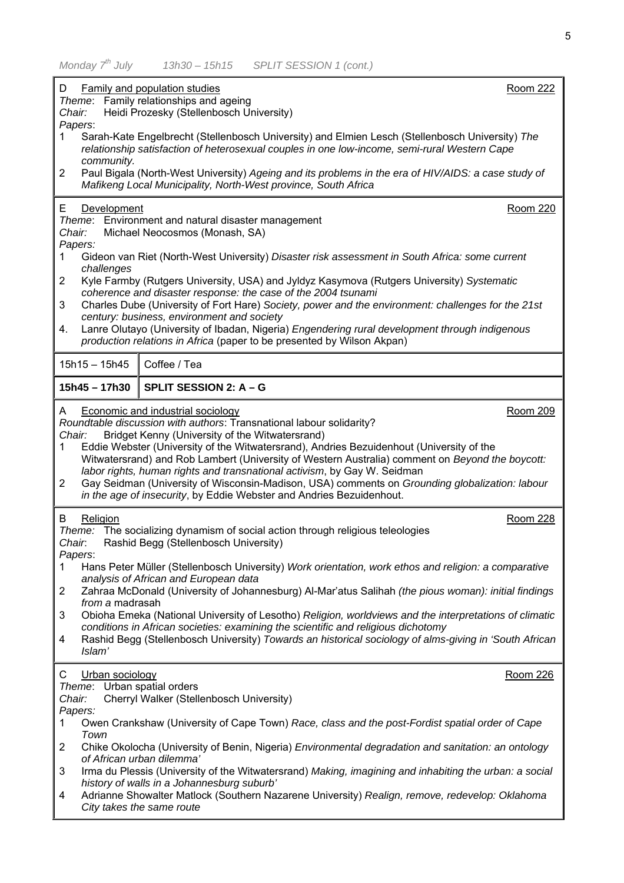| D<br>Chair:                                                                                           | <b>Family and population studies</b><br>Theme: Family relationships and ageing<br>Heidi Prozesky (Stellenbosch University)                                                                                                                                                                                                                                                                                                                                                                                                                                                                                                                                                                | <b>Room 222</b> |
|-------------------------------------------------------------------------------------------------------|-------------------------------------------------------------------------------------------------------------------------------------------------------------------------------------------------------------------------------------------------------------------------------------------------------------------------------------------------------------------------------------------------------------------------------------------------------------------------------------------------------------------------------------------------------------------------------------------------------------------------------------------------------------------------------------------|-----------------|
| 1<br>community.                                                                                       | Papers:<br>Sarah-Kate Engelbrecht (Stellenbosch University) and Elmien Lesch (Stellenbosch University) The<br>relationship satisfaction of heterosexual couples in one low-income, semi-rural Western Cape                                                                                                                                                                                                                                                                                                                                                                                                                                                                                |                 |
| 2                                                                                                     | Paul Bigala (North-West University) Ageing and its problems in the era of HIV/AIDS: a case study of<br>Mafikeng Local Municipality, North-West province, South Africa                                                                                                                                                                                                                                                                                                                                                                                                                                                                                                                     |                 |
| Development<br>Е.<br>Chair:<br>Papers:<br>1.<br>challenges<br>$\overline{2}$                          | Theme: Environment and natural disaster management<br>Michael Neocosmos (Monash, SA)<br>Gideon van Riet (North-West University) Disaster risk assessment in South Africa: some current<br>Kyle Farmby (Rutgers University, USA) and Jyldyz Kasymova (Rutgers University) Systematic                                                                                                                                                                                                                                                                                                                                                                                                       | Room 220        |
| 3<br>4.                                                                                               | coherence and disaster response: the case of the 2004 tsunami<br>Charles Dube (University of Fort Hare) Society, power and the environment: challenges for the 21st<br>century: business, environment and society<br>Lanre Olutayo (University of Ibadan, Nigeria) Engendering rural development through indigenous<br>production relations in Africa (paper to be presented by Wilson Akpan)                                                                                                                                                                                                                                                                                             |                 |
| $15h15 - 15h45$                                                                                       | Coffee / Tea                                                                                                                                                                                                                                                                                                                                                                                                                                                                                                                                                                                                                                                                              |                 |
| 15h45 - 17h30                                                                                         | SPLIT SESSION 2: A - G                                                                                                                                                                                                                                                                                                                                                                                                                                                                                                                                                                                                                                                                    |                 |
| A<br>Chair:<br>1.<br>2                                                                                | <b>Economic and industrial sociology</b><br>Roundtable discussion with authors: Transnational labour solidarity?<br>Bridget Kenny (University of the Witwatersrand)<br>Eddie Webster (University of the Witwatersrand), Andries Bezuidenhout (University of the<br>Witwatersrand) and Rob Lambert (University of Western Australia) comment on Beyond the boycott:<br>labor rights, human rights and transnational activism, by Gay W. Seidman<br>Gay Seidman (University of Wisconsin-Madison, USA) comments on Grounding globalization: labour<br>in the age of insecurity, by Eddie Webster and Andries Bezuidenhout.                                                                  | Room 209        |
| Religion<br>B<br>Chair.<br>Papers:<br>1<br>2<br>from a madrasah<br>3<br>4<br>Islam'                   | Theme: The socializing dynamism of social action through religious teleologies<br>Rashid Begg (Stellenbosch University)<br>Hans Peter Müller (Stellenbosch University) Work orientation, work ethos and religion: a comparative<br>analysis of African and European data<br>Zahraa McDonald (University of Johannesburg) Al-Mar'atus Salihah (the pious woman): initial findings<br>Obioha Emeka (National University of Lesotho) Religion, worldviews and the interpretations of climatic<br>conditions in African societies: examining the scientific and religious dichotomy<br>Rashid Begg (Stellenbosch University) Towards an historical sociology of alms-giving in 'South African | Room 228        |
| C<br>Urban sociology<br>Theme: Urban spatial orders<br>Chair:<br>Papers:<br>1.<br>Town<br>2<br>3<br>4 | Cherryl Walker (Stellenbosch University)<br>Owen Crankshaw (University of Cape Town) Race, class and the post-Fordist spatial order of Cape<br>Chike Okolocha (University of Benin, Nigeria) Environmental degradation and sanitation: an ontology<br>of African urban dilemma'<br>Irma du Plessis (University of the Witwatersrand) Making, imagining and inhabiting the urban: a social<br>history of walls in a Johannesburg suburb'<br>Adrianne Showalter Matlock (Southern Nazarene University) Realign, remove, redevelop: Oklahoma<br>City takes the same route                                                                                                                    | <b>Room 226</b> |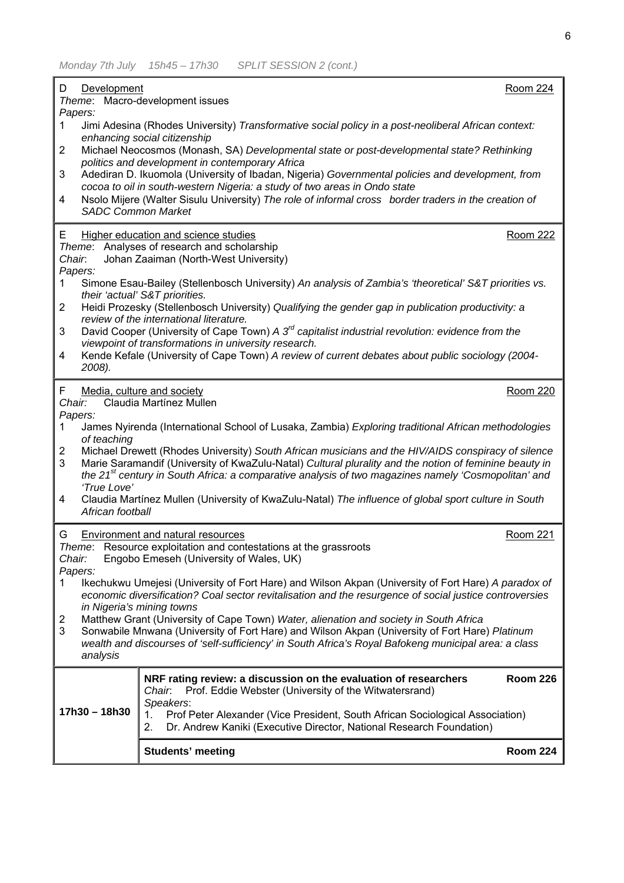| D<br>Development                                                                                                                                                                                                                                                                                                                          | <b>Room 224</b> |
|-------------------------------------------------------------------------------------------------------------------------------------------------------------------------------------------------------------------------------------------------------------------------------------------------------------------------------------------|-----------------|
| Theme: Macro-development issues<br>Papers:                                                                                                                                                                                                                                                                                                |                 |
| Jimi Adesina (Rhodes University) Transformative social policy in a post-neoliberal African context:<br>1.                                                                                                                                                                                                                                 |                 |
| enhancing social citizenship<br>Michael Neocosmos (Monash, SA) Developmental state or post-developmental state? Rethinking<br>$\overline{2}$                                                                                                                                                                                              |                 |
| politics and development in contemporary Africa<br>Adediran D. Ikuomola (University of Ibadan, Nigeria) Governmental policies and development, from<br>3                                                                                                                                                                                  |                 |
| cocoa to oil in south-western Nigeria: a study of two areas in Ondo state<br>Nsolo Mijere (Walter Sisulu University) The role of informal cross border traders in the creation of<br>4                                                                                                                                                    |                 |
| <b>SADC Common Market</b>                                                                                                                                                                                                                                                                                                                 |                 |
| Higher education and science studies<br>E.<br>Theme: Analyses of research and scholarship                                                                                                                                                                                                                                                 | <b>Room 222</b> |
| Johan Zaaiman (North-West University)<br>Chair.                                                                                                                                                                                                                                                                                           |                 |
| Papers:<br>Simone Esau-Bailey (Stellenbosch University) An analysis of Zambia's 'theoretical' S&T priorities vs.<br>1.                                                                                                                                                                                                                    |                 |
| their 'actual' S&T priorities.<br>Heidi Prozesky (Stellenbosch University) Qualifying the gender gap in publication productivity: a<br>$\overline{2}$                                                                                                                                                                                     |                 |
| review of the international literature.<br>David Cooper (University of Cape Town) A 3 <sup>rd</sup> capitalist industrial revolution: evidence from the<br>3                                                                                                                                                                              |                 |
| viewpoint of transformations in university research.                                                                                                                                                                                                                                                                                      |                 |
| Kende Kefale (University of Cape Town) A review of current debates about public sociology (2004-<br>4<br>2008).                                                                                                                                                                                                                           |                 |
| Media, culture and society<br>F.                                                                                                                                                                                                                                                                                                          | <b>Room 220</b> |
| Claudia Martínez Mullen<br>Chair:<br>Papers:                                                                                                                                                                                                                                                                                              |                 |
| James Nyirenda (International School of Lusaka, Zambia) Exploring traditional African methodologies<br>1.<br>of teaching                                                                                                                                                                                                                  |                 |
| Michael Drewett (Rhodes University) South African musicians and the HIV/AIDS conspiracy of silence<br>2<br>Marie Saramandif (University of KwaZulu-Natal) Cultural plurality and the notion of feminine beauty in<br>3<br>the 21 <sup>st</sup> century in South Africa: a comparative analysis of two magazines namely 'Cosmopolitan' and |                 |
| 'True Love'<br>Claudia Martínez Mullen (University of KwaZulu-Natal) The influence of global sport culture in South<br>4                                                                                                                                                                                                                  |                 |
| African football                                                                                                                                                                                                                                                                                                                          |                 |
| Environment and natural resources<br>G<br>Resource exploitation and contestations at the grassroots<br>Theme:                                                                                                                                                                                                                             | <b>Room 221</b> |
| Engobo Emeseh (University of Wales, UK)<br>Chair:                                                                                                                                                                                                                                                                                         |                 |
| Papers:<br>Ikechukwu Umejesi (University of Fort Hare) and Wilson Akpan (University of Fort Hare) A paradox of<br>1.                                                                                                                                                                                                                      |                 |
| economic diversification? Coal sector revitalisation and the resurgence of social justice controversies<br>in Nigeria's mining towns                                                                                                                                                                                                      |                 |
| Matthew Grant (University of Cape Town) Water, alienation and society in South Africa<br>2<br>3<br>Sonwabile Mnwana (University of Fort Hare) and Wilson Akpan (University of Fort Hare) Platinum                                                                                                                                         |                 |
| wealth and discourses of 'self-sufficiency' in South Africa's Royal Bafokeng municipal area: a class<br>analysis                                                                                                                                                                                                                          |                 |
| NRF rating review: a discussion on the evaluation of researchers                                                                                                                                                                                                                                                                          | <b>Room 226</b> |
| Prof. Eddie Webster (University of the Witwatersrand)<br>Chair.<br>Speakers:                                                                                                                                                                                                                                                              |                 |
| 17h30 - 18h30<br>Prof Peter Alexander (Vice President, South African Sociological Association)<br>1.<br>2.<br>Dr. Andrew Kaniki (Executive Director, National Research Foundation)                                                                                                                                                        |                 |
| <b>Students' meeting</b>                                                                                                                                                                                                                                                                                                                  | <b>Room 224</b> |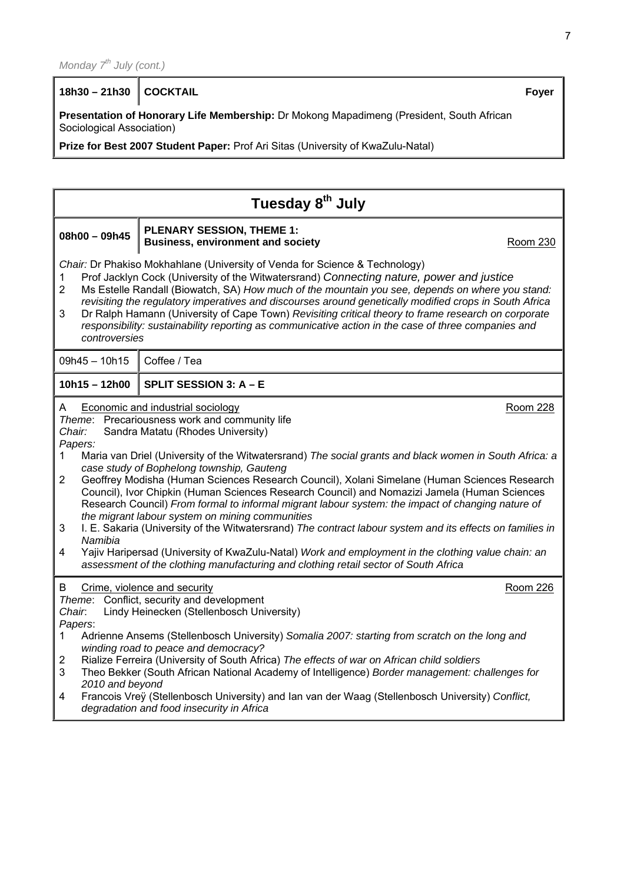**18h30 – 21h30 COCKTAIL Foyer**

**Presentation of Honorary Life Membership:** Dr Mokong Mapadimeng (President, South African Sociological Association)

**Prize for Best 2007 Student Paper:** Prof Ari Sitas (University of KwaZulu-Natal)

| Tuesday 8 <sup>th</sup> July                                  |                                                                                                                                                                                                                                                                                                                                                                                                                                                                                                                                                                                                                                                                                                                                                                                                                                                                                                                                                         |                 |
|---------------------------------------------------------------|---------------------------------------------------------------------------------------------------------------------------------------------------------------------------------------------------------------------------------------------------------------------------------------------------------------------------------------------------------------------------------------------------------------------------------------------------------------------------------------------------------------------------------------------------------------------------------------------------------------------------------------------------------------------------------------------------------------------------------------------------------------------------------------------------------------------------------------------------------------------------------------------------------------------------------------------------------|-----------------|
| $08h00 - 09h45$                                               | <b>PLENARY SESSION, THEME 1:</b><br><b>Business, environment and society</b>                                                                                                                                                                                                                                                                                                                                                                                                                                                                                                                                                                                                                                                                                                                                                                                                                                                                            | Room 230        |
| 1<br>$\overline{2}$<br>3<br>controversies                     | Chair: Dr Phakiso Mokhahlane (University of Venda for Science & Technology)<br>Prof Jacklyn Cock (University of the Witwatersrand) Connecting nature, power and justice<br>Ms Estelle Randall (Biowatch, SA) How much of the mountain you see, depends on where you stand:<br>revisiting the regulatory imperatives and discourses around genetically modified crops in South Africa<br>Dr Ralph Hamann (University of Cape Town) Revisiting critical theory to frame research on corporate<br>responsibility: sustainability reporting as communicative action in the case of three companies and                                                                                                                                                                                                                                                                                                                                                      |                 |
| 09h45 - 10h15                                                 | Coffee / Tea                                                                                                                                                                                                                                                                                                                                                                                                                                                                                                                                                                                                                                                                                                                                                                                                                                                                                                                                            |                 |
| $10h15 - 12h00$                                               | SPLIT SESSION 3: A - E                                                                                                                                                                                                                                                                                                                                                                                                                                                                                                                                                                                                                                                                                                                                                                                                                                                                                                                                  |                 |
| A<br>Chair:<br>Papers:<br>1<br>2<br>3<br>Namibia<br>4         | <b>Economic and industrial sociology</b><br>Theme: Precariousness work and community life<br>Sandra Matatu (Rhodes University)<br>Maria van Driel (University of the Witwatersrand) The social grants and black women in South Africa: a<br>case study of Bophelong township, Gauteng<br>Geoffrey Modisha (Human Sciences Research Council), Xolani Simelane (Human Sciences Research<br>Council), Ivor Chipkin (Human Sciences Research Council) and Nomazizi Jamela (Human Sciences<br>Research Council) From formal to informal migrant labour system: the impact of changing nature of<br>the migrant labour system on mining communities<br>I. E. Sakaria (University of the Witwatersrand) The contract labour system and its effects on families in<br>Yajiv Haripersad (University of KwaZulu-Natal) Work and employment in the clothing value chain: an<br>assessment of the clothing manufacturing and clothing retail sector of South Africa | Room 228        |
| B<br>Chair.<br>Papers:<br>1<br>2<br>3<br>2010 and beyond<br>4 | Crime, violence and security<br>Theme: Conflict, security and development<br>Lindy Heinecken (Stellenbosch University)<br>Adrienne Ansems (Stellenbosch University) Somalia 2007: starting from scratch on the long and<br>winding road to peace and democracy?<br>Rialize Ferreira (University of South Africa) The effects of war on African child soldiers<br>Theo Bekker (South African National Academy of Intelligence) Border management: challenges for<br>Francois Vreÿ (Stellenbosch University) and Ian van der Waag (Stellenbosch University) Conflict,<br>degradation and food insecurity in Africa                                                                                                                                                                                                                                                                                                                                        | <b>Room 226</b> |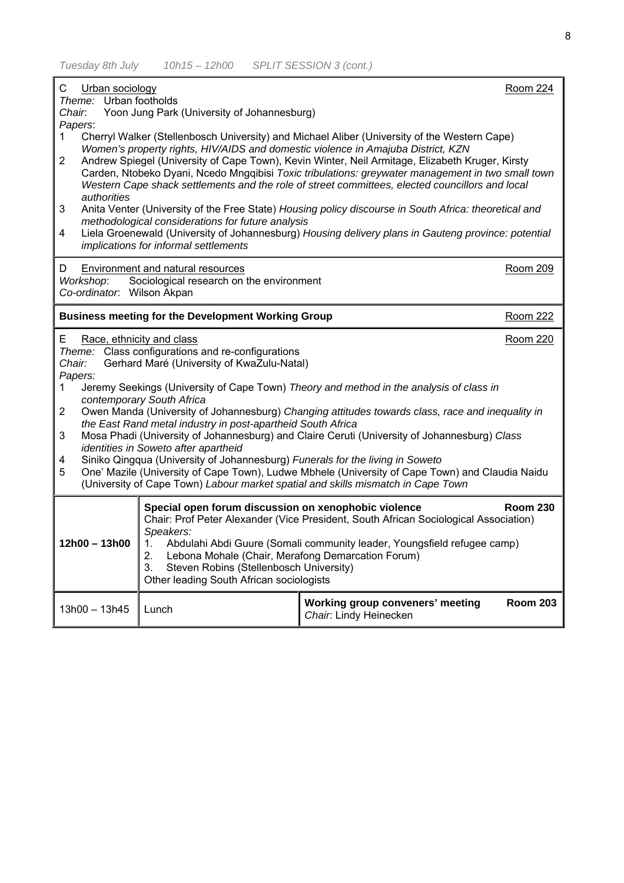| С<br>Urban sociology<br>Theme: Urban footholds                                                                                                                                           |                                                                                                                                                            |                                                                                                                                                                                                                                                                                                         | Room 224        |
|------------------------------------------------------------------------------------------------------------------------------------------------------------------------------------------|------------------------------------------------------------------------------------------------------------------------------------------------------------|---------------------------------------------------------------------------------------------------------------------------------------------------------------------------------------------------------------------------------------------------------------------------------------------------------|-----------------|
| Chair.<br>Papers:                                                                                                                                                                        | Yoon Jung Park (University of Johannesburg)                                                                                                                |                                                                                                                                                                                                                                                                                                         |                 |
| 1.                                                                                                                                                                                       |                                                                                                                                                            | Cherryl Walker (Stellenbosch University) and Michael Aliber (University of the Western Cape)<br>Women's property rights, HIV/AIDS and domestic violence in Amajuba District, KZN                                                                                                                        |                 |
| $\overline{2}$<br>authorities                                                                                                                                                            |                                                                                                                                                            | Andrew Spiegel (University of Cape Town), Kevin Winter, Neil Armitage, Elizabeth Kruger, Kirsty<br>Carden, Ntobeko Dyani, Ncedo Mngqibisi Toxic tribulations: greywater management in two small town<br>Western Cape shack settlements and the role of street committees, elected councillors and local |                 |
| 3                                                                                                                                                                                        | methodological considerations for future analysis                                                                                                          | Anita Venter (University of the Free State) Housing policy discourse in South Africa: theoretical and                                                                                                                                                                                                   |                 |
| 4                                                                                                                                                                                        | implications for informal settlements                                                                                                                      | Liela Groenewald (University of Johannesburg) Housing delivery plans in Gauteng province: potential                                                                                                                                                                                                     |                 |
| D<br>Workshop:<br>Co-ordinator. Wilson Akpan                                                                                                                                             | Environment and natural resources<br>Sociological research on the environment                                                                              |                                                                                                                                                                                                                                                                                                         | Room 209        |
|                                                                                                                                                                                          | <b>Business meeting for the Development Working Group</b>                                                                                                  |                                                                                                                                                                                                                                                                                                         | Room 222        |
| Race, ethnicity and class<br><b>Room 220</b><br>Е<br>Theme: Class configurations and re-configurations<br>Gerhard Maré (University of KwaZulu-Natal)<br>Chair:                           |                                                                                                                                                            |                                                                                                                                                                                                                                                                                                         |                 |
| Papers:<br>1                                                                                                                                                                             |                                                                                                                                                            | Jeremy Seekings (University of Cape Town) Theory and method in the analysis of class in                                                                                                                                                                                                                 |                 |
| $\mathbf{2}$                                                                                                                                                                             | contemporary South Africa                                                                                                                                  | Owen Manda (University of Johannesburg) Changing attitudes towards class, race and inequality in                                                                                                                                                                                                        |                 |
| 3                                                                                                                                                                                        | the East Rand metal industry in post-apartheid South Africa                                                                                                | Mosa Phadi (University of Johannesburg) and Claire Ceruti (University of Johannesburg) Class                                                                                                                                                                                                            |                 |
| 4                                                                                                                                                                                        | identities in Soweto after apartheid<br>Siniko Qingqua (University of Johannesburg) Funerals for the living in Soweto                                      |                                                                                                                                                                                                                                                                                                         |                 |
| One' Mazile (University of Cape Town), Ludwe Mbhele (University of Cape Town) and Claudia Naidu<br>5<br>(University of Cape Town) Labour market spatial and skills mismatch in Cape Town |                                                                                                                                                            |                                                                                                                                                                                                                                                                                                         |                 |
|                                                                                                                                                                                          | Special open forum discussion on xenophobic violence<br>Speakers:                                                                                          | Chair: Prof Peter Alexander (Vice President, South African Sociological Association)                                                                                                                                                                                                                    | <b>Room 230</b> |
| $12h00 - 13h00$                                                                                                                                                                          | 1.<br>Lebona Mohale (Chair, Merafong Demarcation Forum)<br>2.<br>Steven Robins (Stellenbosch University)<br>3.<br>Other leading South African sociologists | Abdulahi Abdi Guure (Somali community leader, Youngsfield refugee camp)                                                                                                                                                                                                                                 |                 |
| $13h00 - 13h45$                                                                                                                                                                          | Lunch                                                                                                                                                      | Working group conveners' meeting<br>Chair: Lindy Heinecken                                                                                                                                                                                                                                              | <b>Room 203</b> |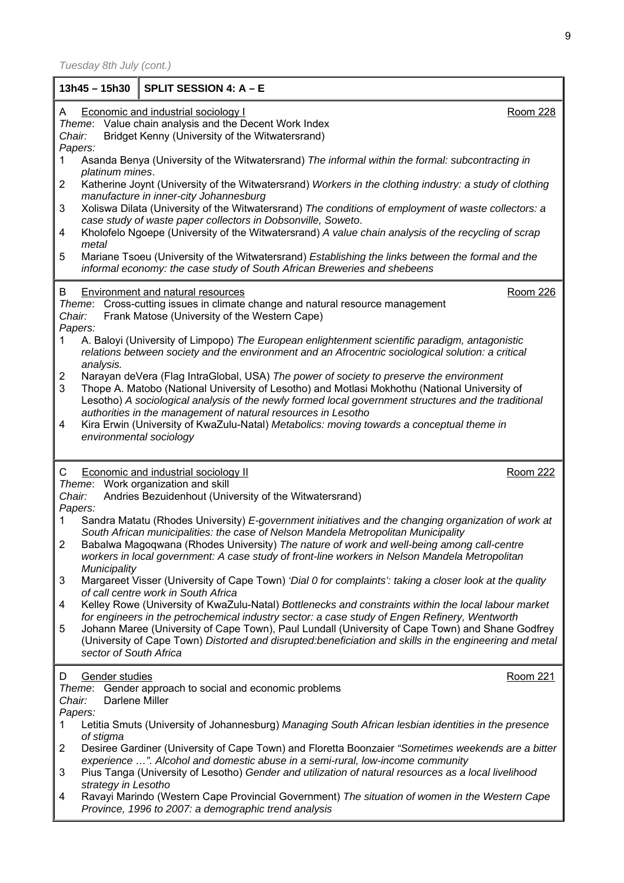| $13h45 - 15h30$                     | SPLIT SESSION 4: A - E                                                                                                                                                                                                                                                                                                                                            |          |
|-------------------------------------|-------------------------------------------------------------------------------------------------------------------------------------------------------------------------------------------------------------------------------------------------------------------------------------------------------------------------------------------------------------------|----------|
| A<br>Chair:<br>Papers:              | <b>Economic and industrial sociology I</b><br>Theme: Value chain analysis and the Decent Work Index<br>Bridget Kenny (University of the Witwatersrand)                                                                                                                                                                                                            | Room 228 |
| 1<br>platinum mines.                | Asanda Benya (University of the Witwatersrand) The informal within the formal: subcontracting in                                                                                                                                                                                                                                                                  |          |
| 2                                   | Katherine Joynt (University of the Witwatersrand) Workers in the clothing industry: a study of clothing<br>manufacture in inner-city Johannesburg                                                                                                                                                                                                                 |          |
| 3                                   | Xoliswa Dilata (University of the Witwatersrand) The conditions of employment of waste collectors: a<br>case study of waste paper collectors in Dobsonville, Soweto.                                                                                                                                                                                              |          |
| 4<br>metal                          | Kholofelo Ngoepe (University of the Witwatersrand) A value chain analysis of the recycling of scrap                                                                                                                                                                                                                                                               |          |
| 5                                   | Mariane Tsoeu (University of the Witwatersrand) Establishing the links between the formal and the<br>informal economy: the case study of South African Breweries and shebeens                                                                                                                                                                                     |          |
| B<br>Chair:<br>Papers:              | Environment and natural resources<br>Theme: Cross-cutting issues in climate change and natural resource management<br>Frank Matose (University of the Western Cape)                                                                                                                                                                                               | Room 226 |
| 1<br>analysis.                      | A. Baloyi (University of Limpopo) The European enlightenment scientific paradigm, antagonistic<br>relations between society and the environment and an Afrocentric sociological solution: a critical                                                                                                                                                              |          |
| $\overline{\mathbf{c}}$<br>3        | Narayan deVera (Flag IntraGlobal, USA) The power of society to preserve the environment<br>Thope A. Matobo (National University of Lesotho) and Motlasi Mokhothu (National University of<br>Lesotho) A sociological analysis of the newly formed local government structures and the traditional<br>authorities in the management of natural resources in Lesotho |          |
| 4                                   | Kira Erwin (University of KwaZulu-Natal) Metabolics: moving towards a conceptual theme in<br>environmental sociology                                                                                                                                                                                                                                              |          |
| C<br>Chair:                         | <b>Economic and industrial sociology II</b><br>Theme: Work organization and skill<br>Andries Bezuidenhout (University of the Witwatersrand)                                                                                                                                                                                                                       | Room 222 |
| Papers:<br>1                        | Sandra Matatu (Rhodes University) E-government initiatives and the changing organization of work at<br>South African municipalities: the case of Nelson Mandela Metropolitan Municipality                                                                                                                                                                         |          |
| $\overline{2}$<br>Municipality      | Babalwa Magoqwana (Rhodes University) The nature of work and well-being among call-centre<br>workers in local government: A case study of front-line workers in Nelson Mandela Metropolitan                                                                                                                                                                       |          |
| 3                                   | Margareet Visser (University of Cape Town) 'Dial 0 for complaints': taking a closer look at the quality<br>of call centre work in South Africa                                                                                                                                                                                                                    |          |
| 4                                   | Kelley Rowe (University of KwaZulu-Natal) Bottlenecks and constraints within the local labour market<br>for engineers in the petrochemical industry sector: a case study of Engen Refinery, Wentworth                                                                                                                                                             |          |
| 5<br>sector of South Africa         | Johann Maree (University of Cape Town), Paul Lundall (University of Cape Town) and Shane Godfrey<br>(University of Cape Town) Distorted and disrupted: beneficiation and skills in the engineering and metal                                                                                                                                                      |          |
| Gender studies<br>D                 | Theme: Gender approach to social and economic problems                                                                                                                                                                                                                                                                                                            | Room 221 |
| Darlene Miller<br>Chair:<br>Papers: |                                                                                                                                                                                                                                                                                                                                                                   |          |
| 1<br>of stigma                      | Letitia Smuts (University of Johannesburg) Managing South African lesbian identities in the presence                                                                                                                                                                                                                                                              |          |
| 2                                   | Desiree Gardiner (University of Cape Town) and Floretta Boonzaier "Sometimes weekends are a bitter<br>experience ". Alcohol and domestic abuse in a semi-rural, low-income community                                                                                                                                                                              |          |
| 3<br>strategy in Lesotho            | Pius Tanga (University of Lesotho) Gender and utilization of natural resources as a local livelihood                                                                                                                                                                                                                                                              |          |
| 4                                   | Ravayi Marindo (Western Cape Provincial Government) The situation of women in the Western Cape<br>Province, 1996 to 2007: a demographic trend analysis                                                                                                                                                                                                            |          |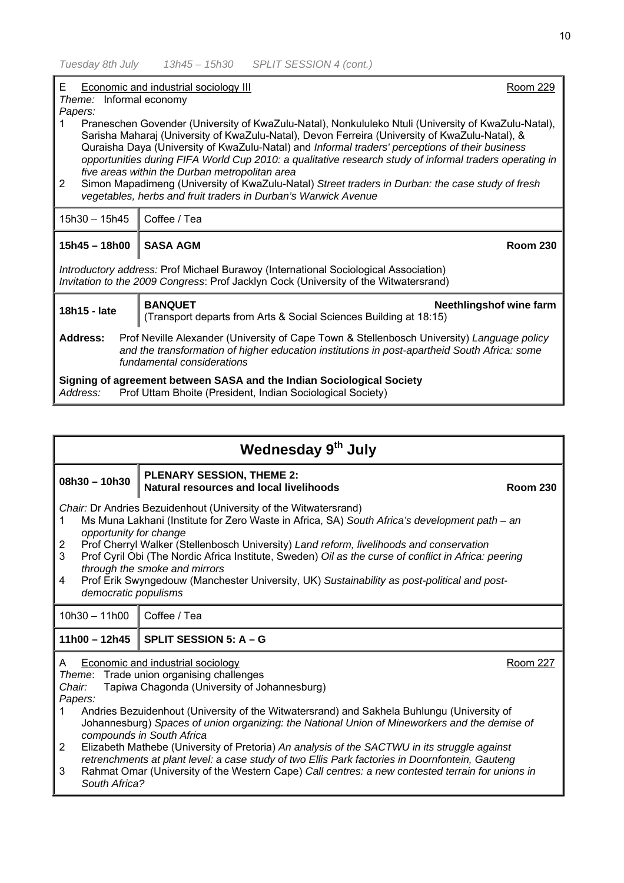| E<br>Economic and industrial sociology III<br>Room 229<br>Theme: Informal economy<br>Papers:<br>Praneschen Govender (University of KwaZulu-Natal), Nonkululeko Ntuli (University of KwaZulu-Natal),<br>Sarisha Maharaj (University of KwaZulu-Natal), Devon Ferreira (University of KwaZulu-Natal), &<br>Quraisha Daya (University of KwaZulu-Natal) and Informal traders' perceptions of their business<br>opportunities during FIFA World Cup 2010: a qualitative research study of informal traders operating in<br>five areas within the Durban metropolitan area<br>Simon Mapadimeng (University of KwaZulu-Natal) Street traders in Durban: the case study of fresh<br>$\overline{2}$<br>vegetables, herbs and fruit traders in Durban's Warwick Avenue |                                                                                                                |  |
|---------------------------------------------------------------------------------------------------------------------------------------------------------------------------------------------------------------------------------------------------------------------------------------------------------------------------------------------------------------------------------------------------------------------------------------------------------------------------------------------------------------------------------------------------------------------------------------------------------------------------------------------------------------------------------------------------------------------------------------------------------------|----------------------------------------------------------------------------------------------------------------|--|
| 15h30 - 15h45                                                                                                                                                                                                                                                                                                                                                                                                                                                                                                                                                                                                                                                                                                                                                 | Coffee / Tea                                                                                                   |  |
| $15h45 - 18h00$                                                                                                                                                                                                                                                                                                                                                                                                                                                                                                                                                                                                                                                                                                                                               | <b>SASA AGM</b><br><b>Room 230</b>                                                                             |  |
| Introductory address: Prof Michael Burawoy (International Sociological Association)<br>Invitation to the 2009 Congress: Prof Jacklyn Cock (University of the Witwatersrand)                                                                                                                                                                                                                                                                                                                                                                                                                                                                                                                                                                                   |                                                                                                                |  |
| 18h15 - late                                                                                                                                                                                                                                                                                                                                                                                                                                                                                                                                                                                                                                                                                                                                                  | <b>BANQUET</b><br>Neethlingshof wine farm<br>(Transport departs from Arts & Social Sciences Building at 18:15) |  |
| Address:<br>Prof Neville Alexander (University of Cape Town & Stellenbosch University) Language policy<br>and the transformation of higher education institutions in post-apartheid South Africa: some<br>fundamental considerations                                                                                                                                                                                                                                                                                                                                                                                                                                                                                                                          |                                                                                                                |  |
| Signing of agreement between SASA and the Indian Sociological Society<br>Prof Uttam Bhoite (President, Indian Sociological Society)<br>Address:                                                                                                                                                                                                                                                                                                                                                                                                                                                                                                                                                                                                               |                                                                                                                |  |

| Wednesday 9th July                                                                                                                                                                                                                                                                                                                                                                                                                                                                                                                                                                                                                                                                                                                                          |                                                                                                |  |
|-------------------------------------------------------------------------------------------------------------------------------------------------------------------------------------------------------------------------------------------------------------------------------------------------------------------------------------------------------------------------------------------------------------------------------------------------------------------------------------------------------------------------------------------------------------------------------------------------------------------------------------------------------------------------------------------------------------------------------------------------------------|------------------------------------------------------------------------------------------------|--|
| $08h30 - 10h30$                                                                                                                                                                                                                                                                                                                                                                                                                                                                                                                                                                                                                                                                                                                                             | <b>PLENARY SESSION, THEME 2:</b><br>Natural resources and local livelihoods<br><b>Room 230</b> |  |
| Chair: Dr Andries Bezuidenhout (University of the Witwatersrand)<br>Ms Muna Lakhani (Institute for Zero Waste in Africa, SA) South Africa's development path – an<br>1<br>opportunity for change<br>Prof Cherryl Walker (Stellenbosch University) Land reform, livelihoods and conservation<br>$\overline{2}$<br>3<br>Prof Cyril Obi (The Nordic Africa Institute, Sweden) Oil as the curse of conflict in Africa: peering<br>through the smoke and mirrors<br>Prof Erik Swyngedouw (Manchester University, UK) Sustainability as post-political and post-<br>4<br>democratic populisms                                                                                                                                                                     |                                                                                                |  |
| $10h30 - 11h00$                                                                                                                                                                                                                                                                                                                                                                                                                                                                                                                                                                                                                                                                                                                                             | Coffee / Tea                                                                                   |  |
| $11h00 - 12h45$                                                                                                                                                                                                                                                                                                                                                                                                                                                                                                                                                                                                                                                                                                                                             | SPLIT SESSION 5: A - G                                                                         |  |
| Economic and industrial sociology<br><b>Room 227</b><br>A<br>Theme: Trade union organising challenges<br>Tapiwa Chagonda (University of Johannesburg)<br>Chair:<br>Papers:<br>Andries Bezuidenhout (University of the Witwatersrand) and Sakhela Buhlungu (University of<br>1.<br>Johannesburg) Spaces of union organizing: the National Union of Mineworkers and the demise of<br>compounds in South Africa<br>$\overline{2}$<br>Elizabeth Mathebe (University of Pretoria) An analysis of the SACTWU in its struggle against<br>retrenchments at plant level: a case study of two Ellis Park factories in Doornfontein, Gauteng<br>Rahmat Omar (University of the Western Cape) Call centres: a new contested terrain for unions in<br>3<br>South Africa? |                                                                                                |  |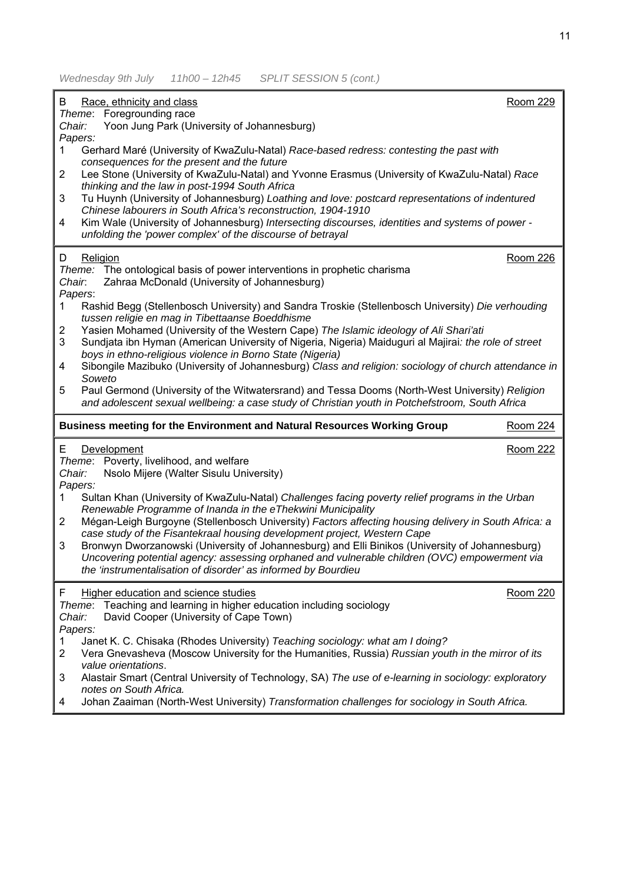*Wednesday 9th July 11h00 – 12h45 SPLIT SESSION 5 (cont.)* 

| Race, ethnicity and class<br>B<br>Theme: Foregrounding race                                                                                                                                                                     | <b>Room 229</b> |
|---------------------------------------------------------------------------------------------------------------------------------------------------------------------------------------------------------------------------------|-----------------|
| Yoon Jung Park (University of Johannesburg)<br>Chair:<br>Papers:                                                                                                                                                                |                 |
| Gerhard Maré (University of KwaZulu-Natal) Race-based redress: contesting the past with<br>1.<br>consequences for the present and the future                                                                                    |                 |
| Lee Stone (University of KwaZulu-Natal) and Yvonne Erasmus (University of KwaZulu-Natal) Race<br>$\overline{2}$<br>thinking and the law in post-1994 South Africa                                                               |                 |
| Tu Huynh (University of Johannesburg) Loathing and love: postcard representations of indentured<br>3<br>Chinese labourers in South Africa's reconstruction, 1904-1910                                                           |                 |
| Kim Wale (University of Johannesburg) Intersecting discourses, identities and systems of power -<br>4<br>unfolding the 'power complex' of the discourse of betrayal                                                             |                 |
| Religion<br>D                                                                                                                                                                                                                   | <b>Room 226</b> |
| Theme: The ontological basis of power interventions in prophetic charisma<br>Zahraa McDonald (University of Johannesburg)<br>Chair.<br>Papers:                                                                                  |                 |
| Rashid Begg (Stellenbosch University) and Sandra Troskie (Stellenbosch University) Die verhouding<br>$\mathbf{1}$<br>tussen religie en mag in Tibettaanse Boeddhisme                                                            |                 |
| Yasien Mohamed (University of the Western Cape) The Islamic ideology of Ali Shari'ati<br>2<br>3<br>Sundjata ibn Hyman (American University of Nigeria, Nigeria) Maiduguri al Majirai: the role of street                        |                 |
| boys in ethno-religious violence in Borno State (Nigeria)<br>Sibongile Mazibuko (University of Johannesburg) Class and religion: sociology of church attendance in<br>4                                                         |                 |
| Soweto<br>Paul Germond (University of the Witwatersrand) and Tessa Dooms (North-West University) Religion<br>5                                                                                                                  |                 |
| and adolescent sexual wellbeing: a case study of Christian youth in Potchefstroom, South Africa                                                                                                                                 |                 |
| Business meeting for the Environment and Natural Resources Working Group                                                                                                                                                        | Room 224        |
| Е<br>Development<br>Theme: Poverty, livelihood, and welfare                                                                                                                                                                     | <b>Room 222</b> |
| Nsolo Mijere (Walter Sisulu University)<br>Chair:<br>Papers:                                                                                                                                                                    |                 |
| Sultan Khan (University of KwaZulu-Natal) Challenges facing poverty relief programs in the Urban<br>1<br>Renewable Programme of Inanda in the eThekwini Municipality                                                            |                 |
| Mégan-Leigh Burgoyne (Stellenbosch University) Factors affecting housing delivery in South Africa: a<br>$\overline{2}$<br>case study of the Fisantekraal housing development project, Western Cape                              |                 |
| Bronwyn Dworzanowski (University of Johannesburg) and Elli Binikos (University of Johannesburg)<br>3                                                                                                                            |                 |
| Uncovering potential agency: assessing orphaned and vulnerable children (OVC) empowerment via<br>the 'instrumentalisation of disorder' as informed by Bourdieu                                                                  |                 |
| Higher education and science studies<br>F<br>Teaching and learning in higher education including sociology<br>Theme:                                                                                                            | Room 220        |
| Chair:<br>David Cooper (University of Cape Town)<br>Papers:                                                                                                                                                                     |                 |
| Janet K. C. Chisaka (Rhodes University) Teaching sociology: what am I doing?<br>1<br>Vera Gnevasheva (Moscow University for the Humanities, Russia) Russian youth in the mirror of its<br>$\overline{2}$<br>value orientations. |                 |
| Alastair Smart (Central University of Technology, SA) The use of e-learning in sociology: exploratory<br>3<br>notes on South Africa.                                                                                            |                 |
| Johan Zaaiman (North-West University) Transformation challenges for sociology in South Africa.<br>4                                                                                                                             |                 |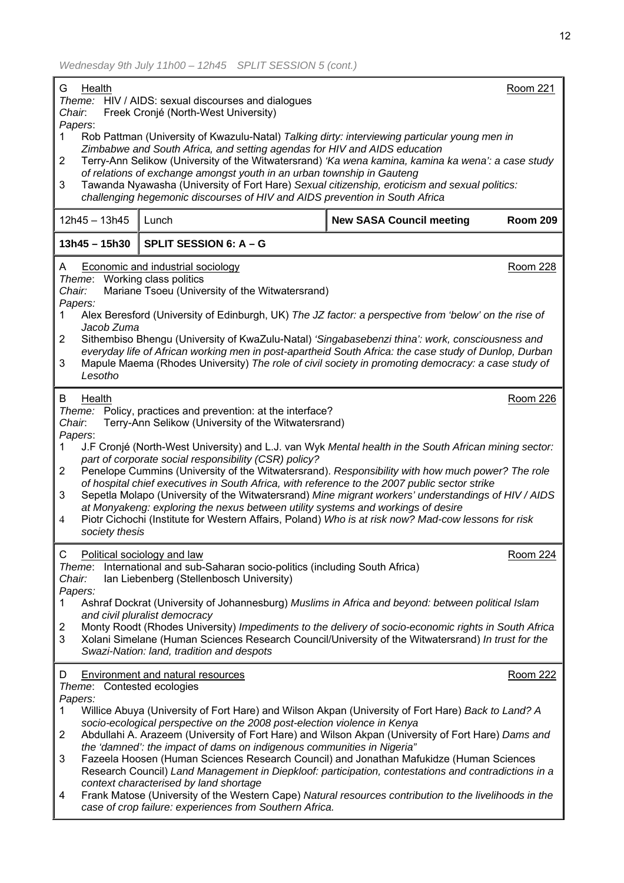| Health<br><b>Room 221</b><br>G<br>Theme: HIV / AIDS: sexual discourses and dialogues<br>Chair.<br>Freek Cronjé (North-West University)                                                                                                                                                                                                                                                                                                                                                                                                                                                                                                                                                                                                                                                                                                                                                                |                                                                                                                                                                                                                                                                                                                                                                                                                                                                                                                                                                                                |                                 |                 |
|-------------------------------------------------------------------------------------------------------------------------------------------------------------------------------------------------------------------------------------------------------------------------------------------------------------------------------------------------------------------------------------------------------------------------------------------------------------------------------------------------------------------------------------------------------------------------------------------------------------------------------------------------------------------------------------------------------------------------------------------------------------------------------------------------------------------------------------------------------------------------------------------------------|------------------------------------------------------------------------------------------------------------------------------------------------------------------------------------------------------------------------------------------------------------------------------------------------------------------------------------------------------------------------------------------------------------------------------------------------------------------------------------------------------------------------------------------------------------------------------------------------|---------------------------------|-----------------|
| Papers:<br>Rob Pattman (University of Kwazulu-Natal) Talking dirty: interviewing particular young men in<br>1<br>Zimbabwe and South Africa, and setting agendas for HIV and AIDS education<br>Terry-Ann Selikow (University of the Witwatersrand) 'Ka wena kamina, kamina ka wena': a case study<br>2<br>of relations of exchange amongst youth in an urban township in Gauteng<br>Tawanda Nyawasha (University of Fort Hare) Sexual citizenship, eroticism and sexual politics:<br>3<br>challenging hegemonic discourses of HIV and AIDS prevention in South Africa                                                                                                                                                                                                                                                                                                                                  |                                                                                                                                                                                                                                                                                                                                                                                                                                                                                                                                                                                                |                                 |                 |
| $12h45 - 13h45$                                                                                                                                                                                                                                                                                                                                                                                                                                                                                                                                                                                                                                                                                                                                                                                                                                                                                       | Lunch                                                                                                                                                                                                                                                                                                                                                                                                                                                                                                                                                                                          | <b>New SASA Council meeting</b> | <b>Room 209</b> |
| $13h45 - 15h30$                                                                                                                                                                                                                                                                                                                                                                                                                                                                                                                                                                                                                                                                                                                                                                                                                                                                                       | SPLIT SESSION 6: A - G                                                                                                                                                                                                                                                                                                                                                                                                                                                                                                                                                                         |                                 |                 |
| A<br>Chair:<br>Papers:<br>1<br>2<br>3<br>Lesotho                                                                                                                                                                                                                                                                                                                                                                                                                                                                                                                                                                                                                                                                                                                                                                                                                                                      | <b>Economic and industrial sociology</b><br><b>Room 228</b><br>Theme: Working class politics<br>Mariane Tsoeu (University of the Witwatersrand)<br>Alex Beresford (University of Edinburgh, UK) The JZ factor: a perspective from 'below' on the rise of<br>Jacob Zuma<br>Sithembiso Bhengu (University of KwaZulu-Natal) 'Singabasebenzi thina': work, consciousness and<br>everyday life of African working men in post-apartheid South Africa: the case study of Dunlop, Durban<br>Mapule Maema (Rhodes University) The role of civil society in promoting democracy: a case study of       |                                 |                 |
| B<br>Health<br><b>Room 226</b><br>Theme: Policy, practices and prevention: at the interface?<br>Terry-Ann Selikow (University of the Witwatersrand)<br>Chair.<br>Papers:<br>J.F Cronjé (North-West University) and L.J. van Wyk Mental health in the South African mining sector:<br>1.<br>part of corporate social responsibility (CSR) policy?<br>Penelope Cummins (University of the Witwatersrand). Responsibility with how much power? The role<br>$\overline{2}$<br>of hospital chief executives in South Africa, with reference to the 2007 public sector strike<br>Sepetla Molapo (University of the Witwatersrand) Mine migrant workers' understandings of HIV / AIDS<br>3<br>at Monyakeng: exploring the nexus between utility systems and workings of desire<br>Piotr Cichochi (Institute for Western Affairs, Poland) Who is at risk now? Mad-cow lessons for risk<br>4<br>society thesis |                                                                                                                                                                                                                                                                                                                                                                                                                                                                                                                                                                                                |                                 |                 |
| Room 224<br>С<br>Political sociology and law<br>International and sub-Saharan socio-politics (including South Africa)<br>Theme:<br>Chair:<br>Ian Liebenberg (Stellenbosch University)<br>Papers:<br>Ashraf Dockrat (University of Johannesburg) Muslims in Africa and beyond: between political Islam<br>1<br>and civil pluralist democracy<br>Monty Roodt (Rhodes University) Impediments to the delivery of socio-economic rights in South Africa<br>2<br>Xolani Simelane (Human Sciences Research Council/University of the Witwatersrand) In trust for the<br>3<br>Swazi-Nation: land, tradition and despots                                                                                                                                                                                                                                                                                      |                                                                                                                                                                                                                                                                                                                                                                                                                                                                                                                                                                                                |                                 |                 |
| D<br>Theme: Contested ecologies<br>Papers:<br>1                                                                                                                                                                                                                                                                                                                                                                                                                                                                                                                                                                                                                                                                                                                                                                                                                                                       | <b>Environment and natural resources</b><br>Willice Abuya (University of Fort Hare) and Wilson Akpan (University of Fort Hare) Back to Land? A<br>socio-ecological perspective on the 2008 post-election violence in Kenya                                                                                                                                                                                                                                                                                                                                                                     |                                 | Room 222        |
| $\overline{2}$<br>3<br>4                                                                                                                                                                                                                                                                                                                                                                                                                                                                                                                                                                                                                                                                                                                                                                                                                                                                              | Abdullahi A. Arazeem (University of Fort Hare) and Wilson Akpan (University of Fort Hare) Dams and<br>the 'damned': the impact of dams on indigenous communities in Nigeria"<br>Fazeela Hoosen (Human Sciences Research Council) and Jonathan Mafukidze (Human Sciences<br>Research Council) Land Management in Diepkloof: participation, contestations and contradictions in a<br>context characterised by land shortage<br>Frank Matose (University of the Western Cape) Natural resources contribution to the livelihoods in the<br>case of crop failure: experiences from Southern Africa. |                                 |                 |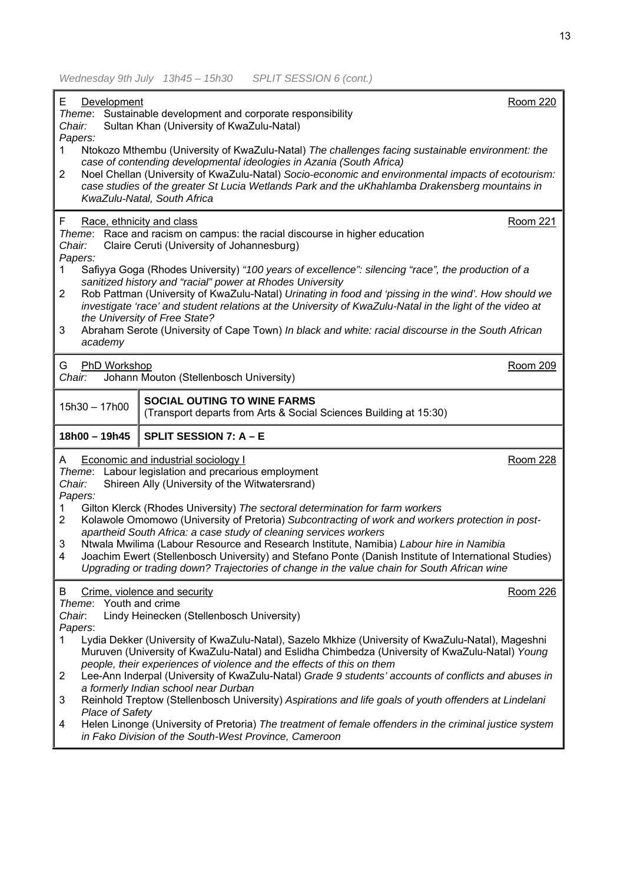| E<br><b>Room 220</b><br>Development                                                                                                                                                                       |  |
|-----------------------------------------------------------------------------------------------------------------------------------------------------------------------------------------------------------|--|
| Theme: Sustainable development and corporate responsibility<br>Sultan Khan (University of KwaZulu-Natal)<br>Chair:                                                                                        |  |
| Papers:                                                                                                                                                                                                   |  |
| Ntokozo Mthembu (University of KwaZulu-Natal) The challenges facing sustainable environment: the<br>1                                                                                                     |  |
| case of contending developmental ideologies in Azania (South Africa)<br>$\overline{2}$<br>Noel Chellan (University of KwaZulu-Natal) Socio-economic and environmental impacts of ecotourism:              |  |
| case studies of the greater St Lucia Wetlands Park and the uKhahlamba Drakensberg mountains in                                                                                                            |  |
| KwaZulu-Natal, South Africa                                                                                                                                                                               |  |
| F<br><b>Room 221</b><br>Race, ethnicity and class                                                                                                                                                         |  |
| Theme: Race and racism on campus: the racial discourse in higher education<br>Chair:<br>Claire Ceruti (University of Johannesburg)                                                                        |  |
| Papers:                                                                                                                                                                                                   |  |
| Safiyya Goga (Rhodes University) "100 years of excellence": silencing "race", the production of a<br>1                                                                                                    |  |
| sanitized history and "racial" power at Rhodes University<br>Rob Pattman (University of KwaZulu-Natal) Urinating in food and 'pissing in the wind'. How should we<br>$\overline{2}$                       |  |
| investigate 'race' and student relations at the University of KwaZulu-Natal in the light of the video at                                                                                                  |  |
| the University of Free State?<br>3<br>Abraham Serote (University of Cape Town) In black and white: racial discourse in the South African                                                                  |  |
| academy                                                                                                                                                                                                   |  |
| Room 209<br>G<br><b>PhD Workshop</b>                                                                                                                                                                      |  |
| Chair:<br>Johann Mouton (Stellenbosch University)                                                                                                                                                         |  |
| <b>SOCIAL OUTING TO WINE FARMS</b>                                                                                                                                                                        |  |
| 15h30 - 17h00<br>(Transport departs from Arts & Social Sciences Building at 15:30)                                                                                                                        |  |
| 18h00 - 19h45<br>SPLIT SESSION 7: A - E                                                                                                                                                                   |  |
| <b>Economic and industrial sociology I</b><br>Room 228<br>A                                                                                                                                               |  |
| Theme: Labour legislation and precarious employment<br>Shireen Ally (University of the Witwatersrand)<br>Chair:                                                                                           |  |
| Papers:                                                                                                                                                                                                   |  |
| Gilton Klerck (Rhodes University) The sectoral determination for farm workers<br>1<br>Kolawole Omomowo (University of Pretoria) Subcontracting of work and workers protection in post-<br>$\overline{2}$  |  |
| apartheid South Africa: a case study of cleaning services workers                                                                                                                                         |  |
| 3<br>Ntwala Mwilima (Labour Resource and Research Institute, Namibia) Labour hire in Namibia                                                                                                              |  |
| Joachim Ewert (Stellenbosch University) and Stefano Ponte (Danish Institute of International Studies)<br>4<br>Upgrading or trading down? Trajectories of change in the value chain for South African wine |  |
|                                                                                                                                                                                                           |  |
| <b>Room 226</b><br>В<br>Crime, violence and security<br>Theme: Youth and crime                                                                                                                            |  |
| Chair.<br>Lindy Heinecken (Stellenbosch University)                                                                                                                                                       |  |
| Papers:<br>Lydia Dekker (University of KwaZulu-Natal), Sazelo Mkhize (University of KwaZulu-Natal), Mageshni<br>1                                                                                         |  |
| Muruven (University of KwaZulu-Natal) and Eslidha Chimbedza (University of KwaZulu-Natal) Young                                                                                                           |  |
| people, their experiences of violence and the effects of this on them<br>Lee-Ann Inderpal (University of KwaZulu-Natal) Grade 9 students' accounts of conflicts and abuses in<br>2                        |  |
| a formerly Indian school near Durban                                                                                                                                                                      |  |
| 3<br>Reinhold Treptow (Stellenbosch University) Aspirations and life goals of youth offenders at Lindelani<br><b>Place of Safety</b>                                                                      |  |
| Helen Linonge (University of Pretoria) The treatment of female offenders in the criminal justice system<br>4                                                                                              |  |
| in Fako Division of the South-West Province, Cameroon                                                                                                                                                     |  |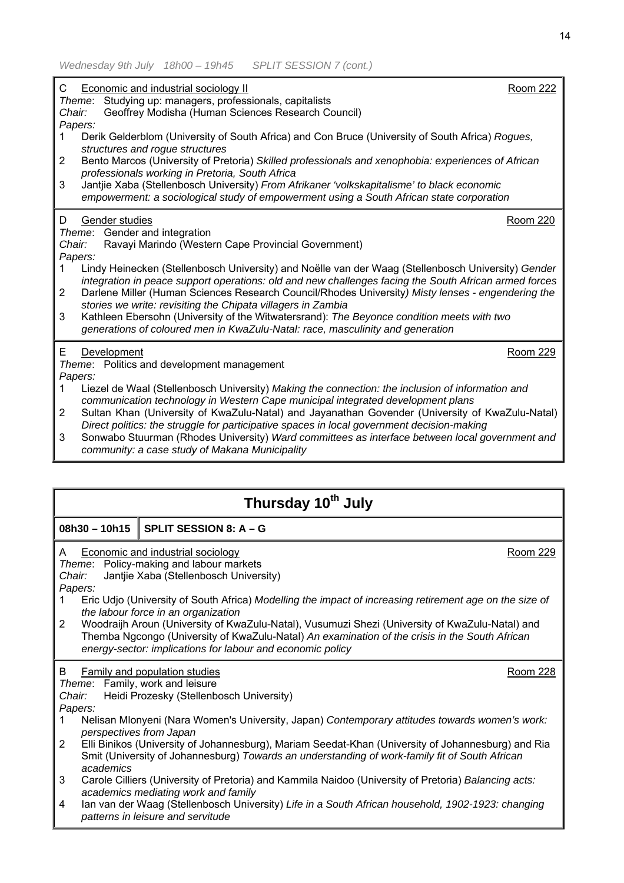| C<br>Chair:<br>Papers: | Economic and industrial sociology II<br>Theme: Studying up: managers, professionals, capitalists<br>Geoffrey Modisha (Human Sciences Research Council)                                                                                         | <b>Room 222</b> |
|------------------------|------------------------------------------------------------------------------------------------------------------------------------------------------------------------------------------------------------------------------------------------|-----------------|
| 1                      | Derik Gelderblom (University of South Africa) and Con Bruce (University of South Africa) Rogues,                                                                                                                                               |                 |
| 2                      | structures and rogue structures<br>Bento Marcos (University of Pretoria) Skilled professionals and xenophobia: experiences of African<br>professionals working in Pretoria, South Africa                                                       |                 |
| 3                      | Jantjie Xaba (Stellenbosch University) From Afrikaner 'volkskapitalisme' to black economic<br>empowerment: a sociological study of empowerment using a South African state corporation                                                         |                 |
| D                      | Gender studies                                                                                                                                                                                                                                 | <b>Room 220</b> |
| Chair:<br>Papers:      | Theme: Gender and integration<br>Ravayi Marindo (Western Cape Provincial Government)                                                                                                                                                           |                 |
| 1                      | Lindy Heinecken (Stellenbosch University) and Noëlle van der Waag (Stellenbosch University) Gender<br>integration in peace support operations: old and new challenges facing the South African armed forces                                    |                 |
| $\overline{2}$         | Darlene Miller (Human Sciences Research Council/Rhodes University) Misty lenses - engendering the                                                                                                                                              |                 |
| 3                      | stories we write: revisiting the Chipata villagers in Zambia<br>Kathleen Ebersohn (University of the Witwatersrand): The Beyonce condition meets with two<br>generations of coloured men in KwaZulu-Natal: race, masculinity and generation    |                 |
| E                      | Development                                                                                                                                                                                                                                    | <b>Room 229</b> |
| Papers:                | Theme: Politics and development management                                                                                                                                                                                                     |                 |
| 1                      | Liezel de Waal (Stellenbosch University) Making the connection: the inclusion of information and<br>communication technology in Western Cape municipal integrated development plans                                                            |                 |
| 2                      | Sultan Khan (University of KwaZulu-Natal) and Jayanathan Govender (University of KwaZulu-Natal)                                                                                                                                                |                 |
| 3                      | Direct politics: the struggle for participative spaces in local government decision-making<br>Sonwabo Stuurman (Rhodes University) Ward committees as interface between local government and<br>community: a case study of Makana Municipality |                 |

| Thursday 10 <sup>th</sup> July                                                                                                                                                                                                                                                                                                                                                                                                                                                                                                                                                                                   |                                                                                                                                                                                                                                                                                       |                 |
|------------------------------------------------------------------------------------------------------------------------------------------------------------------------------------------------------------------------------------------------------------------------------------------------------------------------------------------------------------------------------------------------------------------------------------------------------------------------------------------------------------------------------------------------------------------------------------------------------------------|---------------------------------------------------------------------------------------------------------------------------------------------------------------------------------------------------------------------------------------------------------------------------------------|-----------------|
| $08h30 - 10h15$                                                                                                                                                                                                                                                                                                                                                                                                                                                                                                                                                                                                  | SPLIT SESSION 8: A - G                                                                                                                                                                                                                                                                |                 |
| <b>Economic and industrial sociology</b><br>Room 229<br>A<br>Theme: Policy-making and labour markets<br>Jantjie Xaba (Stellenbosch University)<br>Chair:<br>Papers:<br>Eric Udjo (University of South Africa) Modelling the impact of increasing retirement age on the size of<br>1.<br>the labour force in an organization<br>$\overline{2}$<br>Woodraijh Aroun (University of KwaZulu-Natal), Vusumuzi Shezi (University of KwaZulu-Natal) and<br>Themba Ngcongo (University of KwaZulu-Natal) An examination of the crisis in the South African<br>energy-sector: implications for labour and economic policy |                                                                                                                                                                                                                                                                                       |                 |
| B<br>Chair:<br>Papers:                                                                                                                                                                                                                                                                                                                                                                                                                                                                                                                                                                                           | Family and population studies<br>Theme: Family, work and leisure<br>Heidi Prozesky (Stellenbosch University)                                                                                                                                                                          | <b>Room 228</b> |
| 1                                                                                                                                                                                                                                                                                                                                                                                                                                                                                                                                                                                                                | Nelisan Mlonyeni (Nara Women's University, Japan) Contemporary attitudes towards women's work:<br>perspectives from Japan                                                                                                                                                             |                 |
| $\overline{2}$<br>academics                                                                                                                                                                                                                                                                                                                                                                                                                                                                                                                                                                                      | Elli Binikos (University of Johannesburg), Mariam Seedat-Khan (University of Johannesburg) and Ria<br>Smit (University of Johannesburg) Towards an understanding of work-family fit of South African                                                                                  |                 |
| 3<br>4                                                                                                                                                                                                                                                                                                                                                                                                                                                                                                                                                                                                           | Carole Cilliers (University of Pretoria) and Kammila Naidoo (University of Pretoria) Balancing acts:<br>academics mediating work and family<br>lan van der Waag (Stellenbosch University) Life in a South African household, 1902-1923: changing<br>patterns in leisure and servitude |                 |
|                                                                                                                                                                                                                                                                                                                                                                                                                                                                                                                                                                                                                  |                                                                                                                                                                                                                                                                                       |                 |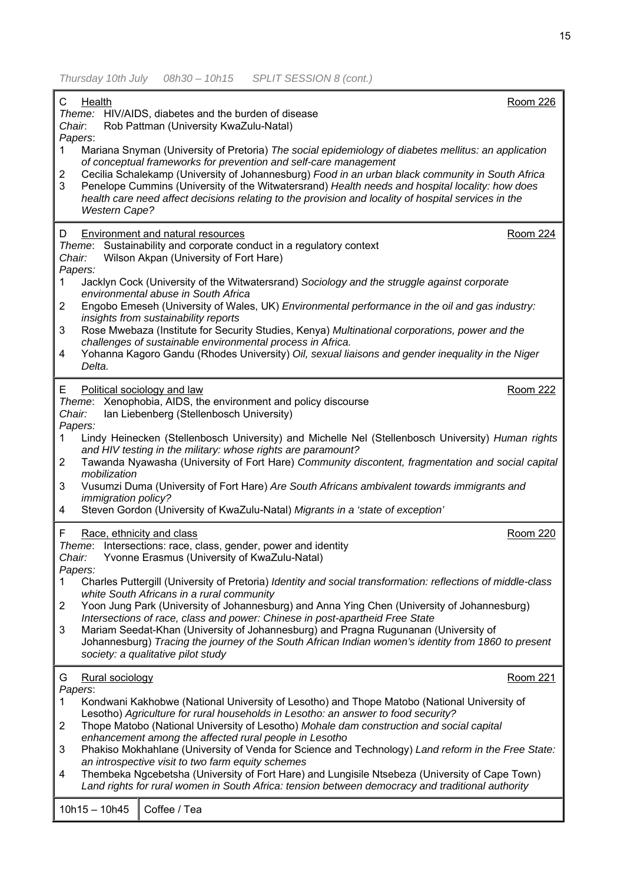*Thursday 10th July 08h30 – 10h15 SPLIT SESSION 8 (cont.)* 

| C<br>Chair.                                    | <b>Health</b>                       | Theme: HIV/AIDS, diabetes and the burden of disease<br>Rob Pattman (University KwaZulu-Natal)                                                                                                                                                                                                                                                                                                                                                                                                                                                                                                                                                                                                           | Room 226        |
|------------------------------------------------|-------------------------------------|---------------------------------------------------------------------------------------------------------------------------------------------------------------------------------------------------------------------------------------------------------------------------------------------------------------------------------------------------------------------------------------------------------------------------------------------------------------------------------------------------------------------------------------------------------------------------------------------------------------------------------------------------------------------------------------------------------|-----------------|
| Papers:<br>1.<br>2<br>3                        | <b>Western Cape?</b>                | Mariana Snyman (University of Pretoria) The social epidemiology of diabetes mellitus: an application<br>of conceptual frameworks for prevention and self-care management<br>Cecilia Schalekamp (University of Johannesburg) Food in an urban black community in South Africa<br>Penelope Cummins (University of the Witwatersrand) Health needs and hospital locality: how does<br>health care need affect decisions relating to the provision and locality of hospital services in the                                                                                                                                                                                                                 |                 |
| D<br>Chair:<br>Papers:                         |                                     | <b>Environment and natural resources</b><br>Theme: Sustainability and corporate conduct in a regulatory context<br>Wilson Akpan (University of Fort Hare)                                                                                                                                                                                                                                                                                                                                                                                                                                                                                                                                               | <b>Room 224</b> |
| 1.<br>2<br>3<br>4                              | Delta.                              | Jacklyn Cock (University of the Witwatersrand) Sociology and the struggle against corporate<br>environmental abuse in South Africa<br>Engobo Emeseh (University of Wales, UK) Environmental performance in the oil and gas industry:<br>insights from sustainability reports<br>Rose Mwebaza (Institute for Security Studies, Kenya) Multinational corporations, power and the<br>challenges of sustainable environmental process in Africa.<br>Yohanna Kagoro Gandu (Rhodes University) Oil, sexual liaisons and gender inequality in the Niger                                                                                                                                                        |                 |
| Е<br>Chair:<br>Papers:<br>1.<br>2<br>3<br>4    | mobilization<br>immigration policy? | Political sociology and law<br>Theme: Xenophobia, AIDS, the environment and policy discourse<br>Ian Liebenberg (Stellenbosch University)<br>Lindy Heinecken (Stellenbosch University) and Michelle Nel (Stellenbosch University) Human rights<br>and HIV testing in the military: whose rights are paramount?<br>Tawanda Nyawasha (University of Fort Hare) Community discontent, fragmentation and social capital<br>Vusumzi Duma (University of Fort Hare) Are South Africans ambivalent towards immigrants and<br>Steven Gordon (University of KwaZulu-Natal) Migrants in a 'state of exception'                                                                                                     | <b>Room 222</b> |
| F.<br>Chair:<br>Papers:<br>2<br>3              |                                     | Race, ethnicity and class<br>Theme: Intersections: race, class, gender, power and identity<br>Yvonne Erasmus (University of KwaZulu-Natal)<br>Charles Puttergill (University of Pretoria) Identity and social transformation: reflections of middle-class<br>white South Africans in a rural community<br>Yoon Jung Park (University of Johannesburg) and Anna Ying Chen (University of Johannesburg)<br>Intersections of race, class and power: Chinese in post-apartheid Free State<br>Mariam Seedat-Khan (University of Johannesburg) and Pragna Rugunanan (University of                                                                                                                            | <b>Room 220</b> |
|                                                |                                     | Johannesburg) Tracing the journey of the South African Indian women's identity from 1860 to present<br>society: a qualitative pilot study                                                                                                                                                                                                                                                                                                                                                                                                                                                                                                                                                               |                 |
| G<br>Papers:<br>1.<br>$\overline{2}$<br>3<br>4 | Rural sociology                     | Kondwani Kakhobwe (National University of Lesotho) and Thope Matobo (National University of<br>Lesotho) Agriculture for rural households in Lesotho: an answer to food security?<br>Thope Matobo (National University of Lesotho) Mohale dam construction and social capital<br>enhancement among the affected rural people in Lesotho<br>Phakiso Mokhahlane (University of Venda for Science and Technology) Land reform in the Free State:<br>an introspective visit to two farm equity schemes<br>Thembeka Ngcebetsha (University of Fort Hare) and Lungisile Ntsebeza (University of Cape Town)<br>Land rights for rural women in South Africa: tension between democracy and traditional authority | Room 221        |
|                                                | $10h15 - 10h45$                     | Coffee / Tea                                                                                                                                                                                                                                                                                                                                                                                                                                                                                                                                                                                                                                                                                            |                 |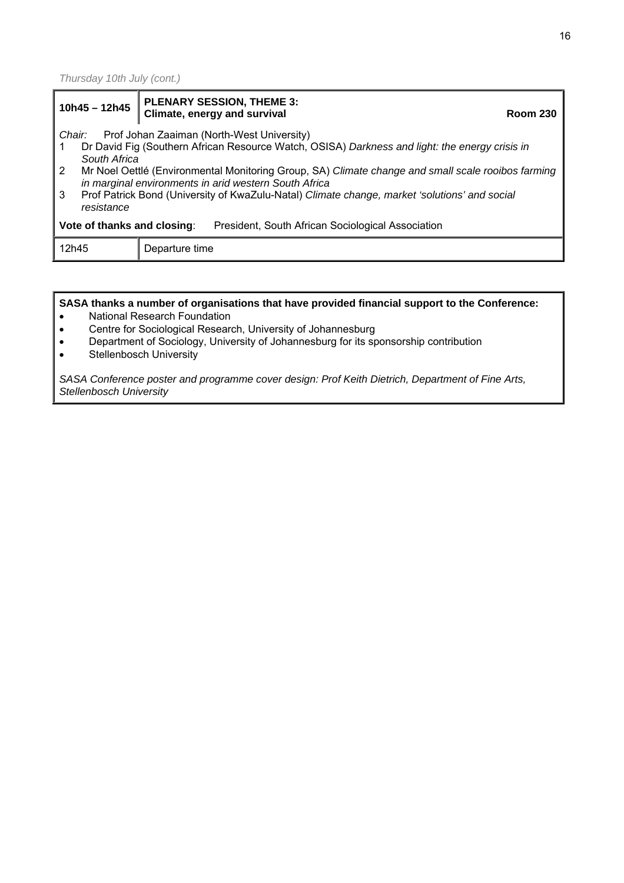*Thursday 10th July (cont.)* 

| $10h45 - 12h45$                                                                                                                                                                                                                                                                                   | <b>PLENARY SESSION, THEME 3:</b><br>Climate, energy and survival<br><b>Room 230</b> |  |
|---------------------------------------------------------------------------------------------------------------------------------------------------------------------------------------------------------------------------------------------------------------------------------------------------|-------------------------------------------------------------------------------------|--|
| Prof Johan Zaaiman (North-West University)<br>Chair:<br>Dr David Fig (Southern African Resource Watch, OSISA) Darkness and light: the energy crisis in<br>South Africa                                                                                                                            |                                                                                     |  |
| $\overline{2}$<br>Mr Noel Oettlé (Environmental Monitoring Group, SA) Climate change and small scale rooibos farming<br>in marginal environments in arid western South Africa<br>3<br>Prof Patrick Bond (University of KwaZulu-Natal) Climate change, market 'solutions' and social<br>resistance |                                                                                     |  |
| President, South African Sociological Association<br>Vote of thanks and closing:                                                                                                                                                                                                                  |                                                                                     |  |
| 12h45<br>Departure time                                                                                                                                                                                                                                                                           |                                                                                     |  |
|                                                                                                                                                                                                                                                                                                   |                                                                                     |  |

**SASA thanks a number of organisations that have provided financial support to the Conference:** 

- National Research Foundation
- Centre for Sociological Research, University of Johannesburg
- Department of Sociology, University of Johannesburg for its sponsorship contribution
- Stellenbosch University

*SASA Conference poster and programme cover design: Prof Keith Dietrich, Department of Fine Arts, Stellenbosch University*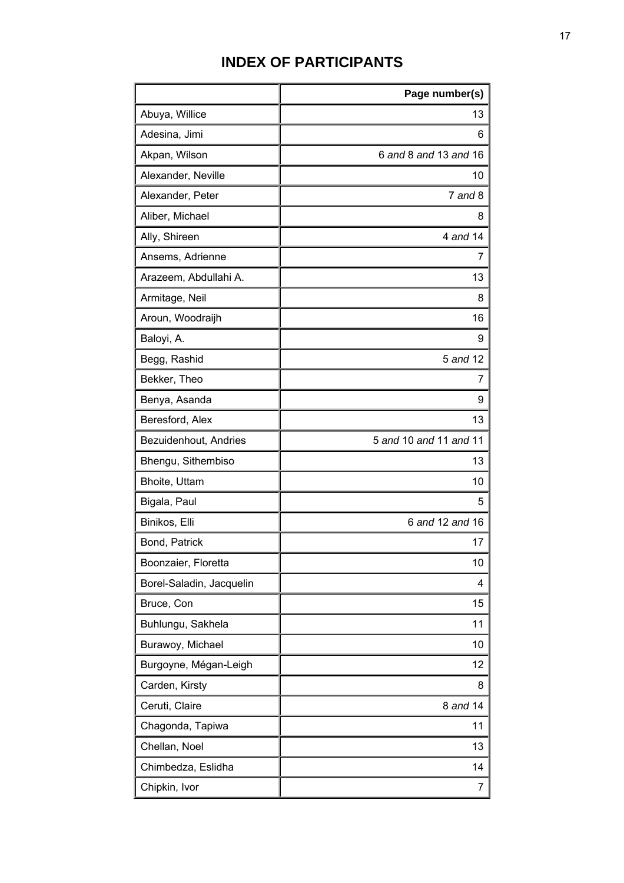## **INDEX OF PARTICIPANTS**

|                          | Page number(s)         |
|--------------------------|------------------------|
| Abuya, Willice           | 13                     |
| Adesina, Jimi            | 6                      |
| Akpan, Wilson            | 6 and 8 and 13 and 16  |
| Alexander, Neville       | 10                     |
| Alexander, Peter         | $7$ and $8$            |
| Aliber, Michael          | 8                      |
| Ally, Shireen            | 4 and 14               |
| Ansems, Adrienne         | 7                      |
| Arazeem, Abdullahi A.    | 13                     |
| Armitage, Neil           | 8                      |
| Aroun, Woodraijh         | 16                     |
| Baloyi, A.               | 9                      |
| Begg, Rashid             | 5 and 12               |
| Bekker, Theo             | 7                      |
| Benya, Asanda            | 9                      |
| Beresford, Alex          | 13                     |
| Bezuidenhout, Andries    | 5 and 10 and 11 and 11 |
| Bhengu, Sithembiso       | 13                     |
| Bhoite, Uttam            | 10                     |
| Bigala, Paul             | 5                      |
| Binikos, Elli            | 6 and 12 and 16        |
| Bond, Patrick            | 17                     |
| Boonzaier, Floretta      | 10                     |
| Borel-Saladin, Jacquelin | 4                      |
| Bruce, Con               | 15                     |
| Buhlungu, Sakhela        | 11                     |
| Burawoy, Michael         | 10                     |
| Burgoyne, Mégan-Leigh    | 12                     |
| Carden, Kirsty           | 8                      |
| Ceruti, Claire           | 8 and 14               |
| Chagonda, Tapiwa         | 11                     |
| Chellan, Noel            | 13                     |
| Chimbedza, Eslidha       | 14                     |
| Chipkin, Ivor            | 7                      |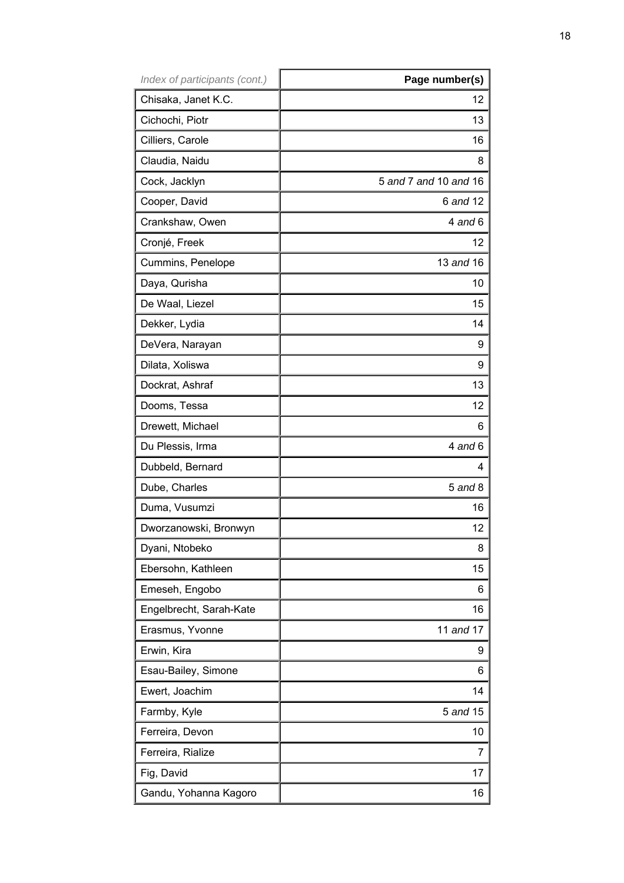| Index of participants (cont.) | Page number(s)        |
|-------------------------------|-----------------------|
| Chisaka, Janet K.C.           | 12                    |
| Cichochi, Piotr               | 13                    |
| Cilliers, Carole              | 16                    |
| Claudia, Naidu                | 8                     |
| Cock, Jacklyn                 | 5 and 7 and 10 and 16 |
| Cooper, David                 | 6 and 12              |
| Crankshaw, Owen               | $4$ and $6$           |
| Cronjé, Freek                 | 12                    |
| Cummins, Penelope             | 13 and 16             |
| Daya, Qurisha                 | 10                    |
| De Waal, Liezel               | 15                    |
| Dekker, Lydia                 | 14                    |
| DeVera, Narayan               | 9                     |
| Dilata, Xoliswa               | 9                     |
| Dockrat, Ashraf               | 13                    |
| Dooms, Tessa                  | 12                    |
| Drewett, Michael              | 6                     |
| Du Plessis, Irma              | $4$ and $6$           |
| Dubbeld, Bernard              | 4                     |
| Dube, Charles                 | $5$ and $8$           |
| Duma, Vusumzi                 | 16                    |
| Dworzanowski, Bronwyn         | 12                    |
| Dyani, Ntobeko                | 8                     |
| Ebersohn, Kathleen            | 15                    |
| Emeseh, Engobo                | 6                     |
| Engelbrecht, Sarah-Kate       | 16                    |
| Erasmus, Yvonne               | 11 and 17             |
| Erwin, Kira                   | 9                     |
| Esau-Bailey, Simone           | 6                     |
| Ewert, Joachim                | 14                    |
| Farmby, Kyle                  | 5 and 15              |
| Ferreira, Devon               | 10                    |
| Ferreira, Rialize             | 7                     |
| Fig, David                    | 17                    |
| Gandu, Yohanna Kagoro         | 16                    |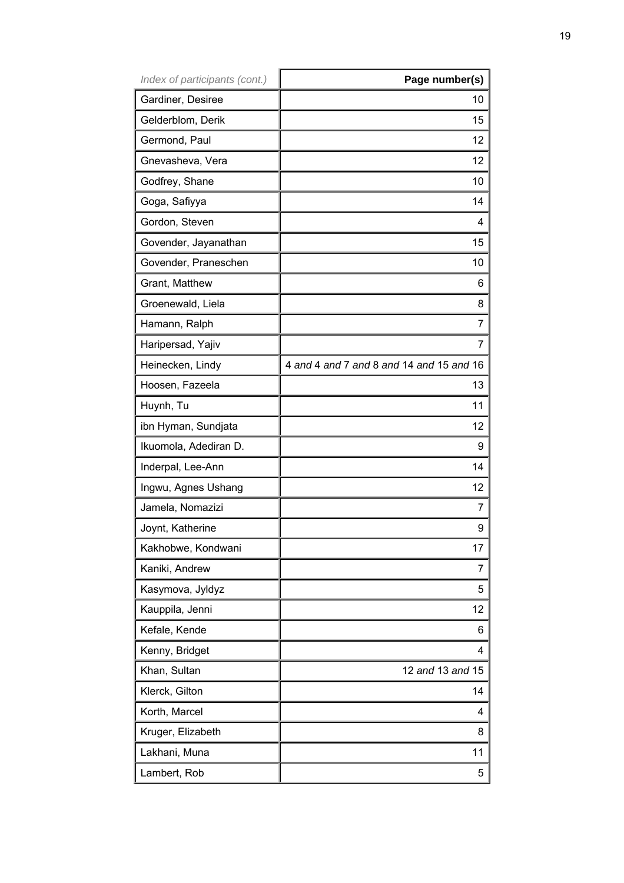| Index of participants (cont.) | Page number(s)                           |
|-------------------------------|------------------------------------------|
| Gardiner, Desiree             | 10                                       |
| Gelderblom, Derik             | 15                                       |
| Germond, Paul                 | 12                                       |
| Gnevasheva, Vera              | 12                                       |
| Godfrey, Shane                | 10                                       |
| Goga, Safiyya                 | 14                                       |
| Gordon, Steven                | 4                                        |
| Govender, Jayanathan          | 15                                       |
| Govender, Praneschen          | 10                                       |
| Grant, Matthew                | 6                                        |
| Groenewald, Liela             | 8                                        |
| Hamann, Ralph                 | 7                                        |
| Haripersad, Yajiv             | 7                                        |
| Heinecken, Lindy              | 4 and 4 and 7 and 8 and 14 and 15 and 16 |
| Hoosen, Fazeela               | 13                                       |
| Huynh, Tu                     | 11                                       |
| ibn Hyman, Sundjata           | 12                                       |
| Ikuomola, Adediran D.         | 9                                        |
| Inderpal, Lee-Ann             | 14                                       |
| Ingwu, Agnes Ushang           | 12                                       |
| Jamela, Nomazizi              | 7                                        |
| Joynt, Katherine              | 9                                        |
| Kakhobwe, Kondwani            | 17                                       |
| Kaniki, Andrew                | 7                                        |
| Kasymova, Jyldyz              | 5                                        |
| Kauppila, Jenni               | 12                                       |
| Kefale, Kende                 | 6                                        |
| Kenny, Bridget                | 4                                        |
| Khan, Sultan                  | 12 and 13 and 15                         |
| Klerck, Gilton                | 14                                       |
| Korth, Marcel                 | 4                                        |
| Kruger, Elizabeth             | 8                                        |
| Lakhani, Muna                 | 11                                       |
| Lambert, Rob                  | 5                                        |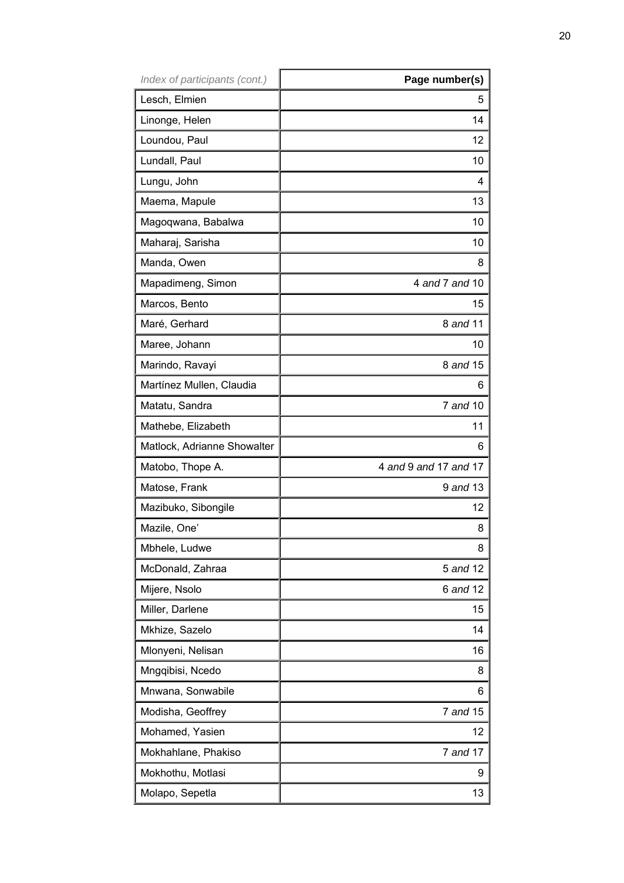| Index of participants (cont.) | Page number(s)        |
|-------------------------------|-----------------------|
| Lesch, Elmien                 | 5                     |
| Linonge, Helen                | 14                    |
| Loundou, Paul                 | 12 <sup>2</sup>       |
| Lundall, Paul                 | 10 <sup>°</sup>       |
| Lungu, John                   | 4                     |
| Maema, Mapule                 | 13                    |
| Magoqwana, Babalwa            | 10 <sub>1</sub>       |
| Maharaj, Sarisha              | 10 <sup>°</sup>       |
| Manda, Owen                   | 8                     |
| Mapadimeng, Simon             | 4 and 7 and 10        |
| Marcos, Bento                 | 15                    |
| Maré, Gerhard                 | 8 and 11              |
| Maree, Johann                 | 10 <sup>°</sup>       |
| Marindo, Ravayi               | 8 and 15              |
| Martínez Mullen, Claudia      | 6                     |
| Matatu, Sandra                | 7 and 10              |
| Mathebe, Elizabeth            | 11                    |
| Matlock, Adrianne Showalter   | 6                     |
| Matobo, Thope A.              | 4 and 9 and 17 and 17 |
| Matose, Frank                 | 9 and 13              |
| Mazibuko, Sibongile           | 12 <sub>2</sub>       |
| Mazile, One'                  | 8                     |
| Mbhele, Ludwe                 | 8                     |
| McDonald, Zahraa              | 5 and 12              |
| Mijere, Nsolo                 | 6 and 12              |
| Miller, Darlene               | 15                    |
| Mkhize, Sazelo                | 14                    |
| Mlonyeni, Nelisan             | 16                    |
| Mngqibisi, Ncedo              | 8                     |
| Mnwana, Sonwabile             | 6                     |
| Modisha, Geoffrey             | 7 and 15              |
| Mohamed, Yasien               | 12                    |
| Mokhahlane, Phakiso           | 7 and 17              |
| Mokhothu, Motlasi             | 9                     |
| Molapo, Sepetla               | 13 <sup>°</sup>       |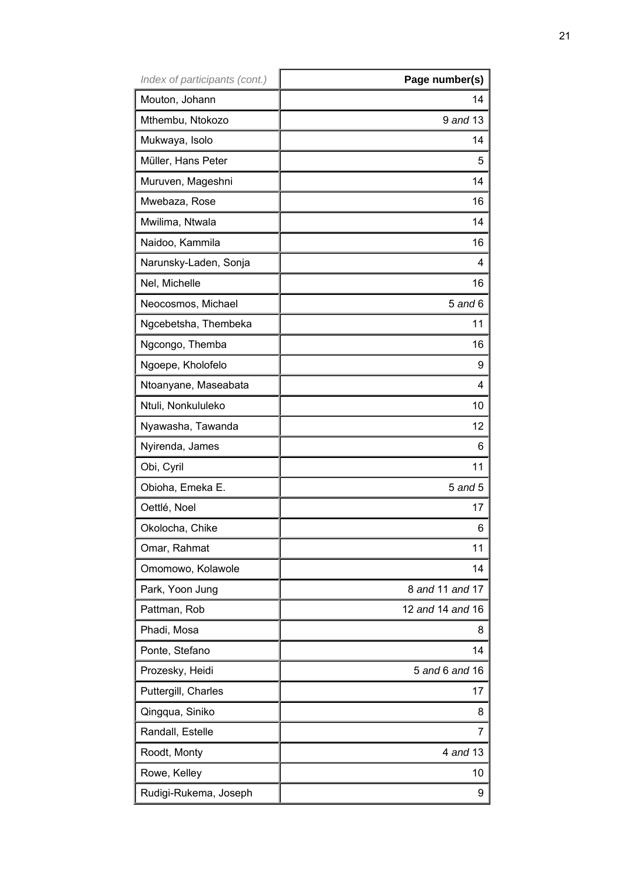| Index of participants (cont.) | Page number(s)   |
|-------------------------------|------------------|
| Mouton, Johann                | 14               |
| Mthembu, Ntokozo              | 9 and 13         |
| Mukwaya, Isolo                | 14               |
| Müller, Hans Peter            | 5                |
| Muruven, Mageshni             | 14               |
| Mwebaza, Rose                 | 16               |
| Mwilima, Ntwala               | 14               |
| Naidoo, Kammila               | 16               |
| Narunsky-Laden, Sonja         | 4                |
| Nel, Michelle                 | 16               |
| Neocosmos, Michael            | $5$ and $6$      |
| Ngcebetsha, Thembeka          | 11               |
| Ngcongo, Themba               | 16               |
| Ngoepe, Kholofelo             | 9                |
| Ntoanyane, Maseabata          | 4                |
| Ntuli, Nonkululeko            | 10               |
| Nyawasha, Tawanda             | 12               |
| Nyirenda, James               | 6                |
| Obi, Cyril                    | 11               |
| Obioha, Emeka E.              | $5$ and $5$      |
| Oettlé, Noel                  | 17               |
| Okolocha, Chike               | 6                |
| Omar, Rahmat                  | 11               |
| Omomowo, Kolawole             | 14               |
| Park, Yoon Jung               | 8 and 11 and 17  |
| Pattman, Rob                  | 12 and 14 and 16 |
| Phadi, Mosa                   | 8                |
| Ponte, Stefano                | 14               |
| Prozesky, Heidi               | 5 and 6 and 16   |
| Puttergill, Charles           | 17               |
| Qingqua, Siniko               | 8                |
| Randall, Estelle              | 7                |
| Roodt, Monty                  | 4 and 13         |
| Rowe, Kelley                  | 10               |
| Rudigi-Rukema, Joseph         | 9                |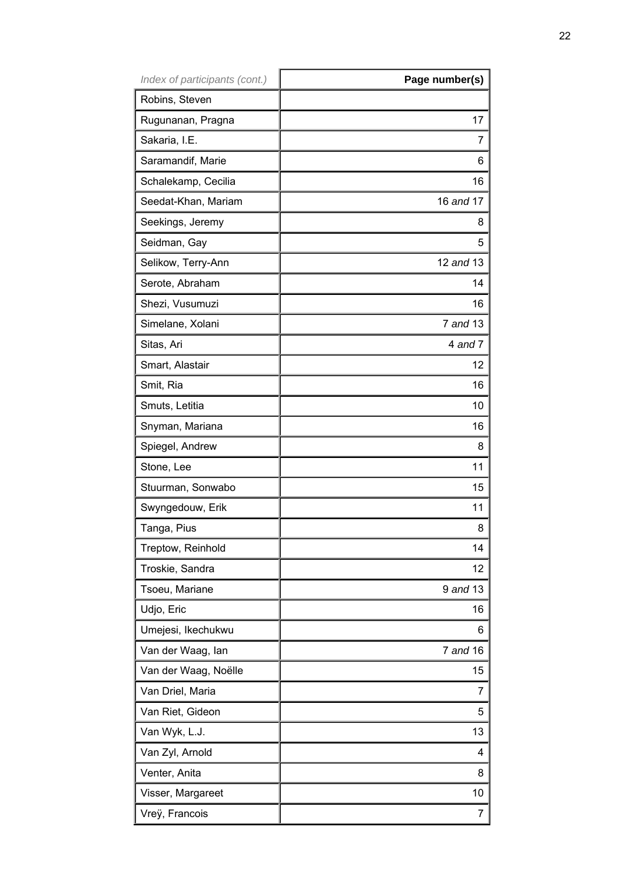| Index of participants (cont.) | Page number(s) |
|-------------------------------|----------------|
| Robins, Steven                |                |
| Rugunanan, Pragna             | 17             |
| Sakaria, I.E.                 | 7              |
| Saramandif, Marie             | 6              |
| Schalekamp, Cecilia           | 16             |
| Seedat-Khan, Mariam           | 16 and 17      |
| Seekings, Jeremy              | 8              |
| Seidman, Gay                  | 5              |
| Selikow, Terry-Ann            | 12 and 13      |
| Serote, Abraham               | 14             |
| Shezi, Vusumuzi               | 16             |
| Simelane, Xolani              | 7 and 13       |
| Sitas, Ari                    | 4 and 7        |
| Smart, Alastair               | 12             |
| Smit, Ria                     | 16             |
| Smuts, Letitia                | 10             |
| Snyman, Mariana               | 16             |
| Spiegel, Andrew               | 8              |
| Stone, Lee                    | 11             |
| Stuurman, Sonwabo             | 15             |
| Swyngedouw, Erik              | 11             |
| Tanga, Pius                   | 8              |
| Treptow, Reinhold             | 14             |
| Troskie, Sandra               | 12             |
| Tsoeu, Mariane                | 9 and 13       |
| Udjo, Eric                    | 16             |
| Umejesi, Ikechukwu            | 6              |
| Van der Waag, lan             | 7 and 16       |
| Van der Waag, Noëlle          | 15             |
| Van Driel, Maria              | 7              |
| Van Riet, Gideon              | 5              |
| Van Wyk, L.J.                 | 13             |
| Van Zyl, Arnold               | 4              |
| Venter, Anita                 | 8              |
| Visser, Margareet             | 10             |
| Vreÿ, Francois                | 7              |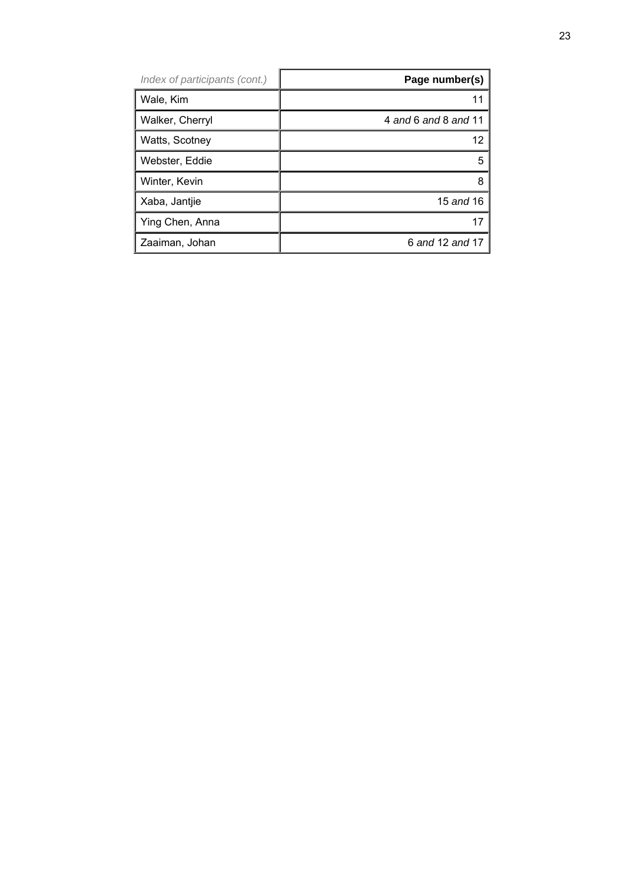| Index of participants (cont.) | Page number(s)       |
|-------------------------------|----------------------|
| Wale, Kim                     |                      |
| Walker, Cherryl               | 4 and 6 and 8 and 11 |
| Watts, Scotney                | 12                   |
| Webster, Eddie                | 5                    |
| Winter, Kevin                 | 8                    |
| Xaba, Jantjie                 | 15 and 16            |
| Ying Chen, Anna               |                      |
| Zaaiman, Johan                | 6 and 12 and 17      |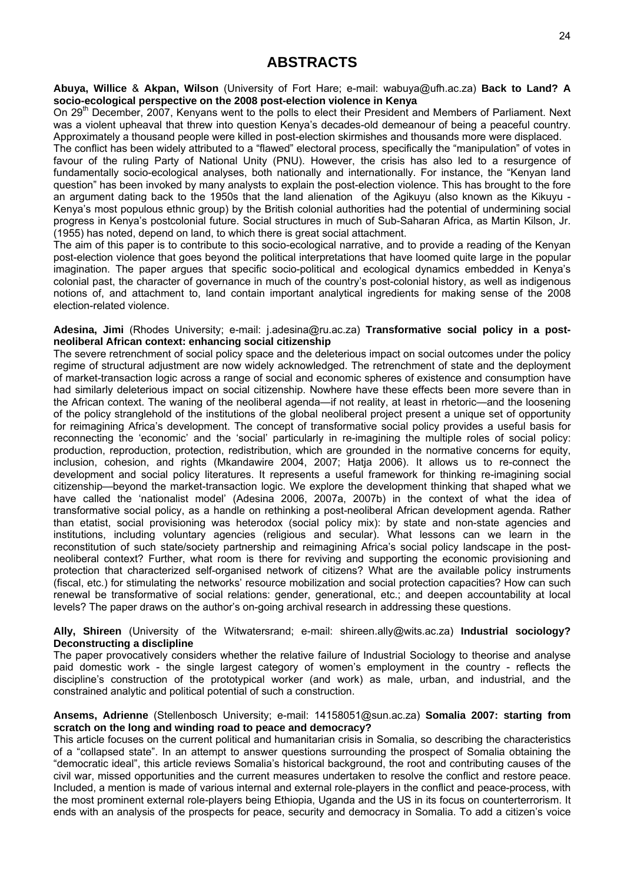### **ABSTRACTS**

**Abuya, Willice** & **Akpan, Wilson** (University of Fort Hare; e-mail: wabuya@ufh.ac.za) **Back to Land? A socio-ecological perspective on the 2008 post-election violence in Kenya** 

On 29<sup>th</sup> December, 2007, Kenyans went to the polls to elect their President and Members of Parliament. Next was a violent upheaval that threw into question Kenya's decades-old demeanour of being a peaceful country. Approximately a thousand people were killed in post-election skirmishes and thousands more were displaced.

The conflict has been widely attributed to a "flawed" electoral process, specifically the "manipulation" of votes in favour of the ruling Party of National Unity (PNU). However, the crisis has also led to a resurgence of fundamentally socio-ecological analyses, both nationally and internationally. For instance, the "Kenyan land question" has been invoked by many analysts to explain the post-election violence. This has brought to the fore an argument dating back to the 1950s that the land alienation of the Agikuyu (also known as the Kikuyu - Kenya's most populous ethnic group) by the British colonial authorities had the potential of undermining social progress in Kenya's postcolonial future. Social structures in much of Sub-Saharan Africa, as Martin Kilson, Jr. (1955) has noted, depend on land, to which there is great social attachment.

The aim of this paper is to contribute to this socio-ecological narrative, and to provide a reading of the Kenyan post-election violence that goes beyond the political interpretations that have loomed quite large in the popular imagination. The paper argues that specific socio-political and ecological dynamics embedded in Kenya's colonial past, the character of governance in much of the country's post-colonial history, as well as indigenous notions of, and attachment to, land contain important analytical ingredients for making sense of the 2008 election-related violence.

#### **Adesina, Jimi** (Rhodes University; e-mail: j.adesina@ru.ac.za) **Transformative social policy in a postneoliberal African context: enhancing social citizenship**

The severe retrenchment of social policy space and the deleterious impact on social outcomes under the policy regime of structural adjustment are now widely acknowledged. The retrenchment of state and the deployment of market-transaction logic across a range of social and economic spheres of existence and consumption have had similarly deleterious impact on social citizenship. Nowhere have these effects been more severe than in the African context. The waning of the neoliberal agenda—if not reality, at least in rhetoric—and the loosening of the policy stranglehold of the institutions of the global neoliberal project present a unique set of opportunity for reimagining Africa's development. The concept of transformative social policy provides a useful basis for reconnecting the 'economic' and the 'social' particularly in re-imagining the multiple roles of social policy: production, reproduction, protection, redistribution, which are grounded in the normative concerns for equity, inclusion, cohesion, and rights (Mkandawire 2004, 2007; Hatja 2006). It allows us to re-connect the development and social policy literatures. It represents a useful framework for thinking re-imagining social citizenship—beyond the market-transaction logic. We explore the development thinking that shaped what we have called the 'nationalist model' (Adesina 2006, 2007a, 2007b) in the context of what the idea of transformative social policy, as a handle on rethinking a post-neoliberal African development agenda. Rather than etatist, social provisioning was heterodox (social policy mix): by state and non-state agencies and institutions, including voluntary agencies (religious and secular). What lessons can we learn in the reconstitution of such state/society partnership and reimagining Africa's social policy landscape in the postneoliberal context? Further, what room is there for reviving and supporting the economic provisioning and protection that characterized self-organised network of citizens? What are the available policy instruments (fiscal, etc.) for stimulating the networks' resource mobilization and social protection capacities? How can such renewal be transformative of social relations: gender, generational, etc.; and deepen accountability at local levels? The paper draws on the author's on-going archival research in addressing these questions.

#### **Ally, Shireen** (University of the Witwatersrand; e-mail: shireen.ally@wits.ac.za) **Industrial sociology? Deconstructing a disclipline**

The paper provocatively considers whether the relative failure of Industrial Sociology to theorise and analyse paid domestic work - the single largest category of women's employment in the country - reflects the discipline's construction of the prototypical worker (and work) as male, urban, and industrial, and the constrained analytic and political potential of such a construction.

#### **Ansems, Adrienne** (Stellenbosch University; e-mail: 14158051@sun.ac.za) **Somalia 2007: starting from scratch on the long and winding road to peace and democracy?**

This article focuses on the current political and humanitarian crisis in Somalia, so describing the characteristics of a "collapsed state". In an attempt to answer questions surrounding the prospect of Somalia obtaining the "democratic ideal", this article reviews Somalia's historical background, the root and contributing causes of the civil war, missed opportunities and the current measures undertaken to resolve the conflict and restore peace. Included, a mention is made of various internal and external role-players in the conflict and peace-process, with the most prominent external role-players being Ethiopia, Uganda and the US in its focus on counterterrorism. It ends with an analysis of the prospects for peace, security and democracy in Somalia. To add a citizen's voice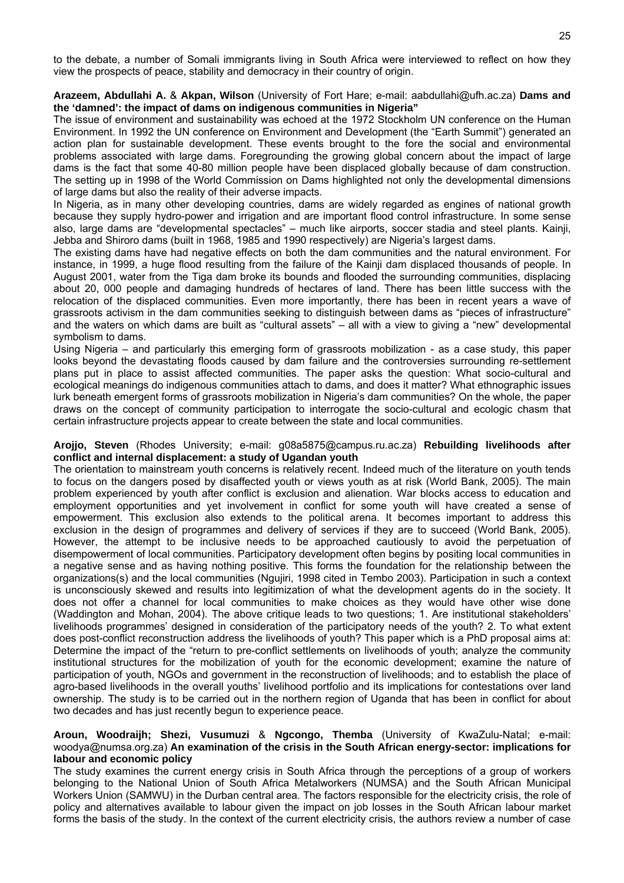to the debate, a number of Somali immigrants living in South Africa were interviewed to reflect on how they view the prospects of peace, stability and democracy in their country of origin.

#### **Arazeem, Abdullahi A.** & **Akpan, Wilson** (University of Fort Hare; e-mail: aabdullahi@ufh.ac.za) **Dams and the 'damned': the impact of dams on indigenous communities in Nigeria"**

The issue of environment and sustainability was echoed at the 1972 Stockholm UN conference on the Human Environment. In 1992 the UN conference on Environment and Development (the "Earth Summit") generated an action plan for sustainable development. These events brought to the fore the social and environmental problems associated with large dams. Foregrounding the growing global concern about the impact of large dams is the fact that some 40-80 million people have been displaced globally because of dam construction. The setting up in 1998 of the World Commission on Dams highlighted not only the developmental dimensions of large dams but also the reality of their adverse impacts.

In Nigeria, as in many other developing countries, dams are widely regarded as engines of national growth because they supply hydro-power and irrigation and are important flood control infrastructure. In some sense also, large dams are "developmental spectacles" – much like airports, soccer stadia and steel plants. Kainji, Jebba and Shiroro dams (built in 1968, 1985 and 1990 respectively) are Nigeria's largest dams.

The existing dams have had negative effects on both the dam communities and the natural environment. For instance, in 1999, a huge flood resulting from the failure of the Kainji dam displaced thousands of people. In August 2001, water from the Tiga dam broke its bounds and flooded the surrounding communities, displacing about 20, 000 people and damaging hundreds of hectares of land. There has been little success with the relocation of the displaced communities. Even more importantly, there has been in recent years a wave of grassroots activism in the dam communities seeking to distinguish between dams as "pieces of infrastructure" and the waters on which dams are built as "cultural assets" – all with a view to giving a "new" developmental symbolism to dams.

Using Nigeria – and particularly this emerging form of grassroots mobilization - as a case study, this paper looks beyond the devastating floods caused by dam failure and the controversies surrounding re-settlement plans put in place to assist affected communities. The paper asks the question: What socio-cultural and ecological meanings do indigenous communities attach to dams, and does it matter? What ethnographic issues lurk beneath emergent forms of grassroots mobilization in Nigeria's dam communities? On the whole, the paper draws on the concept of community participation to interrogate the socio-cultural and ecologic chasm that certain infrastructure projects appear to create between the state and local communities.

#### **Arojjo, Steven** (Rhodes University; e-mail: g08a5875@campus.ru.ac.za) **Rebuilding livelihoods after conflict and internal displacement: a study of Ugandan youth**

The orientation to mainstream youth concerns is relatively recent. Indeed much of the literature on youth tends to focus on the dangers posed by disaffected youth or views youth as at risk (World Bank, 2005). The main problem experienced by youth after conflict is exclusion and alienation. War blocks access to education and employment opportunities and yet involvement in conflict for some youth will have created a sense of empowerment. This exclusion also extends to the political arena. It becomes important to address this exclusion in the design of programmes and delivery of services if they are to succeed (World Bank, 2005). However, the attempt to be inclusive needs to be approached cautiously to avoid the perpetuation of disempowerment of local communities. Participatory development often begins by positing local communities in a negative sense and as having nothing positive. This forms the foundation for the relationship between the organizations(s) and the local communities (Ngujiri, 1998 cited in Tembo 2003). Participation in such a context is unconsciously skewed and results into legitimization of what the development agents do in the society. It does not offer a channel for local communities to make choices as they would have other wise done (Waddington and Mohan, 2004). The above critique leads to two questions; 1. Are institutional stakeholders' livelihoods programmes' designed in consideration of the participatory needs of the youth? 2. To what extent does post-conflict reconstruction address the livelihoods of youth? This paper which is a PhD proposal aims at: Determine the impact of the "return to pre-conflict settlements on livelihoods of youth; analyze the community institutional structures for the mobilization of youth for the economic development; examine the nature of participation of youth, NGOs and government in the reconstruction of livelihoods; and to establish the place of agro-based livelihoods in the overall youths' livelihood portfolio and its implications for contestations over land ownership. The study is to be carried out in the northern region of Uganda that has been in conflict for about two decades and has just recently begun to experience peace.

#### **Aroun, Woodraijh; Shezi, Vusumuzi** & **Ngcongo, Themba** (University of KwaZulu-Natal; e-mail: woodya@numsa.org.za) **An examination of the crisis in the South African energy-sector: implications for labour and economic policy**

The study examines the current energy crisis in South Africa through the perceptions of a group of workers belonging to the National Union of South Africa Metalworkers (NUMSA) and the South African Municipal Workers Union (SAMWU) in the Durban central area. The factors responsible for the electricity crisis, the role of policy and alternatives available to labour given the impact on job losses in the South African labour market forms the basis of the study. In the context of the current electricity crisis, the authors review a number of case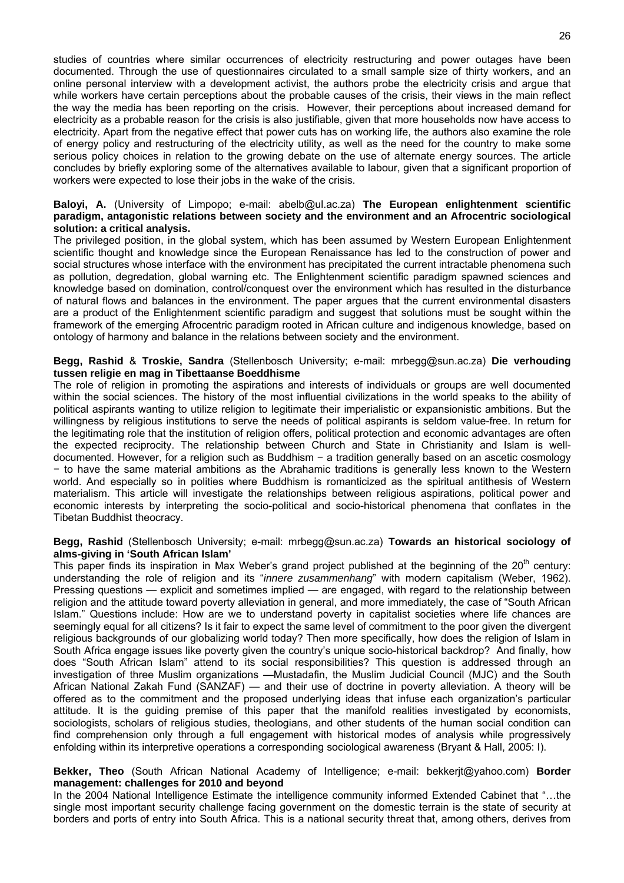studies of countries where similar occurrences of electricity restructuring and power outages have been documented. Through the use of questionnaires circulated to a small sample size of thirty workers, and an online personal interview with a development activist, the authors probe the electricity crisis and argue that while workers have certain perceptions about the probable causes of the crisis, their views in the main reflect the way the media has been reporting on the crisis. However, their perceptions about increased demand for electricity as a probable reason for the crisis is also justifiable, given that more households now have access to electricity. Apart from the negative effect that power cuts has on working life, the authors also examine the role of energy policy and restructuring of the electricity utility, as well as the need for the country to make some serious policy choices in relation to the growing debate on the use of alternate energy sources. The article concludes by briefly exploring some of the alternatives available to labour, given that a significant proportion of workers were expected to lose their jobs in the wake of the crisis.

#### **Baloyi, A.** (University of Limpopo; e-mail: abelb@ul.ac.za) **The European enlightenment scientific paradigm, antagonistic relations between society and the environment and an Afrocentric sociological solution: a critical analysis.**

The privileged position, in the global system, which has been assumed by Western European Enlightenment scientific thought and knowledge since the European Renaissance has led to the construction of power and social structures whose interface with the environment has precipitated the current intractable phenomena such as pollution, degredation, global warning etc. The Enlightenment scientific paradigm spawned sciences and knowledge based on domination, control/conquest over the environment which has resulted in the disturbance of natural flows and balances in the environment. The paper argues that the current environmental disasters are a product of the Enlightenment scientific paradigm and suggest that solutions must be sought within the framework of the emerging Afrocentric paradigm rooted in African culture and indigenous knowledge, based on ontology of harmony and balance in the relations between society and the environment.

#### **Begg, Rashid** & **Troskie, Sandra** (Stellenbosch University; e-mail: mrbegg@sun.ac.za) **Die verhouding tussen religie en mag in Tibettaanse Boeddhisme**

The role of religion in promoting the aspirations and interests of individuals or groups are well documented within the social sciences. The history of the most influential civilizations in the world speaks to the ability of political aspirants wanting to utilize religion to legitimate their imperialistic or expansionistic ambitions. But the willingness by religious institutions to serve the needs of political aspirants is seldom value-free. In return for the legitimating role that the institution of religion offers, political protection and economic advantages are often the expected reciprocity. The relationship between Church and State in Christianity and Islam is welldocumented. However, for a religion such as Buddhism − a tradition generally based on an ascetic cosmology − to have the same material ambitions as the Abrahamic traditions is generally less known to the Western world. And especially so in polities where Buddhism is romanticized as the spiritual antithesis of Western materialism. This article will investigate the relationships between religious aspirations, political power and economic interests by interpreting the socio-political and socio-historical phenomena that conflates in the Tibetan Buddhist theocracy.

#### **Begg, Rashid** (Stellenbosch University; e-mail: mrbegg@sun.ac.za) **Towards an historical sociology of alms-giving in 'South African Islam'**

This paper finds its inspiration in Max Weber's grand project published at the beginning of the 20<sup>th</sup> century: understanding the role of religion and its "*innere zusammenhang*" with modern capitalism (Weber, 1962). Pressing questions — explicit and sometimes implied — are engaged, with regard to the relationship between religion and the attitude toward poverty alleviation in general, and more immediately, the case of "South African Islam." Questions include: How are we to understand poverty in capitalist societies where life chances are seemingly equal for all citizens? Is it fair to expect the same level of commitment to the poor given the divergent religious backgrounds of our globalizing world today? Then more specifically, how does the religion of Islam in South Africa engage issues like poverty given the country's unique socio-historical backdrop? And finally, how does "South African Islam" attend to its social responsibilities? This question is addressed through an investigation of three Muslim organizations —Mustadafin, the Muslim Judicial Council (MJC) and the South African National Zakah Fund (SANZAF) — and their use of doctrine in poverty alleviation. A theory will be offered as to the commitment and the proposed underlying ideas that infuse each organization's particular attitude. It is the guiding premise of this paper that the manifold realities investigated by economists, sociologists, scholars of religious studies, theologians, and other students of the human social condition can find comprehension only through a full engagement with historical modes of analysis while progressively enfolding within its interpretive operations a corresponding sociological awareness (Bryant & Hall, 2005: I).

#### **Bekker, Theo** (South African National Academy of Intelligence; e-mail: bekkerjt@yahoo.com) **Border management: challenges for 2010 and beyond**

In the 2004 National Intelligence Estimate the intelligence community informed Extended Cabinet that "…the single most important security challenge facing government on the domestic terrain is the state of security at borders and ports of entry into South Africa. This is a national security threat that, among others, derives from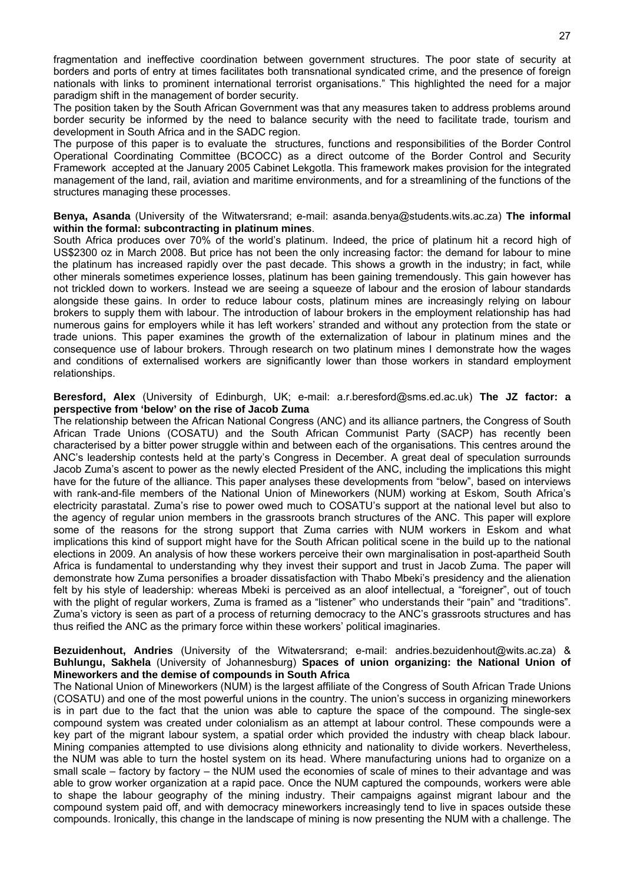fragmentation and ineffective coordination between government structures. The poor state of security at borders and ports of entry at times facilitates both transnational syndicated crime, and the presence of foreign nationals with links to prominent international terrorist organisations." This highlighted the need for a major paradigm shift in the management of border security.

The position taken by the South African Government was that any measures taken to address problems around border security be informed by the need to balance security with the need to facilitate trade, tourism and development in South Africa and in the SADC region.

The purpose of this paper is to evaluate the structures, functions and responsibilities of the Border Control Operational Coordinating Committee (BCOCC) as a direct outcome of the Border Control and Security Framework accepted at the January 2005 Cabinet Lekgotla. This framework makes provision for the integrated management of the land, rail, aviation and maritime environments, and for a streamlining of the functions of the structures managing these processes.

**Benya, Asanda** (University of the Witwatersrand; e-mail: asanda.benya@students.wits.ac.za) **The informal within the formal: subcontracting in platinum mines**.

South Africa produces over 70% of the world's platinum. Indeed, the price of platinum hit a record high of US\$2300 oz in March 2008. But price has not been the only increasing factor: the demand for labour to mine the platinum has increased rapidly over the past decade. This shows a growth in the industry; in fact, while other minerals sometimes experience losses, platinum has been gaining tremendously. This gain however has not trickled down to workers. Instead we are seeing a squeeze of labour and the erosion of labour standards alongside these gains. In order to reduce labour costs, platinum mines are increasingly relying on labour brokers to supply them with labour. The introduction of labour brokers in the employment relationship has had numerous gains for employers while it has left workers' stranded and without any protection from the state or trade unions. This paper examines the growth of the externalization of labour in platinum mines and the consequence use of labour brokers. Through research on two platinum mines I demonstrate how the wages and conditions of externalised workers are significantly lower than those workers in standard employment relationships.

**Beresford, Alex** (University of Edinburgh, UK; e-mail: a.r.beresford@sms.ed.ac.uk) **The JZ factor: a perspective from 'below' on the rise of Jacob Zuma**

The relationship between the African National Congress (ANC) and its alliance partners, the Congress of South African Trade Unions (COSATU) and the South African Communist Party (SACP) has recently been characterised by a bitter power struggle within and between each of the organisations. This centres around the ANC's leadership contests held at the party's Congress in December. A great deal of speculation surrounds Jacob Zuma's ascent to power as the newly elected President of the ANC, including the implications this might have for the future of the alliance. This paper analyses these developments from "below", based on interviews with rank-and-file members of the National Union of Mineworkers (NUM) working at Eskom, South Africa's electricity parastatal. Zuma's rise to power owed much to COSATU's support at the national level but also to the agency of regular union members in the grassroots branch structures of the ANC. This paper will explore some of the reasons for the strong support that Zuma carries with NUM workers in Eskom and what implications this kind of support might have for the South African political scene in the build up to the national elections in 2009. An analysis of how these workers perceive their own marginalisation in post-apartheid South Africa is fundamental to understanding why they invest their support and trust in Jacob Zuma. The paper will demonstrate how Zuma personifies a broader dissatisfaction with Thabo Mbeki's presidency and the alienation felt by his style of leadership: whereas Mbeki is perceived as an aloof intellectual, a "foreigner", out of touch with the plight of regular workers, Zuma is framed as a "listener" who understands their "pain" and "traditions". Zuma's victory is seen as part of a process of returning democracy to the ANC's grassroots structures and has thus reified the ANC as the primary force within these workers' political imaginaries.

#### **Bezuidenhout, Andries** (University of the Witwatersrand; e-mail: andries.bezuidenhout@wits.ac.za) & **Buhlungu, Sakhela** (University of Johannesburg) **Spaces of union organizing: the National Union of Mineworkers and the demise of compounds in South Africa**

The National Union of Mineworkers (NUM) is the largest affiliate of the Congress of South African Trade Unions (COSATU) and one of the most powerful unions in the country. The union's success in organizing mineworkers is in part due to the fact that the union was able to capture the space of the compound. The single-sex compound system was created under colonialism as an attempt at labour control. These compounds were a key part of the migrant labour system, a spatial order which provided the industry with cheap black labour. Mining companies attempted to use divisions along ethnicity and nationality to divide workers. Nevertheless, the NUM was able to turn the hostel system on its head. Where manufacturing unions had to organize on a small scale – factory by factory – the NUM used the economies of scale of mines to their advantage and was able to grow worker organization at a rapid pace. Once the NUM captured the compounds, workers were able to shape the labour geography of the mining industry. Their campaigns against migrant labour and the compound system paid off, and with democracy mineworkers increasingly tend to live in spaces outside these compounds. Ironically, this change in the landscape of mining is now presenting the NUM with a challenge. The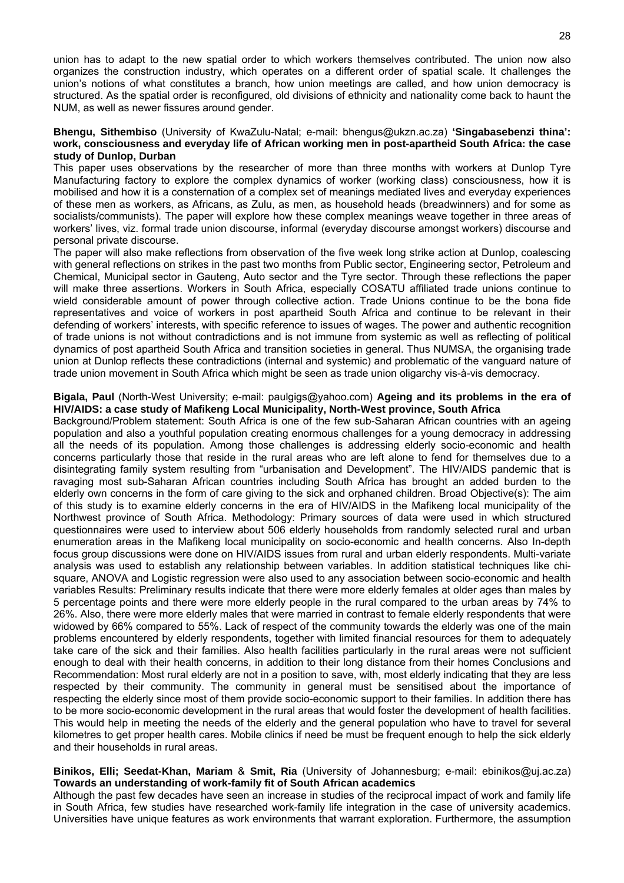union has to adapt to the new spatial order to which workers themselves contributed. The union now also organizes the construction industry, which operates on a different order of spatial scale. It challenges the union's notions of what constitutes a branch, how union meetings are called, and how union democracy is structured. As the spatial order is reconfigured, old divisions of ethnicity and nationality come back to haunt the NUM, as well as newer fissures around gender.

#### **Bhengu, Sithembiso** (University of KwaZulu-Natal; e-mail: bhengus@ukzn.ac.za) **'Singabasebenzi thina': work, consciousness and everyday life of African working men in post-apartheid South Africa: the case study of Dunlop, Durban**

This paper uses observations by the researcher of more than three months with workers at Dunlop Tyre Manufacturing factory to explore the complex dynamics of worker (working class) consciousness, how it is mobilised and how it is a consternation of a complex set of meanings mediated lives and everyday experiences of these men as workers, as Africans, as Zulu, as men, as household heads (breadwinners) and for some as socialists/communists). The paper will explore how these complex meanings weave together in three areas of workers' lives, viz. formal trade union discourse, informal (everyday discourse amongst workers) discourse and personal private discourse.

The paper will also make reflections from observation of the five week long strike action at Dunlop, coalescing with general reflections on strikes in the past two months from Public sector, Engineering sector, Petroleum and Chemical, Municipal sector in Gauteng, Auto sector and the Tyre sector. Through these reflections the paper will make three assertions. Workers in South Africa, especially COSATU affiliated trade unions continue to wield considerable amount of power through collective action. Trade Unions continue to be the bona fide representatives and voice of workers in post apartheid South Africa and continue to be relevant in their defending of workers' interests, with specific reference to issues of wages. The power and authentic recognition of trade unions is not without contradictions and is not immune from systemic as well as reflecting of political dynamics of post apartheid South Africa and transition societies in general. Thus NUMSA, the organising trade union at Dunlop reflects these contradictions (internal and systemic) and problematic of the vanguard nature of trade union movement in South Africa which might be seen as trade union oligarchy vis-à-vis democracy.

#### **Bigala, Paul** (North-West University; e-mail: paulgigs@yahoo.com) **Ageing and its problems in the era of HIV/AIDS: a case study of Mafikeng Local Municipality, North-West province, South Africa**

Background/Problem statement: South Africa is one of the few sub-Saharan African countries with an ageing population and also a youthful population creating enormous challenges for a young democracy in addressing all the needs of its population. Among those challenges is addressing elderly socio-economic and health concerns particularly those that reside in the rural areas who are left alone to fend for themselves due to a disintegrating family system resulting from "urbanisation and Development". The HIV/AIDS pandemic that is ravaging most sub-Saharan African countries including South Africa has brought an added burden to the elderly own concerns in the form of care giving to the sick and orphaned children. Broad Objective(s): The aim of this study is to examine elderly concerns in the era of HIV/AIDS in the Mafikeng local municipality of the Northwest province of South Africa. Methodology: Primary sources of data were used in which structured questionnaires were used to interview about 506 elderly households from randomly selected rural and urban enumeration areas in the Mafikeng local municipality on socio-economic and health concerns. Also In-depth focus group discussions were done on HIV/AIDS issues from rural and urban elderly respondents. Multi-variate analysis was used to establish any relationship between variables. In addition statistical techniques like chisquare, ANOVA and Logistic regression were also used to any association between socio-economic and health variables Results: Preliminary results indicate that there were more elderly females at older ages than males by 5 percentage points and there were more elderly people in the rural compared to the urban areas by 74% to 26%. Also, there were more elderly males that were married in contrast to female elderly respondents that were widowed by 66% compared to 55%. Lack of respect of the community towards the elderly was one of the main problems encountered by elderly respondents, together with limited financial resources for them to adequately take care of the sick and their families. Also health facilities particularly in the rural areas were not sufficient enough to deal with their health concerns, in addition to their long distance from their homes Conclusions and Recommendation: Most rural elderly are not in a position to save, with, most elderly indicating that they are less respected by their community. The community in general must be sensitised about the importance of respecting the elderly since most of them provide socio-economic support to their families. In addition there has to be more socio-economic development in the rural areas that would foster the development of health facilities. This would help in meeting the needs of the elderly and the general population who have to travel for several kilometres to get proper health cares. Mobile clinics if need be must be frequent enough to help the sick elderly and their households in rural areas.

#### **Binikos, Elli; Seedat-Khan, Mariam** & **Smit, Ria** (University of Johannesburg; e-mail: ebinikos@uj.ac.za) **Towards an understanding of work-family fit of South African academics**

Although the past few decades have seen an increase in studies of the reciprocal impact of work and family life in South Africa, few studies have researched work-family life integration in the case of university academics. Universities have unique features as work environments that warrant exploration. Furthermore, the assumption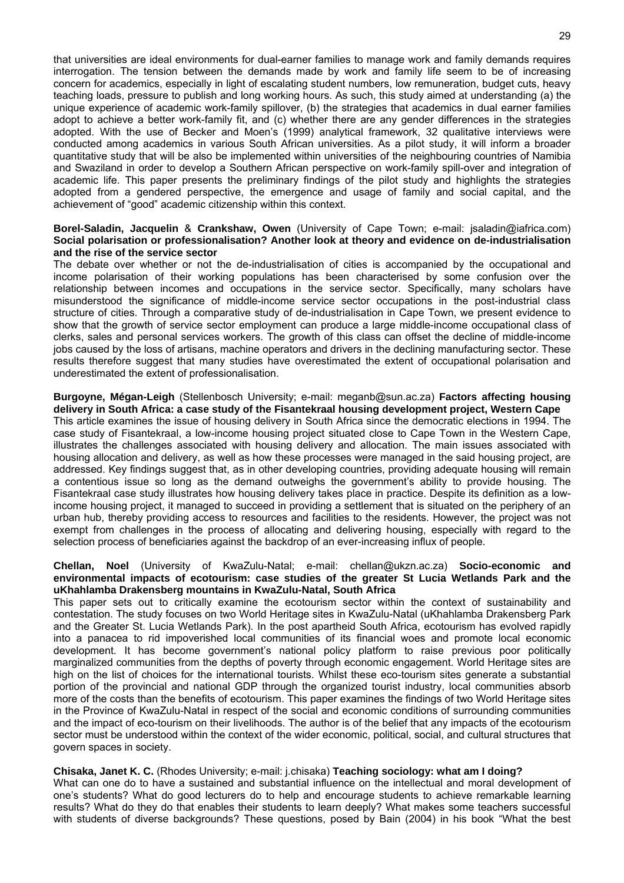that universities are ideal environments for dual-earner families to manage work and family demands requires interrogation. The tension between the demands made by work and family life seem to be of increasing concern for academics, especially in light of escalating student numbers, low remuneration, budget cuts, heavy teaching loads, pressure to publish and long working hours. As such, this study aimed at understanding (a) the unique experience of academic work-family spillover, (b) the strategies that academics in dual earner families adopt to achieve a better work-family fit, and (c) whether there are any gender differences in the strategies adopted. With the use of Becker and Moen's (1999) analytical framework, 32 qualitative interviews were conducted among academics in various South African universities. As a pilot study, it will inform a broader quantitative study that will be also be implemented within universities of the neighbouring countries of Namibia and Swaziland in order to develop a Southern African perspective on work-family spill-over and integration of academic life. This paper presents the preliminary findings of the pilot study and highlights the strategies adopted from a gendered perspective, the emergence and usage of family and social capital, and the achievement of "good" academic citizenship within this context.

#### **Borel-Saladin, Jacquelin** & **Crankshaw, Owen** (University of Cape Town; e-mail: jsaladin@iafrica.com) **Social polarisation or professionalisation? Another look at theory and evidence on de-industrialisation and the rise of the service sector**

The debate over whether or not the de-industrialisation of cities is accompanied by the occupational and income polarisation of their working populations has been characterised by some confusion over the relationship between incomes and occupations in the service sector. Specifically, many scholars have misunderstood the significance of middle-income service sector occupations in the post-industrial class structure of cities. Through a comparative study of de-industrialisation in Cape Town, we present evidence to show that the growth of service sector employment can produce a large middle-income occupational class of clerks, sales and personal services workers. The growth of this class can offset the decline of middle-income jobs caused by the loss of artisans, machine operators and drivers in the declining manufacturing sector. These results therefore suggest that many studies have overestimated the extent of occupational polarisation and underestimated the extent of professionalisation.

#### **Burgoyne, Mégan-Leigh** (Stellenbosch University; e-mail: meganb@sun.ac.za) **Factors affecting housing delivery in South Africa: a case study of the Fisantekraal housing development project, Western Cape**

This article examines the issue of housing delivery in South Africa since the democratic elections in 1994. The case study of Fisantekraal, a low-income housing project situated close to Cape Town in the Western Cape, illustrates the challenges associated with housing delivery and allocation. The main issues associated with housing allocation and delivery, as well as how these processes were managed in the said housing project, are addressed. Key findings suggest that, as in other developing countries, providing adequate housing will remain a contentious issue so long as the demand outweighs the government's ability to provide housing. The Fisantekraal case study illustrates how housing delivery takes place in practice. Despite its definition as a lowincome housing project, it managed to succeed in providing a settlement that is situated on the periphery of an urban hub, thereby providing access to resources and facilities to the residents. However, the project was not exempt from challenges in the process of allocating and delivering housing, especially with regard to the selection process of beneficiaries against the backdrop of an ever-increasing influx of people.

#### **Chellan, Noel** (University of KwaZulu-Natal; e-mail: chellan@ukzn.ac.za) **Socio-economic and environmental impacts of ecotourism: case studies of the greater St Lucia Wetlands Park and the uKhahlamba Drakensberg mountains in KwaZulu-Natal, South Africa**

This paper sets out to critically examine the ecotourism sector within the context of sustainability and contestation. The study focuses on two World Heritage sites in KwaZulu-Natal (uKhahlamba Drakensberg Park and the Greater St. Lucia Wetlands Park). In the post apartheid South Africa, ecotourism has evolved rapidly into a panacea to rid impoverished local communities of its financial woes and promote local economic development. It has become government's national policy platform to raise previous poor politically marginalized communities from the depths of poverty through economic engagement. World Heritage sites are high on the list of choices for the international tourists. Whilst these eco-tourism sites generate a substantial portion of the provincial and national GDP through the organized tourist industry, local communities absorb more of the costs than the benefits of ecotourism. This paper examines the findings of two World Heritage sites in the Province of KwaZulu-Natal in respect of the social and economic conditions of surrounding communities and the impact of eco-tourism on their livelihoods. The author is of the belief that any impacts of the ecotourism sector must be understood within the context of the wider economic, political, social, and cultural structures that govern spaces in society.

#### **Chisaka, Janet K. C.** (Rhodes University; e-mail: j.chisaka) **Teaching sociology: what am I doing?**

What can one do to have a sustained and substantial influence on the intellectual and moral development of one's students? What do good lecturers do to help and encourage students to achieve remarkable learning results? What do they do that enables their students to learn deeply? What makes some teachers successful with students of diverse backgrounds? These questions, posed by Bain (2004) in his book "What the best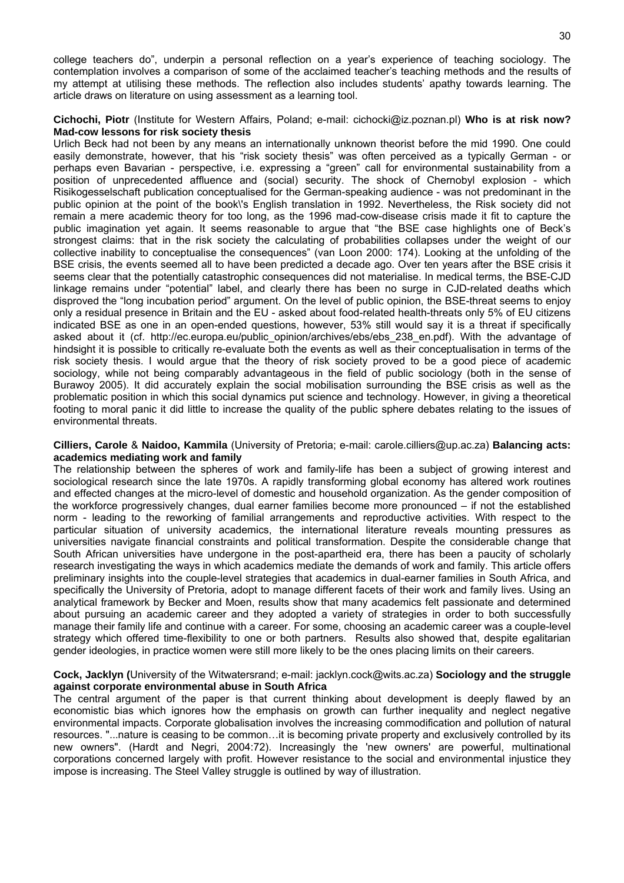college teachers do", underpin a personal reflection on a year's experience of teaching sociology. The contemplation involves a comparison of some of the acclaimed teacher's teaching methods and the results of my attempt at utilising these methods. The reflection also includes students' apathy towards learning. The article draws on literature on using assessment as a learning tool.

#### **Cichochi, Piotr** (Institute for Western Affairs, Poland; e-mail: cichocki@iz.poznan.pl) **Who is at risk now? Mad-cow lessons for risk society thesis**

Urlich Beck had not been by any means an internationally unknown theorist before the mid 1990. One could easily demonstrate, however, that his "risk society thesis" was often perceived as a typically German - or perhaps even Bavarian - perspective, i.e. expressing a "green" call for environmental sustainability from a position of unprecedented affluence and (social) security. The shock of Chernobyl explosion - which Risikogesselschaft publication conceptualised for the German-speaking audience - was not predominant in the public opinion at the point of the book\'s English translation in 1992. Nevertheless, the Risk society did not remain a mere academic theory for too long, as the 1996 mad-cow-disease crisis made it fit to capture the public imagination yet again. It seems reasonable to argue that "the BSE case highlights one of Beck's strongest claims: that in the risk society the calculating of probabilities collapses under the weight of our collective inability to conceptualise the consequences" (van Loon 2000: 174). Looking at the unfolding of the BSE crisis, the events seemed all to have been predicted a decade ago. Over ten years after the BSE crisis it seems clear that the potentially catastrophic consequences did not materialise. In medical terms, the BSE-CJD linkage remains under "potential" label, and clearly there has been no surge in CJD-related deaths which disproved the "long incubation period" argument. On the level of public opinion, the BSE-threat seems to enjoy only a residual presence in Britain and the EU - asked about food-related health-threats only 5% of EU citizens indicated BSE as one in an open-ended questions, however, 53% still would say it is a threat if specifically asked about it (cf. http://ec.europa.eu/public opinion/archives/ebs/ebs 238 en.pdf). With the advantage of hindsight it is possible to critically re-evaluate both the events as well as their conceptualisation in terms of the risk society thesis. I would argue that the theory of risk society proved to be a good piece of academic sociology, while not being comparably advantageous in the field of public sociology (both in the sense of Burawoy 2005). It did accurately explain the social mobilisation surrounding the BSE crisis as well as the problematic position in which this social dynamics put science and technology. However, in giving a theoretical footing to moral panic it did little to increase the quality of the public sphere debates relating to the issues of environmental threats.

**Cilliers, Carole** & **Naidoo, Kammila** (University of Pretoria; e-mail: carole.cilliers@up.ac.za) **Balancing acts: academics mediating work and family**

The relationship between the spheres of work and family-life has been a subject of growing interest and sociological research since the late 1970s. A rapidly transforming global economy has altered work routines and effected changes at the micro-level of domestic and household organization. As the gender composition of the workforce progressively changes, dual earner families become more pronounced – if not the established norm - leading to the reworking of familial arrangements and reproductive activities. With respect to the particular situation of university academics, the international literature reveals mounting pressures as universities navigate financial constraints and political transformation. Despite the considerable change that South African universities have undergone in the post-apartheid era, there has been a paucity of scholarly research investigating the ways in which academics mediate the demands of work and family. This article offers preliminary insights into the couple-level strategies that academics in dual-earner families in South Africa, and specifically the University of Pretoria, adopt to manage different facets of their work and family lives. Using an analytical framework by Becker and Moen, results show that many academics felt passionate and determined about pursuing an academic career and they adopted a variety of strategies in order to both successfully manage their family life and continue with a career. For some, choosing an academic career was a couple-level strategy which offered time-flexibility to one or both partners. Results also showed that, despite egalitarian gender ideologies, in practice women were still more likely to be the ones placing limits on their careers.

#### **Cock, Jacklyn (**University of the Witwatersrand; e-mail: jacklyn.cock@wits.ac.za) **Sociology and the struggle against corporate environmental abuse in South Africa**

The central argument of the paper is that current thinking about development is deeply flawed by an economistic bias which ignores how the emphasis on growth can further inequality and neglect negative environmental impacts. Corporate globalisation involves the increasing commodification and pollution of natural resources. "...nature is ceasing to be common…it is becoming private property and exclusively controlled by its new owners". (Hardt and Negri, 2004:72). Increasingly the 'new owners' are powerful, multinational corporations concerned largely with profit. However resistance to the social and environmental injustice they impose is increasing. The Steel Valley struggle is outlined by way of illustration.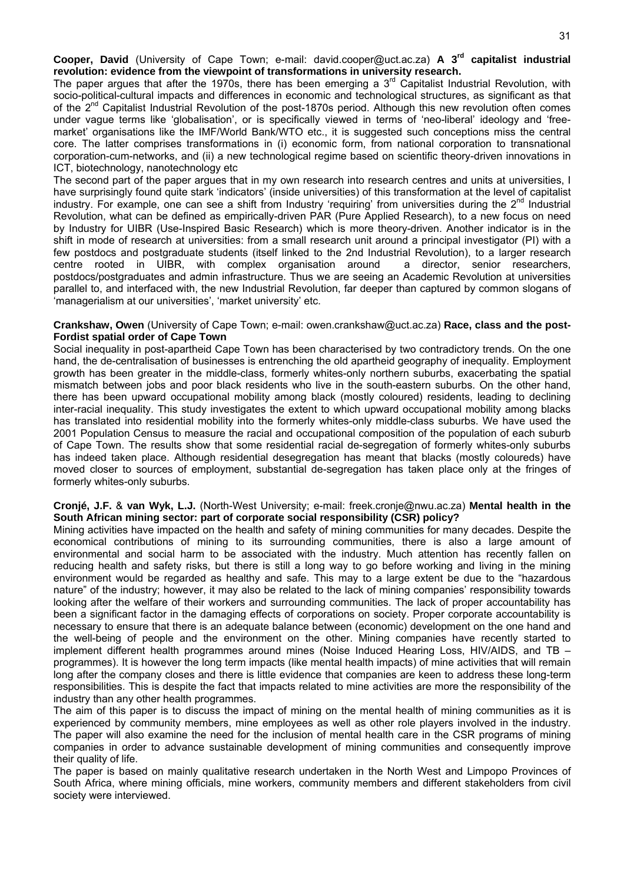**Cooper, David** (University of Cape Town; e-mail: david.cooper@uct.ac.za) **A 3rd capitalist industrial revolution: evidence from the viewpoint of transformations in university research.**

The paper argues that after the 1970s, there has been emerging a  $3<sup>rd</sup>$  Capitalist Industrial Revolution, with socio-political-cultural impacts and differences in economic and technological structures, as significant as that of the 2<sup>nd</sup> Capitalist Industrial Revolution of the post-1870s period. Although this new revolution often comes under vague terms like 'globalisation', or is specifically viewed in terms of 'neo-liberal' ideology and 'freemarket' organisations like the IMF/World Bank/WTO etc., it is suggested such conceptions miss the central core. The latter comprises transformations in (i) economic form, from national corporation to transnational corporation-cum-networks, and (ii) a new technological regime based on scientific theory-driven innovations in ICT, biotechnology, nanotechnology etc

The second part of the paper argues that in my own research into research centres and units at universities, I have surprisingly found quite stark 'indicators' (inside universities) of this transformation at the level of capitalist industry. For example, one can see a shift from Industry 'requiring' from universities during the  $2^{nd}$  Industrial Revolution, what can be defined as empirically-driven PAR (Pure Applied Research), to a new focus on need by Industry for UIBR (Use-Inspired Basic Research) which is more theory-driven. Another indicator is in the shift in mode of research at universities: from a small research unit around a principal investigator (PI) with a few postdocs and postgraduate students (itself linked to the 2nd Industrial Revolution), to a larger research centre rooted in UIBR, with complex organisation around a director, senior researchers, postdocs/postgraduates and admin infrastructure. Thus we are seeing an Academic Revolution at universities parallel to, and interfaced with, the new Industrial Revolution, far deeper than captured by common slogans of 'managerialism at our universities', 'market university' etc.

#### **Crankshaw, Owen** (University of Cape Town; e-mail: owen.crankshaw@uct.ac.za) **Race, class and the post-Fordist spatial order of Cape Town**

Social inequality in post-apartheid Cape Town has been characterised by two contradictory trends. On the one hand, the de-centralisation of businesses is entrenching the old apartheid geography of inequality. Employment growth has been greater in the middle-class, formerly whites-only northern suburbs, exacerbating the spatial mismatch between jobs and poor black residents who live in the south-eastern suburbs. On the other hand, there has been upward occupational mobility among black (mostly coloured) residents, leading to declining inter-racial inequality. This study investigates the extent to which upward occupational mobility among blacks has translated into residential mobility into the formerly whites-only middle-class suburbs. We have used the 2001 Population Census to measure the racial and occupational composition of the population of each suburb of Cape Town. The results show that some residential racial de-segregation of formerly whites-only suburbs has indeed taken place. Although residential desegregation has meant that blacks (mostly coloureds) have moved closer to sources of employment, substantial de-segregation has taken place only at the fringes of formerly whites-only suburbs.

#### **Cronjé, J.F.** & **van Wyk, L.J.** (North-West University; e-mail: freek.cronje@nwu.ac.za) **Mental health in the South African mining sector: part of corporate social responsibility (CSR) policy?**

Mining activities have impacted on the health and safety of mining communities for many decades. Despite the economical contributions of mining to its surrounding communities, there is also a large amount of environmental and social harm to be associated with the industry. Much attention has recently fallen on reducing health and safety risks, but there is still a long way to go before working and living in the mining environment would be regarded as healthy and safe. This may to a large extent be due to the "hazardous nature" of the industry; however, it may also be related to the lack of mining companies' responsibility towards looking after the welfare of their workers and surrounding communities. The lack of proper accountability has been a significant factor in the damaging effects of corporations on society. Proper corporate accountability is necessary to ensure that there is an adequate balance between (economic) development on the one hand and the well-being of people and the environment on the other. Mining companies have recently started to implement different health programmes around mines (Noise Induced Hearing Loss, HIV/AIDS, and TB – programmes). It is however the long term impacts (like mental health impacts) of mine activities that will remain long after the company closes and there is little evidence that companies are keen to address these long-term responsibilities. This is despite the fact that impacts related to mine activities are more the responsibility of the industry than any other health programmes.

The aim of this paper is to discuss the impact of mining on the mental health of mining communities as it is experienced by community members, mine employees as well as other role players involved in the industry. The paper will also examine the need for the inclusion of mental health care in the CSR programs of mining companies in order to advance sustainable development of mining communities and consequently improve their quality of life.

The paper is based on mainly qualitative research undertaken in the North West and Limpopo Provinces of South Africa, where mining officials, mine workers, community members and different stakeholders from civil society were interviewed.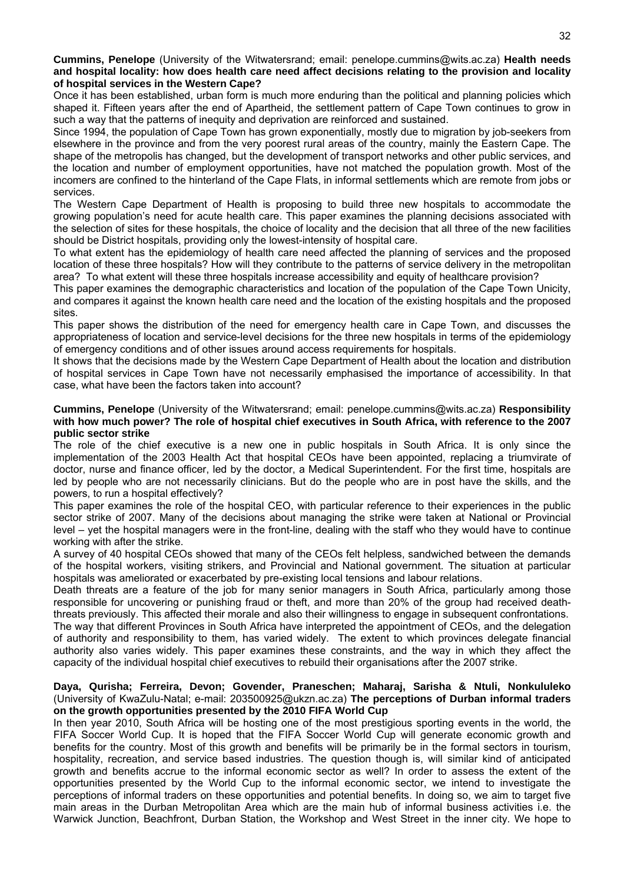**Cummins, Penelope** (University of the Witwatersrand; email: penelope.cummins@wits.ac.za) **Health needs and hospital locality: how does health care need affect decisions relating to the provision and locality of hospital services in the Western Cape?** 

Once it has been established, urban form is much more enduring than the political and planning policies which shaped it. Fifteen years after the end of Apartheid, the settlement pattern of Cape Town continues to grow in such a way that the patterns of inequity and deprivation are reinforced and sustained.

Since 1994, the population of Cape Town has grown exponentially, mostly due to migration by job-seekers from elsewhere in the province and from the very poorest rural areas of the country, mainly the Eastern Cape. The shape of the metropolis has changed, but the development of transport networks and other public services, and the location and number of employment opportunities, have not matched the population growth. Most of the incomers are confined to the hinterland of the Cape Flats, in informal settlements which are remote from jobs or services.

The Western Cape Department of Health is proposing to build three new hospitals to accommodate the growing population's need for acute health care. This paper examines the planning decisions associated with the selection of sites for these hospitals, the choice of locality and the decision that all three of the new facilities should be District hospitals, providing only the lowest-intensity of hospital care.

To what extent has the epidemiology of health care need affected the planning of services and the proposed location of these three hospitals? How will they contribute to the patterns of service delivery in the metropolitan area? To what extent will these three hospitals increase accessibility and equity of healthcare provision?

This paper examines the demographic characteristics and location of the population of the Cape Town Unicity, and compares it against the known health care need and the location of the existing hospitals and the proposed sites.

This paper shows the distribution of the need for emergency health care in Cape Town, and discusses the appropriateness of location and service-level decisions for the three new hospitals in terms of the epidemiology of emergency conditions and of other issues around access requirements for hospitals.

It shows that the decisions made by the Western Cape Department of Health about the location and distribution of hospital services in Cape Town have not necessarily emphasised the importance of accessibility. In that case, what have been the factors taken into account?

#### **Cummins, Penelope** (University of the Witwatersrand; email: penelope.cummins@wits.ac.za) **Responsibility with how much power? The role of hospital chief executives in South Africa, with reference to the 2007 public sector strike**

The role of the chief executive is a new one in public hospitals in South Africa. It is only since the implementation of the 2003 Health Act that hospital CEOs have been appointed, replacing a triumvirate of doctor, nurse and finance officer, led by the doctor, a Medical Superintendent. For the first time, hospitals are led by people who are not necessarily clinicians. But do the people who are in post have the skills, and the powers, to run a hospital effectively?

This paper examines the role of the hospital CEO, with particular reference to their experiences in the public sector strike of 2007. Many of the decisions about managing the strike were taken at National or Provincial level – yet the hospital managers were in the front-line, dealing with the staff who they would have to continue working with after the strike.

A survey of 40 hospital CEOs showed that many of the CEOs felt helpless, sandwiched between the demands of the hospital workers, visiting strikers, and Provincial and National government. The situation at particular hospitals was ameliorated or exacerbated by pre-existing local tensions and labour relations.

Death threats are a feature of the job for many senior managers in South Africa, particularly among those responsible for uncovering or punishing fraud or theft, and more than 20% of the group had received deaththreats previously. This affected their morale and also their willingness to engage in subsequent confrontations.

The way that different Provinces in South Africa have interpreted the appointment of CEOs, and the delegation of authority and responsibility to them, has varied widely. The extent to which provinces delegate financial authority also varies widely. This paper examines these constraints, and the way in which they affect the capacity of the individual hospital chief executives to rebuild their organisations after the 2007 strike.

#### **Daya, Qurisha; Ferreira, Devon; Govender, Praneschen; Maharaj, Sarisha & Ntuli, Nonkululeko** (University of KwaZulu-Natal; e-mail: 203500925@ukzn.ac.za) **The perceptions of Durban informal traders on the growth opportunities presented by the 2010 FIFA World Cup**

In then year 2010, South Africa will be hosting one of the most prestigious sporting events in the world, the FIFA Soccer World Cup. It is hoped that the FIFA Soccer World Cup will generate economic growth and benefits for the country. Most of this growth and benefits will be primarily be in the formal sectors in tourism, hospitality, recreation, and service based industries. The question though is, will similar kind of anticipated growth and benefits accrue to the informal economic sector as well? In order to assess the extent of the opportunities presented by the World Cup to the informal economic sector, we intend to investigate the perceptions of informal traders on these opportunities and potential benefits. In doing so, we aim to target five main areas in the Durban Metropolitan Area which are the main hub of informal business activities i.e. the Warwick Junction, Beachfront, Durban Station, the Workshop and West Street in the inner city. We hope to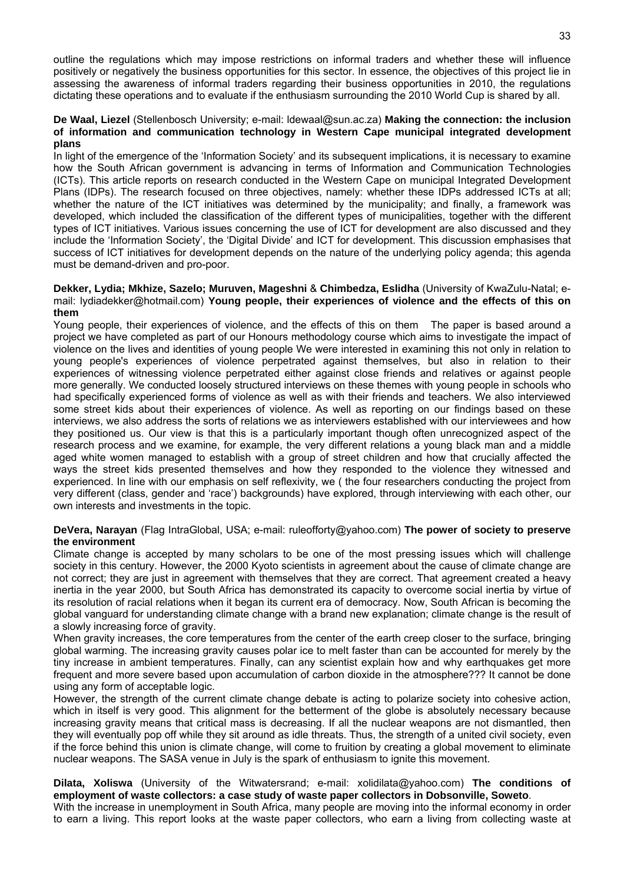outline the regulations which may impose restrictions on informal traders and whether these will influence positively or negatively the business opportunities for this sector. In essence, the objectives of this project lie in assessing the awareness of informal traders regarding their business opportunities in 2010, the regulations dictating these operations and to evaluate if the enthusiasm surrounding the 2010 World Cup is shared by all.

#### **De Waal, Liezel** (Stellenbosch University; e-mail: ldewaal@sun.ac.za) **Making the connection: the inclusion of information and communication technology in Western Cape municipal integrated development plans**

In light of the emergence of the 'Information Society' and its subsequent implications, it is necessary to examine how the South African government is advancing in terms of Information and Communication Technologies (ICTs). This article reports on research conducted in the Western Cape on municipal Integrated Development Plans (IDPs). The research focused on three objectives, namely: whether these IDPs addressed ICTs at all; whether the nature of the ICT initiatives was determined by the municipality; and finally, a framework was developed, which included the classification of the different types of municipalities, together with the different types of ICT initiatives. Various issues concerning the use of ICT for development are also discussed and they include the 'Information Society', the 'Digital Divide' and ICT for development. This discussion emphasises that success of ICT initiatives for development depends on the nature of the underlying policy agenda; this agenda must be demand-driven and pro-poor.

#### **Dekker, Lydia; Mkhize, Sazelo; Muruven, Mageshni** & **Chimbedza, Eslidha** (University of KwaZulu-Natal; email: lydiadekker@hotmail.com) **Young people, their experiences of violence and the effects of this on them**

Young people, their experiences of violence, and the effects of this on them The paper is based around a project we have completed as part of our Honours methodology course which aims to investigate the impact of violence on the lives and identities of young people We were interested in examining this not only in relation to young people's experiences of violence perpetrated against themselves, but also in relation to their experiences of witnessing violence perpetrated either against close friends and relatives or against people more generally. We conducted loosely structured interviews on these themes with young people in schools who had specifically experienced forms of violence as well as with their friends and teachers. We also interviewed some street kids about their experiences of violence. As well as reporting on our findings based on these interviews, we also address the sorts of relations we as interviewers established with our interviewees and how they positioned us. Our view is that this is a particularly important though often unrecognized aspect of the research process and we examine, for example, the very different relations a young black man and a middle aged white women managed to establish with a group of street children and how that crucially affected the ways the street kids presented themselves and how they responded to the violence they witnessed and experienced. In line with our emphasis on self reflexivity, we ( the four researchers conducting the project from very different (class, gender and 'race') backgrounds) have explored, through interviewing with each other, our own interests and investments in the topic.

#### **DeVera, Narayan** (Flag IntraGlobal, USA; e-mail: ruleofforty@yahoo.com) **The power of society to preserve the environment**

Climate change is accepted by many scholars to be one of the most pressing issues which will challenge society in this century. However, the 2000 Kyoto scientists in agreement about the cause of climate change are not correct; they are just in agreement with themselves that they are correct. That agreement created a heavy inertia in the year 2000, but South Africa has demonstrated its capacity to overcome social inertia by virtue of its resolution of racial relations when it began its current era of democracy. Now, South African is becoming the global vanguard for understanding climate change with a brand new explanation; climate change is the result of a slowly increasing force of gravity.

When gravity increases, the core temperatures from the center of the earth creep closer to the surface, bringing global warming. The increasing gravity causes polar ice to melt faster than can be accounted for merely by the tiny increase in ambient temperatures. Finally, can any scientist explain how and why earthquakes get more frequent and more severe based upon accumulation of carbon dioxide in the atmosphere??? It cannot be done using any form of acceptable logic.

However, the strength of the current climate change debate is acting to polarize society into cohesive action, which in itself is very good. This alignment for the betterment of the globe is absolutely necessary because increasing gravity means that critical mass is decreasing. If all the nuclear weapons are not dismantled, then they will eventually pop off while they sit around as idle threats. Thus, the strength of a united civil society, even if the force behind this union is climate change, will come to fruition by creating a global movement to eliminate nuclear weapons. The SASA venue in July is the spark of enthusiasm to ignite this movement.

#### **Dilata, Xoliswa** (University of the Witwatersrand; e-mail: xolidilata@yahoo.com) **The conditions of employment of waste collectors: a case study of waste paper collectors in Dobsonville, Soweto**.

With the increase in unemployment in South Africa, many people are moving into the informal economy in order to earn a living. This report looks at the waste paper collectors, who earn a living from collecting waste at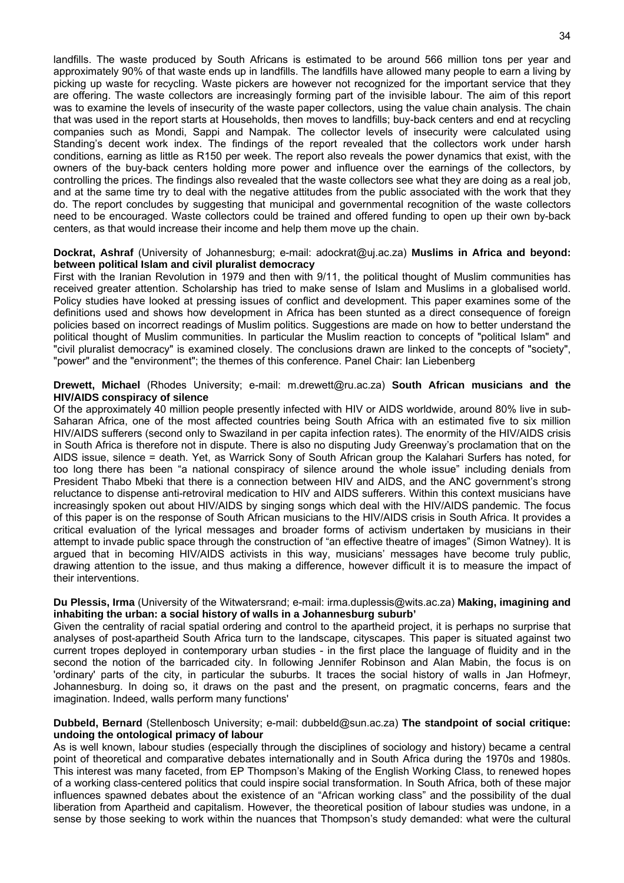landfills. The waste produced by South Africans is estimated to be around 566 million tons per year and approximately 90% of that waste ends up in landfills. The landfills have allowed many people to earn a living by picking up waste for recycling. Waste pickers are however not recognized for the important service that they are offering. The waste collectors are increasingly forming part of the invisible labour. The aim of this report was to examine the levels of insecurity of the waste paper collectors, using the value chain analysis. The chain that was used in the report starts at Households, then moves to landfills; buy-back centers and end at recycling companies such as Mondi, Sappi and Nampak. The collector levels of insecurity were calculated using Standing's decent work index. The findings of the report revealed that the collectors work under harsh conditions, earning as little as R150 per week. The report also reveals the power dynamics that exist, with the owners of the buy-back centers holding more power and influence over the earnings of the collectors, by controlling the prices. The findings also revealed that the waste collectors see what they are doing as a real job, and at the same time try to deal with the negative attitudes from the public associated with the work that they do. The report concludes by suggesting that municipal and governmental recognition of the waste collectors need to be encouraged. Waste collectors could be trained and offered funding to open up their own by-back centers, as that would increase their income and help them move up the chain.

#### **Dockrat, Ashraf** (University of Johannesburg; e-mail: adockrat@uj.ac.za) **Muslims in Africa and beyond: between political Islam and civil pluralist democracy**

First with the Iranian Revolution in 1979 and then with 9/11, the political thought of Muslim communities has received greater attention. Scholarship has tried to make sense of Islam and Muslims in a globalised world. Policy studies have looked at pressing issues of conflict and development. This paper examines some of the definitions used and shows how development in Africa has been stunted as a direct consequence of foreign policies based on incorrect readings of Muslim politics. Suggestions are made on how to better understand the political thought of Muslim communities. In particular the Muslim reaction to concepts of "political Islam" and "civil pluralist democracy" is examined closely. The conclusions drawn are linked to the concepts of "society", "power" and the "environment"; the themes of this conference. Panel Chair: Ian Liebenberg

#### **Drewett, Michael** (Rhodes University; e-mail: m.drewett@ru.ac.za) **South African musicians and the HIV/AIDS conspiracy of silence**

Of the approximately 40 million people presently infected with HIV or AIDS worldwide, around 80% live in sub-Saharan Africa, one of the most affected countries being South Africa with an estimated five to six million HIV/AIDS sufferers (second only to Swaziland in per capita infection rates). The enormity of the HIV/AIDS crisis in South Africa is therefore not in dispute. There is also no disputing Judy Greenway's proclamation that on the AIDS issue, silence = death. Yet, as Warrick Sony of South African group the Kalahari Surfers has noted, for too long there has been "a national conspiracy of silence around the whole issue" including denials from President Thabo Mbeki that there is a connection between HIV and AIDS, and the ANC government's strong reluctance to dispense anti-retroviral medication to HIV and AIDS sufferers. Within this context musicians have increasingly spoken out about HIV/AIDS by singing songs which deal with the HIV/AIDS pandemic. The focus of this paper is on the response of South African musicians to the HIV/AIDS crisis in South Africa. It provides a critical evaluation of the lyrical messages and broader forms of activism undertaken by musicians in their attempt to invade public space through the construction of "an effective theatre of images" (Simon Watney). It is argued that in becoming HIV/AIDS activists in this way, musicians' messages have become truly public, drawing attention to the issue, and thus making a difference, however difficult it is to measure the impact of their interventions.

#### **Du Plessis, Irma** (University of the Witwatersrand; e-mail: irma.duplessis@wits.ac.za) **Making, imagining and inhabiting the urban: a social history of walls in a Johannesburg suburb'**

Given the centrality of racial spatial ordering and control to the apartheid project, it is perhaps no surprise that analyses of post-apartheid South Africa turn to the landscape, cityscapes. This paper is situated against two current tropes deployed in contemporary urban studies - in the first place the language of fluidity and in the second the notion of the barricaded city. In following Jennifer Robinson and Alan Mabin, the focus is on 'ordinary' parts of the city, in particular the suburbs. It traces the social history of walls in Jan Hofmeyr, Johannesburg. In doing so, it draws on the past and the present, on pragmatic concerns, fears and the imagination. Indeed, walls perform many functions'

#### **Dubbeld, Bernard** (Stellenbosch University; e-mail: dubbeld@sun.ac.za) **The standpoint of social critique: undoing the ontological primacy of labour**

As is well known, labour studies (especially through the disciplines of sociology and history) became a central point of theoretical and comparative debates internationally and in South Africa during the 1970s and 1980s. This interest was many faceted, from EP Thompson's Making of the English Working Class, to renewed hopes of a working class-centered politics that could inspire social transformation. In South Africa, both of these major influences spawned debates about the existence of an "African working class" and the possibility of the dual liberation from Apartheid and capitalism. However, the theoretical position of labour studies was undone, in a sense by those seeking to work within the nuances that Thompson's study demanded: what were the cultural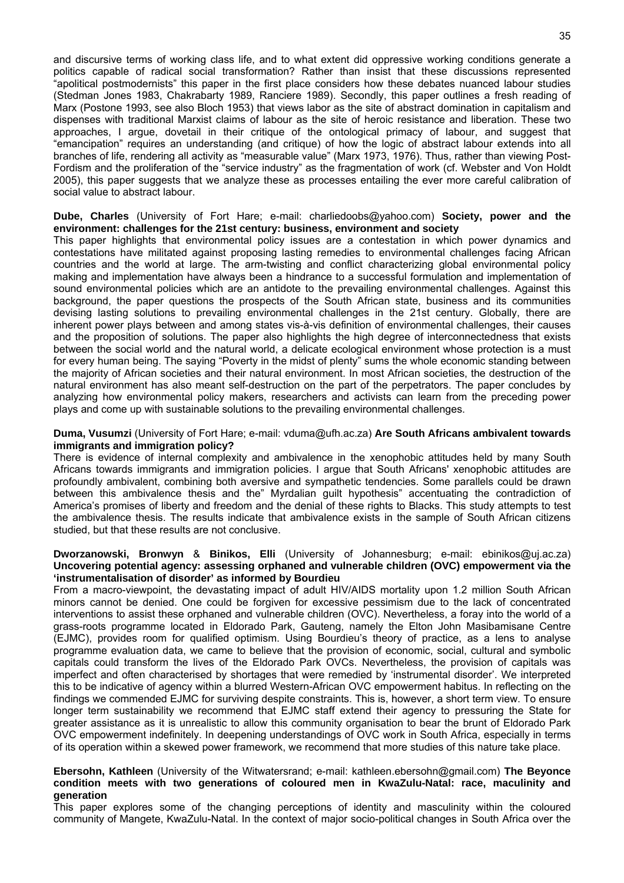and discursive terms of working class life, and to what extent did oppressive working conditions generate a politics capable of radical social transformation? Rather than insist that these discussions represented "apolitical postmodernists" this paper in the first place considers how these debates nuanced labour studies (Stedman Jones 1983, Chakrabarty 1989, Ranciere 1989). Secondly, this paper outlines a fresh reading of Marx (Postone 1993, see also Bloch 1953) that views labor as the site of abstract domination in capitalism and dispenses with traditional Marxist claims of labour as the site of heroic resistance and liberation. These two approaches, I argue, dovetail in their critique of the ontological primacy of labour, and suggest that "emancipation" requires an understanding (and critique) of how the logic of abstract labour extends into all branches of life, rendering all activity as "measurable value" (Marx 1973, 1976). Thus, rather than viewing Post-Fordism and the proliferation of the "service industry" as the fragmentation of work (cf. Webster and Von Holdt 2005), this paper suggests that we analyze these as processes entailing the ever more careful calibration of social value to abstract labour.

#### **Dube, Charles** (University of Fort Hare; e-mail: charliedoobs@yahoo.com) **Society, power and the environment: challenges for the 21st century: business, environment and society**

This paper highlights that environmental policy issues are a contestation in which power dynamics and contestations have militated against proposing lasting remedies to environmental challenges facing African countries and the world at large. The arm-twisting and conflict characterizing global environmental policy making and implementation have always been a hindrance to a successful formulation and implementation of sound environmental policies which are an antidote to the prevailing environmental challenges. Against this background, the paper questions the prospects of the South African state, business and its communities devising lasting solutions to prevailing environmental challenges in the 21st century. Globally, there are inherent power plays between and among states vis-à-vis definition of environmental challenges, their causes and the proposition of solutions. The paper also highlights the high degree of interconnectedness that exists between the social world and the natural world, a delicate ecological environment whose protection is a must for every human being. The saying "Poverty in the midst of plenty" sums the whole economic standing between the majority of African societies and their natural environment. In most African societies, the destruction of the natural environment has also meant self-destruction on the part of the perpetrators. The paper concludes by analyzing how environmental policy makers, researchers and activists can learn from the preceding power plays and come up with sustainable solutions to the prevailing environmental challenges.

#### **Duma, Vusumzi** (University of Fort Hare; e-mail: vduma@ufh.ac.za) **Are South Africans ambivalent towards immigrants and immigration policy?**

There is evidence of internal complexity and ambivalence in the xenophobic attitudes held by many South Africans towards immigrants and immigration policies. I argue that South Africans' xenophobic attitudes are profoundly ambivalent, combining both aversive and sympathetic tendencies. Some parallels could be drawn between this ambivalence thesis and the" Myrdalian guilt hypothesis" accentuating the contradiction of America's promises of liberty and freedom and the denial of these rights to Blacks. This study attempts to test the ambivalence thesis. The results indicate that ambivalence exists in the sample of South African citizens studied, but that these results are not conclusive.

#### **Dworzanowski, Bronwyn** & **Binikos, Elli** (University of Johannesburg; e-mail: ebinikos@uj.ac.za) **Uncovering potential agency: assessing orphaned and vulnerable children (OVC) empowerment via the 'instrumentalisation of disorder' as informed by Bourdieu**

From a macro-viewpoint, the devastating impact of adult HIV/AIDS mortality upon 1.2 million South African minors cannot be denied. One could be forgiven for excessive pessimism due to the lack of concentrated interventions to assist these orphaned and vulnerable children (OVC). Nevertheless, a foray into the world of a grass-roots programme located in Eldorado Park, Gauteng, namely the Elton John Masibamisane Centre (EJMC), provides room for qualified optimism. Using Bourdieu's theory of practice, as a lens to analyse programme evaluation data, we came to believe that the provision of economic, social, cultural and symbolic capitals could transform the lives of the Eldorado Park OVCs. Nevertheless, the provision of capitals was imperfect and often characterised by shortages that were remedied by 'instrumental disorder'. We interpreted this to be indicative of agency within a blurred Western-African OVC empowerment habitus. In reflecting on the findings we commended EJMC for surviving despite constraints. This is, however, a short term view. To ensure longer term sustainability we recommend that EJMC staff extend their agency to pressuring the State for greater assistance as it is unrealistic to allow this community organisation to bear the brunt of Eldorado Park OVC empowerment indefinitely. In deepening understandings of OVC work in South Africa, especially in terms of its operation within a skewed power framework, we recommend that more studies of this nature take place.

#### **Ebersohn, Kathleen** (University of the Witwatersrand; e-mail: kathleen.ebersohn@gmail.com) **The Beyonce condition meets with two generations of coloured men in KwaZulu-Natal: race, maculinity and generation**

This paper explores some of the changing perceptions of identity and masculinity within the coloured community of Mangete, KwaZulu-Natal. In the context of major socio-political changes in South Africa over the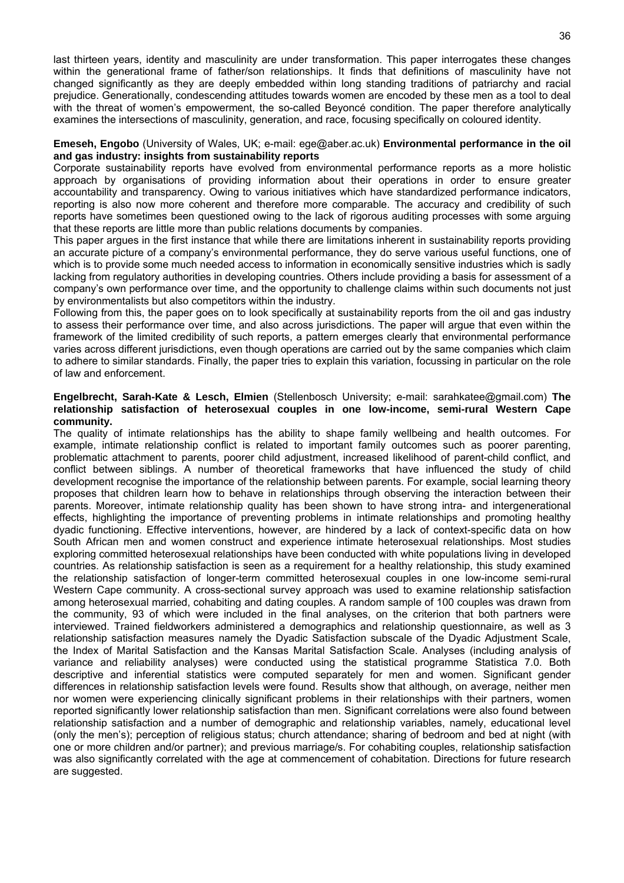last thirteen years, identity and masculinity are under transformation. This paper interrogates these changes within the generational frame of father/son relationships. It finds that definitions of masculinity have not changed significantly as they are deeply embedded within long standing traditions of patriarchy and racial prejudice. Generationally, condescending attitudes towards women are encoded by these men as a tool to deal with the threat of women's empowerment, the so-called Beyoncé condition. The paper therefore analytically examines the intersections of masculinity, generation, and race, focusing specifically on coloured identity.

#### **Emeseh, Engobo** (University of Wales, UK; e-mail: ege@aber.ac.uk) **Environmental performance in the oil and gas industry: insights from sustainability reports**

Corporate sustainability reports have evolved from environmental performance reports as a more holistic approach by organisations of providing information about their operations in order to ensure greater accountability and transparency. Owing to various initiatives which have standardized performance indicators, reporting is also now more coherent and therefore more comparable. The accuracy and credibility of such reports have sometimes been questioned owing to the lack of rigorous auditing processes with some arguing that these reports are little more than public relations documents by companies.

This paper argues in the first instance that while there are limitations inherent in sustainability reports providing an accurate picture of a company's environmental performance, they do serve various useful functions, one of which is to provide some much needed access to information in economically sensitive industries which is sadly lacking from regulatory authorities in developing countries. Others include providing a basis for assessment of a company's own performance over time, and the opportunity to challenge claims within such documents not just by environmentalists but also competitors within the industry.

Following from this, the paper goes on to look specifically at sustainability reports from the oil and gas industry to assess their performance over time, and also across jurisdictions. The paper will argue that even within the framework of the limited credibility of such reports, a pattern emerges clearly that environmental performance varies across different jurisdictions, even though operations are carried out by the same companies which claim to adhere to similar standards. Finally, the paper tries to explain this variation, focussing in particular on the role of law and enforcement.

#### **Engelbrecht, Sarah-Kate & Lesch, Elmien** (Stellenbosch University; e-mail: sarahkatee@gmail.com) **The relationship satisfaction of heterosexual couples in one low-income, semi-rural Western Cape community.**

The quality of intimate relationships has the ability to shape family wellbeing and health outcomes. For example, intimate relationship conflict is related to important family outcomes such as poorer parenting, problematic attachment to parents, poorer child adjustment, increased likelihood of parent-child conflict, and conflict between siblings. A number of theoretical frameworks that have influenced the study of child development recognise the importance of the relationship between parents. For example, social learning theory proposes that children learn how to behave in relationships through observing the interaction between their parents. Moreover, intimate relationship quality has been shown to have strong intra- and intergenerational effects, highlighting the importance of preventing problems in intimate relationships and promoting healthy dyadic functioning. Effective interventions, however, are hindered by a lack of context-specific data on how South African men and women construct and experience intimate heterosexual relationships. Most studies exploring committed heterosexual relationships have been conducted with white populations living in developed countries. As relationship satisfaction is seen as a requirement for a healthy relationship, this study examined the relationship satisfaction of longer-term committed heterosexual couples in one low-income semi-rural Western Cape community. A cross-sectional survey approach was used to examine relationship satisfaction among heterosexual married, cohabiting and dating couples. A random sample of 100 couples was drawn from the community, 93 of which were included in the final analyses, on the criterion that both partners were interviewed. Trained fieldworkers administered a demographics and relationship questionnaire, as well as 3 relationship satisfaction measures namely the Dyadic Satisfaction subscale of the Dyadic Adjustment Scale, the Index of Marital Satisfaction and the Kansas Marital Satisfaction Scale. Analyses (including analysis of variance and reliability analyses) were conducted using the statistical programme Statistica 7.0. Both descriptive and inferential statistics were computed separately for men and women. Significant gender differences in relationship satisfaction levels were found. Results show that although, on average, neither men nor women were experiencing clinically significant problems in their relationships with their partners, women reported significantly lower relationship satisfaction than men. Significant correlations were also found between relationship satisfaction and a number of demographic and relationship variables, namely, educational level (only the men's); perception of religious status; church attendance; sharing of bedroom and bed at night (with one or more children and/or partner); and previous marriage/s. For cohabiting couples, relationship satisfaction was also significantly correlated with the age at commencement of cohabitation. Directions for future research are suggested.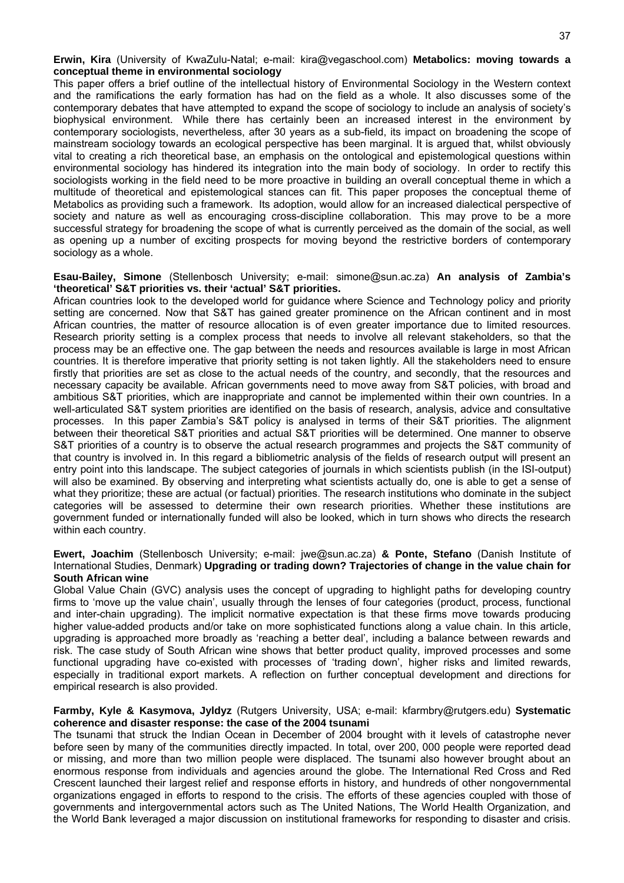**Erwin, Kira** (University of KwaZulu-Natal; e-mail: kira@vegaschool.com) **Metabolics: moving towards a conceptual theme in environmental sociology** 

This paper offers a brief outline of the intellectual history of Environmental Sociology in the Western context and the ramifications the early formation has had on the field as a whole. It also discusses some of the contemporary debates that have attempted to expand the scope of sociology to include an analysis of society's biophysical environment. While there has certainly been an increased interest in the environment by contemporary sociologists, nevertheless, after 30 years as a sub-field, its impact on broadening the scope of mainstream sociology towards an ecological perspective has been marginal. It is argued that, whilst obviously vital to creating a rich theoretical base, an emphasis on the ontological and epistemological questions within environmental sociology has hindered its integration into the main body of sociology. In order to rectify this sociologists working in the field need to be more proactive in building an overall conceptual theme in which a multitude of theoretical and epistemological stances can fit. This paper proposes the conceptual theme of Metabolics as providing such a framework. Its adoption, would allow for an increased dialectical perspective of society and nature as well as encouraging cross-discipline collaboration. This may prove to be a more successful strategy for broadening the scope of what is currently perceived as the domain of the social, as well as opening up a number of exciting prospects for moving beyond the restrictive borders of contemporary sociology as a whole.

**Esau-Bailey, Simone** (Stellenbosch University; e-mail: simone@sun.ac.za) **An analysis of Zambia's 'theoretical' S&T priorities vs. their 'actual' S&T priorities.**

African countries look to the developed world for guidance where Science and Technology policy and priority setting are concerned. Now that S&T has gained greater prominence on the African continent and in most African countries, the matter of resource allocation is of even greater importance due to limited resources. Research priority setting is a complex process that needs to involve all relevant stakeholders, so that the process may be an effective one. The gap between the needs and resources available is large in most African countries. It is therefore imperative that priority setting is not taken lightly. All the stakeholders need to ensure firstly that priorities are set as close to the actual needs of the country, and secondly, that the resources and necessary capacity be available. African governments need to move away from S&T policies, with broad and ambitious S&T priorities, which are inappropriate and cannot be implemented within their own countries. In a well-articulated S&T system priorities are identified on the basis of research, analysis, advice and consultative processes. In this paper Zambia's S&T policy is analysed in terms of their S&T priorities. The alignment between their theoretical S&T priorities and actual S&T priorities will be determined. One manner to observe S&T priorities of a country is to observe the actual research programmes and projects the S&T community of that country is involved in. In this regard a bibliometric analysis of the fields of research output will present an entry point into this landscape. The subject categories of journals in which scientists publish (in the ISI-output) will also be examined. By observing and interpreting what scientists actually do, one is able to get a sense of what they prioritize; these are actual (or factual) priorities. The research institutions who dominate in the subject categories will be assessed to determine their own research priorities. Whether these institutions are government funded or internationally funded will also be looked, which in turn shows who directs the research within each country.

#### **Ewert, Joachim** (Stellenbosch University; e-mail: jwe@sun.ac.za) **& Ponte, Stefano** (Danish Institute of International Studies, Denmark) **Upgrading or trading down? Trajectories of change in the value chain for South African wine**

Global Value Chain (GVC) analysis uses the concept of upgrading to highlight paths for developing country firms to 'move up the value chain', usually through the lenses of four categories (product, process, functional and inter-chain upgrading). The implicit normative expectation is that these firms move towards producing higher value-added products and/or take on more sophisticated functions along a value chain. In this article, upgrading is approached more broadly as 'reaching a better deal', including a balance between rewards and risk. The case study of South African wine shows that better product quality, improved processes and some functional upgrading have co-existed with processes of 'trading down', higher risks and limited rewards, especially in traditional export markets. A reflection on further conceptual development and directions for empirical research is also provided.

#### **Farmby, Kyle & Kasymova, Jyldyz** (Rutgers University, USA; e-mail: kfarmbry@rutgers.edu) **Systematic coherence and disaster response: the case of the 2004 tsunami**

The tsunami that struck the Indian Ocean in December of 2004 brought with it levels of catastrophe never before seen by many of the communities directly impacted. In total, over 200, 000 people were reported dead or missing, and more than two million people were displaced. The tsunami also however brought about an enormous response from individuals and agencies around the globe. The International Red Cross and Red Crescent launched their largest relief and response efforts in history, and hundreds of other nongovernmental organizations engaged in efforts to respond to the crisis. The efforts of these agencies coupled with those of governments and intergovernmental actors such as The United Nations, The World Health Organization, and the World Bank leveraged a major discussion on institutional frameworks for responding to disaster and crisis.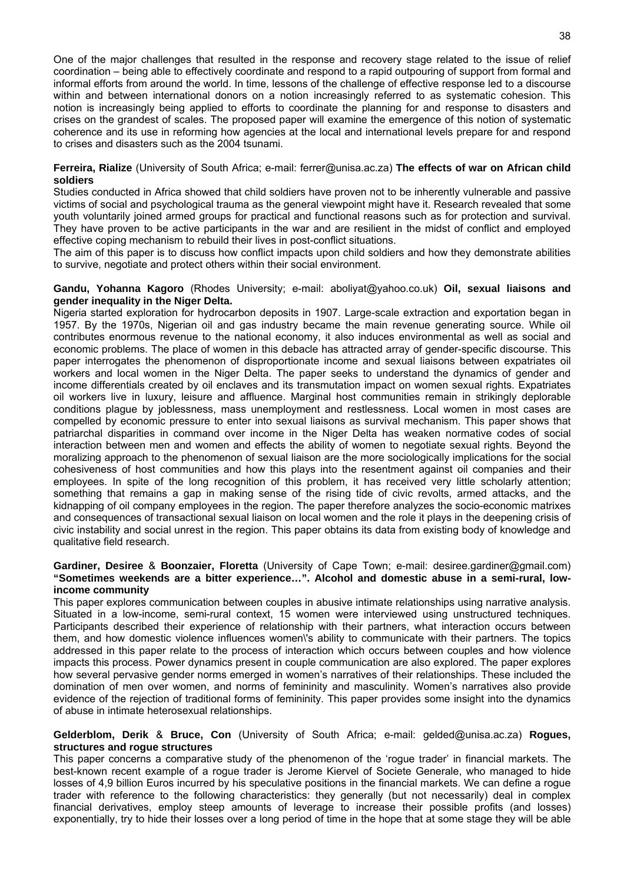One of the major challenges that resulted in the response and recovery stage related to the issue of relief coordination – being able to effectively coordinate and respond to a rapid outpouring of support from formal and informal efforts from around the world. In time, lessons of the challenge of effective response led to a discourse within and between international donors on a notion increasingly referred to as systematic cohesion. This notion is increasingly being applied to efforts to coordinate the planning for and response to disasters and crises on the grandest of scales. The proposed paper will examine the emergence of this notion of systematic coherence and its use in reforming how agencies at the local and international levels prepare for and respond to crises and disasters such as the 2004 tsunami.

**Ferreira, Rialize** (University of South Africa; e-mail: ferrer@unisa.ac.za) **The effects of war on African child soldiers**

Studies conducted in Africa showed that child soldiers have proven not to be inherently vulnerable and passive victims of social and psychological trauma as the general viewpoint might have it. Research revealed that some youth voluntarily joined armed groups for practical and functional reasons such as for protection and survival. They have proven to be active participants in the war and are resilient in the midst of conflict and employed effective coping mechanism to rebuild their lives in post-conflict situations.

The aim of this paper is to discuss how conflict impacts upon child soldiers and how they demonstrate abilities to survive, negotiate and protect others within their social environment.

#### **Gandu, Yohanna Kagoro** (Rhodes University; e-mail: aboliyat@yahoo.co.uk) **Oil, sexual liaisons and gender inequality in the Niger Delta.**

Nigeria started exploration for hydrocarbon deposits in 1907. Large-scale extraction and exportation began in 1957. By the 1970s, Nigerian oil and gas industry became the main revenue generating source. While oil contributes enormous revenue to the national economy, it also induces environmental as well as social and economic problems. The place of women in this debacle has attracted array of gender-specific discourse. This paper interrogates the phenomenon of disproportionate income and sexual liaisons between expatriates oil workers and local women in the Niger Delta. The paper seeks to understand the dynamics of gender and income differentials created by oil enclaves and its transmutation impact on women sexual rights. Expatriates oil workers live in luxury, leisure and affluence. Marginal host communities remain in strikingly deplorable conditions plague by joblessness, mass unemployment and restlessness. Local women in most cases are compelled by economic pressure to enter into sexual liaisons as survival mechanism. This paper shows that patriarchal disparities in command over income in the Niger Delta has weaken normative codes of social interaction between men and women and effects the ability of women to negotiate sexual rights. Beyond the moralizing approach to the phenomenon of sexual liaison are the more sociologically implications for the social cohesiveness of host communities and how this plays into the resentment against oil companies and their employees. In spite of the long recognition of this problem, it has received very little scholarly attention; something that remains a gap in making sense of the rising tide of civic revolts, armed attacks, and the kidnapping of oil company employees in the region. The paper therefore analyzes the socio-economic matrixes and consequences of transactional sexual liaison on local women and the role it plays in the deepening crisis of civic instability and social unrest in the region. This paper obtains its data from existing body of knowledge and qualitative field research.

#### **Gardiner, Desiree** & **Boonzaier, Floretta** (University of Cape Town; e-mail: desiree.gardiner@gmail.com) **"Sometimes weekends are a bitter experience…". Alcohol and domestic abuse in a semi-rural, lowincome community**

This paper explores communication between couples in abusive intimate relationships using narrative analysis. Situated in a low-income, semi-rural context, 15 women were interviewed using unstructured techniques. Participants described their experience of relationship with their partners, what interaction occurs between them, and how domestic violence influences women\'s ability to communicate with their partners. The topics addressed in this paper relate to the process of interaction which occurs between couples and how violence impacts this process. Power dynamics present in couple communication are also explored. The paper explores how several pervasive gender norms emerged in women's narratives of their relationships. These included the domination of men over women, and norms of femininity and masculinity. Women's narratives also provide evidence of the rejection of traditional forms of femininity. This paper provides some insight into the dynamics of abuse in intimate heterosexual relationships.

#### **Gelderblom, Derik** & **Bruce, Con** (University of South Africa; e-mail: gelded@unisa.ac.za) **Rogues, structures and rogue structures**

This paper concerns a comparative study of the phenomenon of the 'rogue trader' in financial markets. The best-known recent example of a rogue trader is Jerome Kiervel of Societe Generale, who managed to hide losses of 4,9 billion Euros incurred by his speculative positions in the financial markets. We can define a rogue trader with reference to the following characteristics: they generally (but not necessarily) deal in complex financial derivatives, employ steep amounts of leverage to increase their possible profits (and losses) exponentially, try to hide their losses over a long period of time in the hope that at some stage they will be able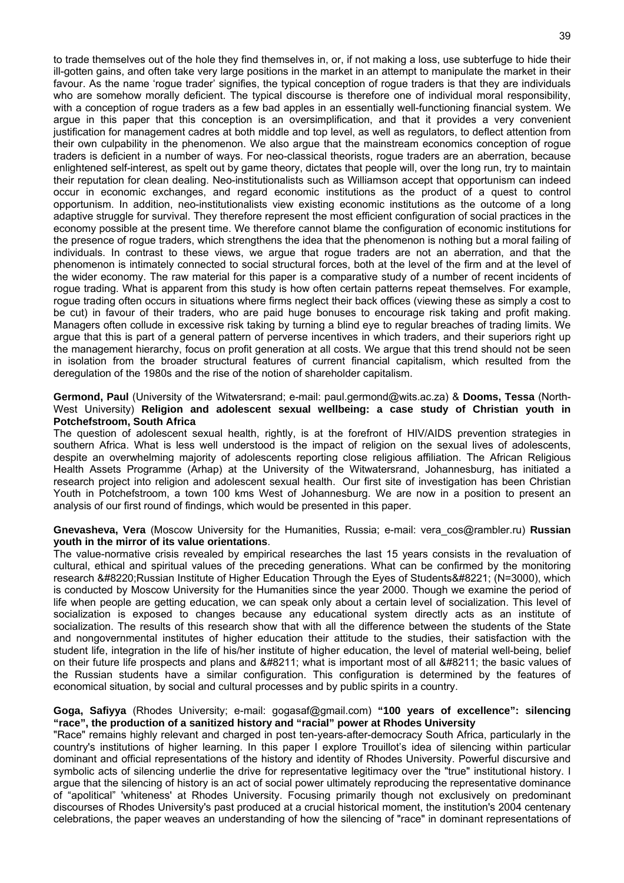to trade themselves out of the hole they find themselves in, or, if not making a loss, use subterfuge to hide their ill-gotten gains, and often take very large positions in the market in an attempt to manipulate the market in their favour. As the name 'rogue trader' signifies, the typical conception of rogue traders is that they are individuals who are somehow morally deficient. The typical discourse is therefore one of individual moral responsibility, with a conception of rogue traders as a few bad apples in an essentially well-functioning financial system. We argue in this paper that this conception is an oversimplification, and that it provides a very convenient justification for management cadres at both middle and top level, as well as regulators, to deflect attention from their own culpability in the phenomenon. We also argue that the mainstream economics conception of rogue traders is deficient in a number of ways. For neo-classical theorists, rogue traders are an aberration, because enlightened self-interest, as spelt out by game theory, dictates that people will, over the long run, try to maintain their reputation for clean dealing. Neo-institutionalists such as Williamson accept that opportunism can indeed occur in economic exchanges, and regard economic institutions as the product of a quest to control opportunism. In addition, neo-institutionalists view existing economic institutions as the outcome of a long adaptive struggle for survival. They therefore represent the most efficient configuration of social practices in the economy possible at the present time. We therefore cannot blame the configuration of economic institutions for the presence of rogue traders, which strengthens the idea that the phenomenon is nothing but a moral failing of individuals. In contrast to these views, we argue that rogue traders are not an aberration, and that the phenomenon is intimately connected to social structural forces, both at the level of the firm and at the level of the wider economy. The raw material for this paper is a comparative study of a number of recent incidents of rogue trading. What is apparent from this study is how often certain patterns repeat themselves. For example, rogue trading often occurs in situations where firms neglect their back offices (viewing these as simply a cost to be cut) in favour of their traders, who are paid huge bonuses to encourage risk taking and profit making. Managers often collude in excessive risk taking by turning a blind eye to regular breaches of trading limits. We argue that this is part of a general pattern of perverse incentives in which traders, and their superiors right up the management hierarchy, focus on profit generation at all costs. We argue that this trend should not be seen in isolation from the broader structural features of current financial capitalism, which resulted from the deregulation of the 1980s and the rise of the notion of shareholder capitalism.

#### **Germond, Paul** (University of the Witwatersrand; e-mail: paul.germond@wits.ac.za) & **Dooms, Tessa** (North-West University) **Religion and adolescent sexual wellbeing: a case study of Christian youth in Potchefstroom, South Africa**

The question of adolescent sexual health, rightly, is at the forefront of HIV/AIDS prevention strategies in southern Africa. What is less well understood is the impact of religion on the sexual lives of adolescents, despite an overwhelming majority of adolescents reporting close religious affiliation. The African Religious Health Assets Programme (Arhap) at the University of the Witwatersrand, Johannesburg, has initiated a research project into religion and adolescent sexual health. Our first site of investigation has been Christian Youth in Potchefstroom, a town 100 kms West of Johannesburg. We are now in a position to present an analysis of our first round of findings, which would be presented in this paper.

**Gnevasheva, Vera** (Moscow University for the Humanities, Russia; e-mail: vera\_cos@rambler.ru) **Russian youth in the mirror of its value orientations**.

The value-normative crisis revealed by empirical researches the last 15 years consists in the revaluation of cultural, ethical and spiritual values of the preceding generations. What can be confirmed by the monitoring research " Russian Institute of Higher Education Through the Eyes of Students " (N=3000), which is conducted by Moscow University for the Humanities since the year 2000. Though we examine the period of life when people are getting education, we can speak only about a certain level of socialization. This level of socialization is exposed to changes because any educational system directly acts as an institute of socialization. The results of this research show that with all the difference between the students of the State and nongovernmental institutes of higher education their attitude to the studies, their satisfaction with the student life, integration in the life of his/her institute of higher education, the level of material well-being, belief on their future life prospects and plans and – what is important most of all – the basic values of the Russian students have a similar configuration. This configuration is determined by the features of economical situation, by social and cultural processes and by public spirits in a country.

#### **Goga, Safiyya** (Rhodes University; e-mail: gogasaf@gmail.com) **"100 years of excellence": silencing "race", the production of a sanitized history and "racial" power at Rhodes University**

"Race" remains highly relevant and charged in post ten-years-after-democracy South Africa, particularly in the country's institutions of higher learning. In this paper I explore Trouillot's idea of silencing within particular dominant and official representations of the history and identity of Rhodes University. Powerful discursive and symbolic acts of silencing underlie the drive for representative legitimacy over the "true" institutional history. I argue that the silencing of history is an act of social power ultimately reproducing the representative dominance of "apolitical" 'whiteness' at Rhodes University. Focusing primarily though not exclusively on predominant discourses of Rhodes University's past produced at a crucial historical moment, the institution's 2004 centenary celebrations, the paper weaves an understanding of how the silencing of "race" in dominant representations of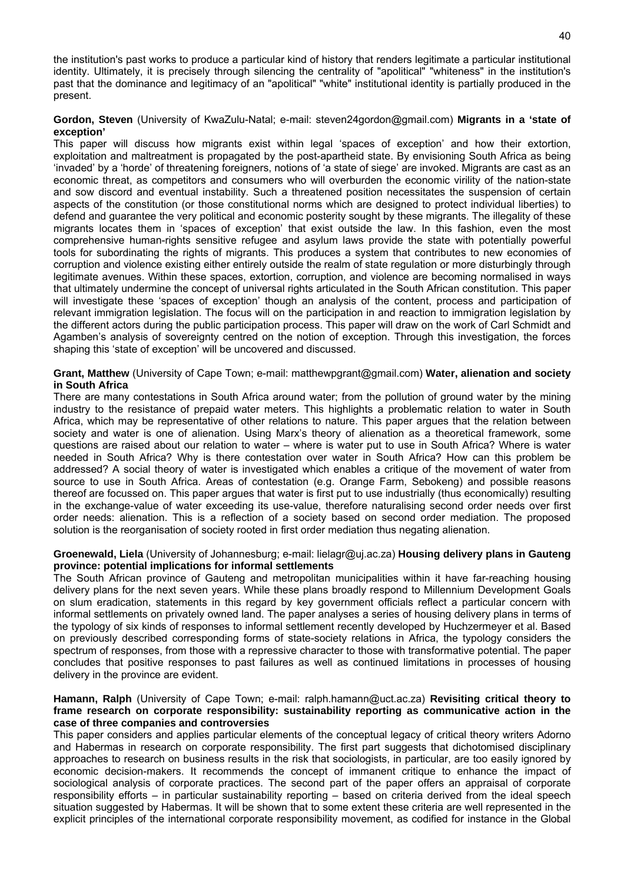the institution's past works to produce a particular kind of history that renders legitimate a particular institutional identity. Ultimately, it is precisely through silencing the centrality of "apolitical" "whiteness" in the institution's past that the dominance and legitimacy of an "apolitical" "white" institutional identity is partially produced in the present.

#### **Gordon, Steven** (University of KwaZulu-Natal; e-mail: steven24gordon@gmail.com) **Migrants in a 'state of exception'**

This paper will discuss how migrants exist within legal 'spaces of exception' and how their extortion, exploitation and maltreatment is propagated by the post-apartheid state. By envisioning South Africa as being 'invaded' by a 'horde' of threatening foreigners, notions of 'a state of siege' are invoked. Migrants are cast as an economic threat, as competitors and consumers who will overburden the economic virility of the nation-state and sow discord and eventual instability. Such a threatened position necessitates the suspension of certain aspects of the constitution (or those constitutional norms which are designed to protect individual liberties) to defend and guarantee the very political and economic posterity sought by these migrants. The illegality of these migrants locates them in 'spaces of exception' that exist outside the law. In this fashion, even the most comprehensive human-rights sensitive refugee and asylum laws provide the state with potentially powerful tools for subordinating the rights of migrants. This produces a system that contributes to new economies of corruption and violence existing either entirely outside the realm of state regulation or more disturbingly through legitimate avenues. Within these spaces, extortion, corruption, and violence are becoming normalised in ways that ultimately undermine the concept of universal rights articulated in the South African constitution. This paper will investigate these 'spaces of exception' though an analysis of the content, process and participation of relevant immigration legislation. The focus will on the participation in and reaction to immigration legislation by the different actors during the public participation process. This paper will draw on the work of Carl Schmidt and Agamben's analysis of sovereignty centred on the notion of exception. Through this investigation, the forces shaping this 'state of exception' will be uncovered and discussed.

#### **Grant, Matthew** (University of Cape Town; e-mail: matthewpgrant@gmail.com) **Water, alienation and society in South Africa**

There are many contestations in South Africa around water; from the pollution of ground water by the mining industry to the resistance of prepaid water meters. This highlights a problematic relation to water in South Africa, which may be representative of other relations to nature. This paper argues that the relation between society and water is one of alienation. Using Marx's theory of alienation as a theoretical framework, some questions are raised about our relation to water – where is water put to use in South Africa? Where is water needed in South Africa? Why is there contestation over water in South Africa? How can this problem be addressed? A social theory of water is investigated which enables a critique of the movement of water from source to use in South Africa. Areas of contestation (e.g. Orange Farm, Sebokeng) and possible reasons thereof are focussed on. This paper argues that water is first put to use industrially (thus economically) resulting in the exchange-value of water exceeding its use-value, therefore naturalising second order needs over first order needs: alienation. This is a reflection of a society based on second order mediation. The proposed solution is the reorganisation of society rooted in first order mediation thus negating alienation.

#### **Groenewald, Liela** (University of Johannesburg; e-mail: lielagr@uj.ac.za) **Housing delivery plans in Gauteng province: potential implications for informal settlements**

The South African province of Gauteng and metropolitan municipalities within it have far-reaching housing delivery plans for the next seven years. While these plans broadly respond to Millennium Development Goals on slum eradication, statements in this regard by key government officials reflect a particular concern with informal settlements on privately owned land. The paper analyses a series of housing delivery plans in terms of the typology of six kinds of responses to informal settlement recently developed by Huchzermeyer et al. Based on previously described corresponding forms of state-society relations in Africa, the typology considers the spectrum of responses, from those with a repressive character to those with transformative potential. The paper concludes that positive responses to past failures as well as continued limitations in processes of housing delivery in the province are evident.

#### **Hamann, Ralph** (University of Cape Town; e-mail: ralph.hamann@uct.ac.za) **Revisiting critical theory to frame research on corporate responsibility: sustainability reporting as communicative action in the case of three companies and controversies**

This paper considers and applies particular elements of the conceptual legacy of critical theory writers Adorno and Habermas in research on corporate responsibility. The first part suggests that dichotomised disciplinary approaches to research on business results in the risk that sociologists, in particular, are too easily ignored by economic decision-makers. It recommends the concept of immanent critique to enhance the impact of sociological analysis of corporate practices. The second part of the paper offers an appraisal of corporate responsibility efforts – in particular sustainability reporting – based on criteria derived from the ideal speech situation suggested by Habermas. It will be shown that to some extent these criteria are well represented in the explicit principles of the international corporate responsibility movement, as codified for instance in the Global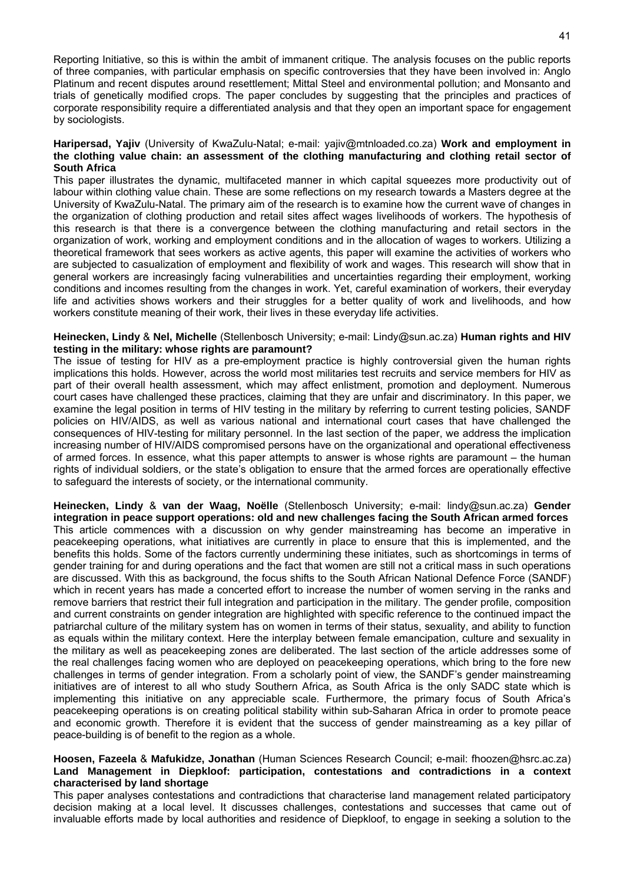Reporting Initiative, so this is within the ambit of immanent critique. The analysis focuses on the public reports of three companies, with particular emphasis on specific controversies that they have been involved in: Anglo Platinum and recent disputes around resettlement; Mittal Steel and environmental pollution; and Monsanto and trials of genetically modified crops. The paper concludes by suggesting that the principles and practices of corporate responsibility require a differentiated analysis and that they open an important space for engagement by sociologists.

#### **Haripersad, Yajiv** (University of KwaZulu-Natal; e-mail: yajiv@mtnloaded.co.za) **Work and employment in the clothing value chain: an assessment of the clothing manufacturing and clothing retail sector of South Africa**

This paper illustrates the dynamic, multifaceted manner in which capital squeezes more productivity out of labour within clothing value chain. These are some reflections on my research towards a Masters degree at the University of KwaZulu-Natal. The primary aim of the research is to examine how the current wave of changes in the organization of clothing production and retail sites affect wages livelihoods of workers. The hypothesis of this research is that there is a convergence between the clothing manufacturing and retail sectors in the organization of work, working and employment conditions and in the allocation of wages to workers. Utilizing a theoretical framework that sees workers as active agents, this paper will examine the activities of workers who are subjected to casualization of employment and flexibility of work and wages. This research will show that in general workers are increasingly facing vulnerabilities and uncertainties regarding their employment, working conditions and incomes resulting from the changes in work. Yet, careful examination of workers, their everyday life and activities shows workers and their struggles for a better quality of work and livelihoods, and how workers constitute meaning of their work, their lives in these everyday life activities.

#### **Heinecken, Lindy** & **Nel, Michelle** (Stellenbosch University; e-mail: Lindy@sun.ac.za) **Human rights and HIV testing in the military: whose rights are paramount?**

The issue of testing for HIV as a pre-employment practice is highly controversial given the human rights implications this holds. However, across the world most militaries test recruits and service members for HIV as part of their overall health assessment, which may affect enlistment, promotion and deployment. Numerous court cases have challenged these practices, claiming that they are unfair and discriminatory. In this paper, we examine the legal position in terms of HIV testing in the military by referring to current testing policies, SANDF policies on HIV/AIDS, as well as various national and international court cases that have challenged the consequences of HIV-testing for military personnel. In the last section of the paper, we address the implication increasing number of HIV/AIDS compromised persons have on the organizational and operational effectiveness of armed forces. In essence, what this paper attempts to answer is whose rights are paramount – the human rights of individual soldiers, or the state's obligation to ensure that the armed forces are operationally effective to safeguard the interests of society, or the international community.

**Heinecken, Lindy** & **van der Waag, Noëlle** (Stellenbosch University; e-mail: lindy@sun.ac.za) **Gender integration in peace support operations: old and new challenges facing the South African armed forces** This article commences with a discussion on why gender mainstreaming has become an imperative in peacekeeping operations, what initiatives are currently in place to ensure that this is implemented, and the benefits this holds. Some of the factors currently undermining these initiates, such as shortcomings in terms of gender training for and during operations and the fact that women are still not a critical mass in such operations are discussed. With this as background, the focus shifts to the South African National Defence Force (SANDF) which in recent years has made a concerted effort to increase the number of women serving in the ranks and remove barriers that restrict their full integration and participation in the military. The gender profile, composition and current constraints on gender integration are highlighted with specific reference to the continued impact the patriarchal culture of the military system has on women in terms of their status, sexuality, and ability to function as equals within the military context. Here the interplay between female emancipation, culture and sexuality in the military as well as peacekeeping zones are deliberated. The last section of the article addresses some of the real challenges facing women who are deployed on peacekeeping operations, which bring to the fore new challenges in terms of gender integration. From a scholarly point of view, the SANDF's gender mainstreaming initiatives are of interest to all who study Southern Africa, as South Africa is the only SADC state which is implementing this initiative on any appreciable scale. Furthermore, the primary focus of South Africa's peacekeeping operations is on creating political stability within sub-Saharan Africa in order to promote peace and economic growth. Therefore it is evident that the success of gender mainstreaming as a key pillar of peace-building is of benefit to the region as a whole.

#### **Hoosen, Fazeela** & **Mafukidze, Jonathan** (Human Sciences Research Council; e-mail: fhoozen@hsrc.ac.za) **Land Management in Diepkloof: participation, contestations and contradictions in a context characterised by land shortage**

This paper analyses contestations and contradictions that characterise land management related participatory decision making at a local level. It discusses challenges, contestations and successes that came out of invaluable efforts made by local authorities and residence of Diepkloof, to engage in seeking a solution to the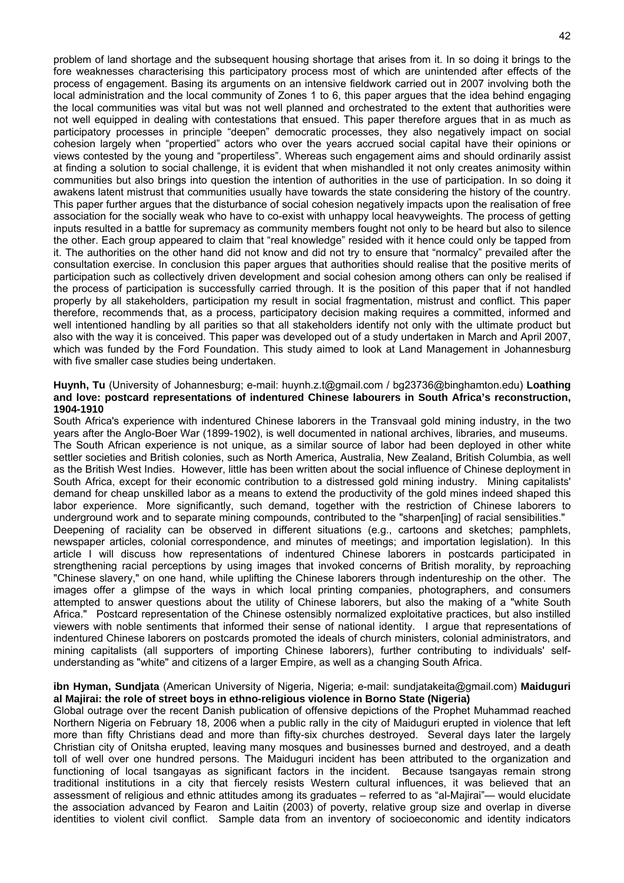problem of land shortage and the subsequent housing shortage that arises from it. In so doing it brings to the fore weaknesses characterising this participatory process most of which are unintended after effects of the process of engagement. Basing its arguments on an intensive fieldwork carried out in 2007 involving both the local administration and the local community of Zones 1 to 6, this paper argues that the idea behind engaging the local communities was vital but was not well planned and orchestrated to the extent that authorities were not well equipped in dealing with contestations that ensued. This paper therefore argues that in as much as participatory processes in principle "deepen" democratic processes, they also negatively impact on social cohesion largely when "propertied" actors who over the years accrued social capital have their opinions or views contested by the young and "propertiless". Whereas such engagement aims and should ordinarily assist at finding a solution to social challenge, it is evident that when mishandled it not only creates animosity within communities but also brings into question the intention of authorities in the use of participation. In so doing it awakens latent mistrust that communities usually have towards the state considering the history of the country. This paper further argues that the disturbance of social cohesion negatively impacts upon the realisation of free association for the socially weak who have to co-exist with unhappy local heavyweights. The process of getting inputs resulted in a battle for supremacy as community members fought not only to be heard but also to silence the other. Each group appeared to claim that "real knowledge" resided with it hence could only be tapped from it. The authorities on the other hand did not know and did not try to ensure that "normalcy" prevailed after the consultation exercise. In conclusion this paper argues that authorities should realise that the positive merits of participation such as collectively driven development and social cohesion among others can only be realised if the process of participation is successfully carried through. It is the position of this paper that if not handled properly by all stakeholders, participation my result in social fragmentation, mistrust and conflict. This paper therefore, recommends that, as a process, participatory decision making requires a committed, informed and well intentioned handling by all parities so that all stakeholders identify not only with the ultimate product but also with the way it is conceived. This paper was developed out of a study undertaken in March and April 2007, which was funded by the Ford Foundation. This study aimed to look at Land Management in Johannesburg with five smaller case studies being undertaken.

#### **Huynh, Tu** (University of Johannesburg; e-mail: huynh.z.t@gmail.com / bg23736@binghamton.edu) **Loathing and love: postcard representations of indentured Chinese labourers in South Africa's reconstruction, 1904-1910**

South Africa's experience with indentured Chinese laborers in the Transvaal gold mining industry, in the two years after the Anglo-Boer War (1899-1902), is well documented in national archives, libraries, and museums. The South African experience is not unique, as a similar source of labor had been deployed in other white settler societies and British colonies, such as North America, Australia, New Zealand, British Columbia, as well as the British West Indies. However, little has been written about the social influence of Chinese deployment in South Africa, except for their economic contribution to a distressed gold mining industry. Mining capitalists' demand for cheap unskilled labor as a means to extend the productivity of the gold mines indeed shaped this labor experience. More significantly, such demand, together with the restriction of Chinese laborers to underground work and to separate mining compounds, contributed to the "sharpen[ing] of racial sensibilities." Deepening of raciality can be observed in different situations (e.g., cartoons and sketches; pamphlets, newspaper articles, colonial correspondence, and minutes of meetings; and importation legislation). In this article I will discuss how representations of indentured Chinese laborers in postcards participated in strengthening racial perceptions by using images that invoked concerns of British morality, by reproaching "Chinese slavery," on one hand, while uplifting the Chinese laborers through indentureship on the other. The images offer a glimpse of the ways in which local printing companies, photographers, and consumers attempted to answer questions about the utility of Chinese laborers, but also the making of a "white South Africa." Postcard representation of the Chinese ostensibly normalized exploitative practices, but also instilled viewers with noble sentiments that informed their sense of national identity. I argue that representations of indentured Chinese laborers on postcards promoted the ideals of church ministers, colonial administrators, and mining capitalists (all supporters of importing Chinese laborers), further contributing to individuals' selfunderstanding as "white" and citizens of a larger Empire, as well as a changing South Africa.

#### **ibn Hyman, Sundjata** (American University of Nigeria, Nigeria; e-mail: sundjatakeita@gmail.com) **Maiduguri al Majirai: the role of street boys in ethno-religious violence in Borno State (Nigeria)**

Global outrage over the recent Danish publication of offensive depictions of the Prophet Muhammad reached Northern Nigeria on February 18, 2006 when a public rally in the city of Maiduguri erupted in violence that left more than fifty Christians dead and more than fifty-six churches destroyed. Several days later the largely Christian city of Onitsha erupted, leaving many mosques and businesses burned and destroyed, and a death toll of well over one hundred persons. The Maiduguri incident has been attributed to the organization and functioning of local tsangayas as significant factors in the incident. Because tsangayas remain strong traditional institutions in a city that fiercely resists Western cultural influences, it was believed that an assessment of religious and ethnic attitudes among its graduates – referred to as "al-Majirai"— would elucidate the association advanced by Fearon and Laitin (2003) of poverty, relative group size and overlap in diverse identities to violent civil conflict. Sample data from an inventory of socioeconomic and identity indicators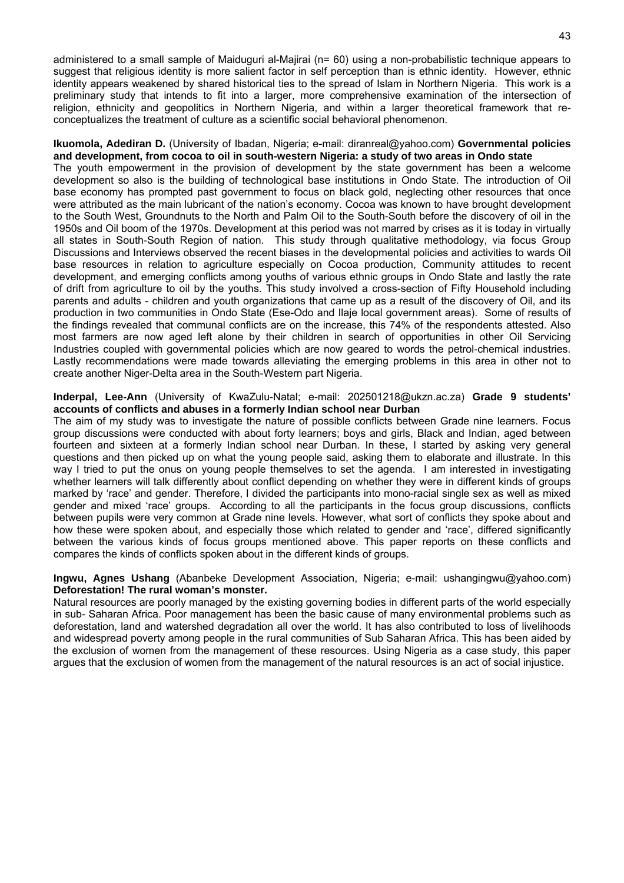administered to a small sample of Maiduguri al-Majirai (n= 60) using a non-probabilistic technique appears to suggest that religious identity is more salient factor in self perception than is ethnic identity. However, ethnic identity appears weakened by shared historical ties to the spread of Islam in Northern Nigeria. This work is a preliminary study that intends to fit into a larger, more comprehensive examination of the intersection of religion, ethnicity and geopolitics in Northern Nigeria, and within a larger theoretical framework that reconceptualizes the treatment of culture as a scientific social behavioral phenomenon.

#### **Ikuomola, Adediran D.** (University of Ibadan, Nigeria; e-mail: diranreal@yahoo.com) **Governmental policies and development, from cocoa to oil in south-western Nigeria: a study of two areas in Ondo state**

The youth empowerment in the provision of development by the state government has been a welcome development so also is the building of technological base institutions in Ondo State. The introduction of Oil base economy has prompted past government to focus on black gold, neglecting other resources that once were attributed as the main lubricant of the nation's economy. Cocoa was known to have brought development to the South West, Groundnuts to the North and Palm Oil to the South-South before the discovery of oil in the 1950s and Oil boom of the 1970s. Development at this period was not marred by crises as it is today in virtually all states in South-South Region of nation. This study through qualitative methodology, via focus Group Discussions and Interviews observed the recent biases in the developmental policies and activities to wards Oil base resources in relation to agriculture especially on Cocoa production, Community attitudes to recent development, and emerging conflicts among youths of various ethnic groups in Ondo State and lastly the rate of drift from agriculture to oil by the youths. This study involved a cross-section of Fifty Household including parents and adults - children and youth organizations that came up as a result of the discovery of Oil, and its production in two communities in Ondo State (Ese-Odo and Ilaje local government areas). Some of results of the findings revealed that communal conflicts are on the increase, this 74% of the respondents attested. Also most farmers are now aged left alone by their children in search of opportunities in other Oil Servicing Industries coupled with governmental policies which are now geared to words the petrol-chemical industries. Lastly recommendations were made towards alleviating the emerging problems in this area in other not to create another Niger-Delta area in the South-Western part Nigeria.

#### **Inderpal, Lee-Ann** (University of KwaZulu-Natal; e-mail: 202501218@ukzn.ac.za) **Grade 9 students' accounts of conflicts and abuses in a formerly Indian school near Durban**

The aim of my study was to investigate the nature of possible conflicts between Grade nine learners. Focus group discussions were conducted with about forty learners; boys and girls, Black and Indian, aged between fourteen and sixteen at a formerly Indian school near Durban. In these, I started by asking very general questions and then picked up on what the young people said, asking them to elaborate and illustrate. In this way I tried to put the onus on young people themselves to set the agenda. I am interested in investigating whether learners will talk differently about conflict depending on whether they were in different kinds of groups marked by 'race' and gender. Therefore, I divided the participants into mono-racial single sex as well as mixed gender and mixed 'race' groups. According to all the participants in the focus group discussions, conflicts between pupils were very common at Grade nine levels. However, what sort of conflicts they spoke about and how these were spoken about, and especially those which related to gender and 'race', differed significantly between the various kinds of focus groups mentioned above. This paper reports on these conflicts and compares the kinds of conflicts spoken about in the different kinds of groups.

#### **Ingwu, Agnes Ushang** (Abanbeke Development Association, Nigeria; e-mail: ushangingwu@yahoo.com) **Deforestation! The rural woman's monster.**

Natural resources are poorly managed by the existing governing bodies in different parts of the world especially in sub- Saharan Africa. Poor management has been the basic cause of many environmental problems such as deforestation, land and watershed degradation all over the world. It has also contributed to loss of livelihoods and widespread poverty among people in the rural communities of Sub Saharan Africa. This has been aided by the exclusion of women from the management of these resources. Using Nigeria as a case study, this paper argues that the exclusion of women from the management of the natural resources is an act of social injustice.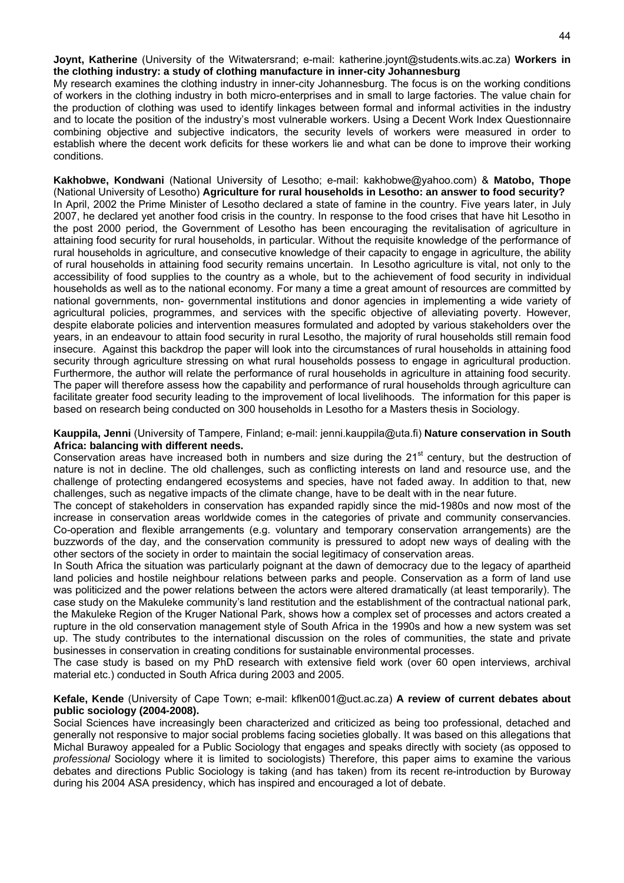**Joynt, Katherine** (University of the Witwatersrand; e-mail: katherine.joynt@students.wits.ac.za) **Workers in the clothing industry: a study of clothing manufacture in inner-city Johannesburg**

My research examines the clothing industry in inner-city Johannesburg. The focus is on the working conditions of workers in the clothing industry in both micro-enterprises and in small to large factories. The value chain for the production of clothing was used to identify linkages between formal and informal activities in the industry and to locate the position of the industry's most vulnerable workers. Using a Decent Work Index Questionnaire combining objective and subjective indicators, the security levels of workers were measured in order to establish where the decent work deficits for these workers lie and what can be done to improve their working conditions.

**Kakhobwe, Kondwani** (National University of Lesotho; e-mail: kakhobwe@yahoo.com) & **Matobo, Thope**  (National University of Lesotho) **Agriculture for rural households in Lesotho: an answer to food security?** In April, 2002 the Prime Minister of Lesotho declared a state of famine in the country. Five years later, in July 2007, he declared yet another food crisis in the country. In response to the food crises that have hit Lesotho in the post 2000 period, the Government of Lesotho has been encouraging the revitalisation of agriculture in attaining food security for rural households, in particular. Without the requisite knowledge of the performance of rural households in agriculture, and consecutive knowledge of their capacity to engage in agriculture, the ability of rural households in attaining food security remains uncertain. In Lesotho agriculture is vital, not only to the accessibility of food supplies to the country as a whole, but to the achievement of food security in individual households as well as to the national economy. For many a time a great amount of resources are committed by national governments, non- governmental institutions and donor agencies in implementing a wide variety of agricultural policies, programmes, and services with the specific objective of alleviating poverty. However, despite elaborate policies and intervention measures formulated and adopted by various stakeholders over the years, in an endeavour to attain food security in rural Lesotho, the majority of rural households still remain food insecure. Against this backdrop the paper will look into the circumstances of rural households in attaining food security through agriculture stressing on what rural households possess to engage in agricultural production. Furthermore, the author will relate the performance of rural households in agriculture in attaining food security. The paper will therefore assess how the capability and performance of rural households through agriculture can facilitate greater food security leading to the improvement of local livelihoods. The information for this paper is based on research being conducted on 300 households in Lesotho for a Masters thesis in Sociology.

**Kauppila, Jenni** (University of Tampere, Finland; e-mail: jenni.kauppila@uta.fi) **Nature conservation in South Africa: balancing with different needs.** 

Conservation areas have increased both in numbers and size during the 21<sup>st</sup> century, but the destruction of nature is not in decline. The old challenges, such as conflicting interests on land and resource use, and the challenge of protecting endangered ecosystems and species, have not faded away. In addition to that, new challenges, such as negative impacts of the climate change, have to be dealt with in the near future.

The concept of stakeholders in conservation has expanded rapidly since the mid-1980s and now most of the increase in conservation areas worldwide comes in the categories of private and community conservancies. Co-operation and flexible arrangements (e.g. voluntary and temporary conservation arrangements) are the buzzwords of the day, and the conservation community is pressured to adopt new ways of dealing with the other sectors of the society in order to maintain the social legitimacy of conservation areas.

In South Africa the situation was particularly poignant at the dawn of democracy due to the legacy of apartheid land policies and hostile neighbour relations between parks and people. Conservation as a form of land use was politicized and the power relations between the actors were altered dramatically (at least temporarily). The case study on the Makuleke community's land restitution and the establishment of the contractual national park, the Makuleke Region of the Kruger National Park, shows how a complex set of processes and actors created a rupture in the old conservation management style of South Africa in the 1990s and how a new system was set up. The study contributes to the international discussion on the roles of communities, the state and private businesses in conservation in creating conditions for sustainable environmental processes.

The case study is based on my PhD research with extensive field work (over 60 open interviews, archival material etc.) conducted in South Africa during 2003 and 2005.

#### **Kefale, Kende** (University of Cape Town; e-mail: kflken001@uct.ac.za) **A review of current debates about public sociology (2004-2008).**

Social Sciences have increasingly been characterized and criticized as being too professional, detached and generally not responsive to major social problems facing societies globally. It was based on this allegations that Michal Burawoy appealed for a Public Sociology that engages and speaks directly with society (as opposed to *professional* Sociology where it is limited to sociologists) Therefore, this paper aims to examine the various debates and directions Public Sociology is taking (and has taken) from its recent re-introduction by Buroway during his 2004 ASA presidency, which has inspired and encouraged a lot of debate.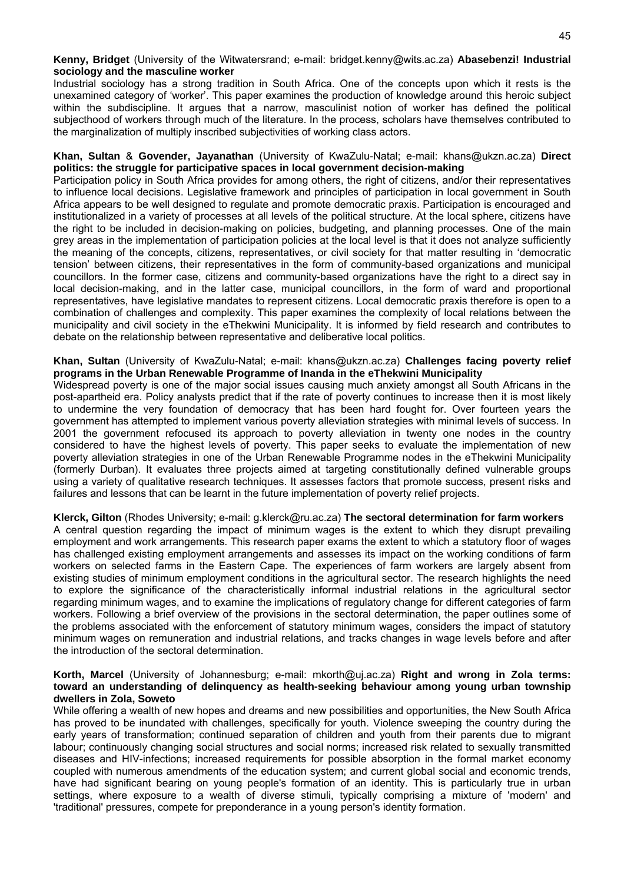Industrial sociology has a strong tradition in South Africa. One of the concepts upon which it rests is the unexamined category of 'worker'. This paper examines the production of knowledge around this heroic subject within the subdiscipline. It argues that a narrow, masculinist notion of worker has defined the political subjecthood of workers through much of the literature. In the process, scholars have themselves contributed to the marginalization of multiply inscribed subjectivities of working class actors.

#### **Khan, Sultan** & **Govender, Jayanathan** (University of KwaZulu-Natal; e-mail: khans@ukzn.ac.za) **Direct politics: the struggle for participative spaces in local government decision-making**

Participation policy in South Africa provides for among others, the right of citizens, and/or their representatives to influence local decisions. Legislative framework and principles of participation in local government in South Africa appears to be well designed to regulate and promote democratic praxis. Participation is encouraged and institutionalized in a variety of processes at all levels of the political structure. At the local sphere, citizens have the right to be included in decision-making on policies, budgeting, and planning processes. One of the main grey areas in the implementation of participation policies at the local level is that it does not analyze sufficiently the meaning of the concepts, citizens, representatives, or civil society for that matter resulting in 'democratic tension' between citizens, their representatives in the form of community-based organizations and municipal councillors. In the former case, citizens and community-based organizations have the right to a direct say in local decision-making, and in the latter case, municipal councillors, in the form of ward and proportional representatives, have legislative mandates to represent citizens. Local democratic praxis therefore is open to a combination of challenges and complexity. This paper examines the complexity of local relations between the municipality and civil society in the eThekwini Municipality. It is informed by field research and contributes to debate on the relationship between representative and deliberative local politics.

#### **Khan, Sultan** (University of KwaZulu-Natal; e-mail: khans@ukzn.ac.za) **Challenges facing poverty relief programs in the Urban Renewable Programme of Inanda in the eThekwini Municipality**

Widespread poverty is one of the major social issues causing much anxiety amongst all South Africans in the post-apartheid era. Policy analysts predict that if the rate of poverty continues to increase then it is most likely to undermine the very foundation of democracy that has been hard fought for. Over fourteen years the government has attempted to implement various poverty alleviation strategies with minimal levels of success. In 2001 the government refocused its approach to poverty alleviation in twenty one nodes in the country considered to have the highest levels of poverty. This paper seeks to evaluate the implementation of new poverty alleviation strategies in one of the Urban Renewable Programme nodes in the eThekwini Municipality (formerly Durban). It evaluates three projects aimed at targeting constitutionally defined vulnerable groups using a variety of qualitative research techniques. It assesses factors that promote success, present risks and failures and lessons that can be learnt in the future implementation of poverty relief projects.

#### **Klerck, Gilton** (Rhodes University; e-mail: g.klerck@ru.ac.za) **The sectoral determination for farm workers** A central question regarding the impact of minimum wages is the extent to which they disrupt prevailing employment and work arrangements. This research paper exams the extent to which a statutory floor of wages has challenged existing employment arrangements and assesses its impact on the working conditions of farm workers on selected farms in the Eastern Cape. The experiences of farm workers are largely absent from existing studies of minimum employment conditions in the agricultural sector. The research highlights the need to explore the significance of the characteristically informal industrial relations in the agricultural sector regarding minimum wages, and to examine the implications of regulatory change for different categories of farm workers. Following a brief overview of the provisions in the sectoral determination, the paper outlines some of the problems associated with the enforcement of statutory minimum wages, considers the impact of statutory minimum wages on remuneration and industrial relations, and tracks changes in wage levels before and after the introduction of the sectoral determination.

#### **Korth, Marcel** (University of Johannesburg; e-mail: mkorth@uj.ac.za) **Right and wrong in Zola terms: toward an understanding of delinquency as health-seeking behaviour among young urban township dwellers in Zola, Soweto**

While offering a wealth of new hopes and dreams and new possibilities and opportunities, the New South Africa has proved to be inundated with challenges, specifically for youth. Violence sweeping the country during the early years of transformation; continued separation of children and youth from their parents due to migrant labour; continuously changing social structures and social norms; increased risk related to sexually transmitted diseases and HIV-infections; increased requirements for possible absorption in the formal market economy coupled with numerous amendments of the education system; and current global social and economic trends, have had significant bearing on young people's formation of an identity. This is particularly true in urban settings, where exposure to a wealth of diverse stimuli, typically comprising a mixture of 'modern' and 'traditional' pressures, compete for preponderance in a young person's identity formation.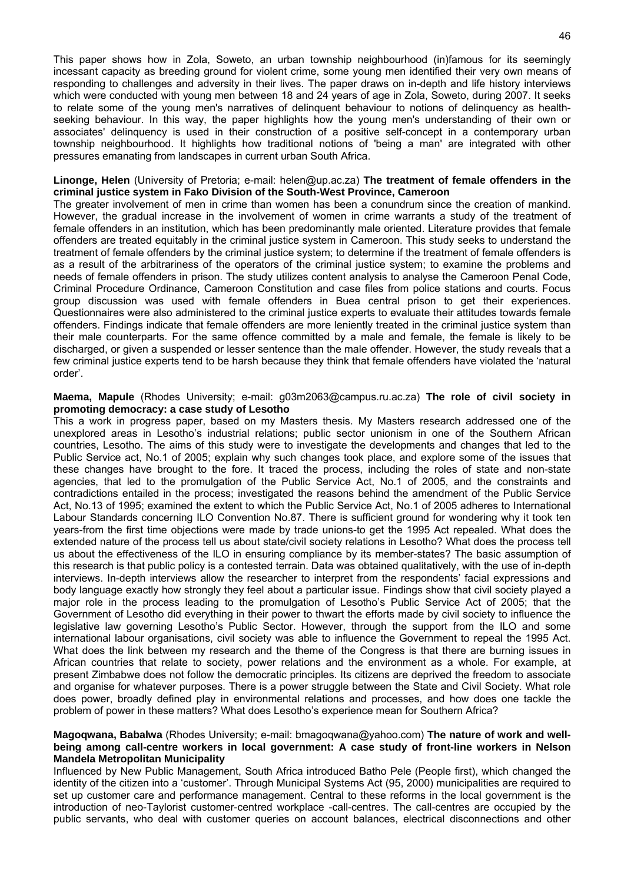This paper shows how in Zola, Soweto, an urban township neighbourhood (in)famous for its seemingly incessant capacity as breeding ground for violent crime, some young men identified their very own means of responding to challenges and adversity in their lives. The paper draws on in-depth and life history interviews which were conducted with young men between 18 and 24 years of age in Zola, Soweto, during 2007. It seeks to relate some of the young men's narratives of delinquent behaviour to notions of delinquency as healthseeking behaviour. In this way, the paper highlights how the young men's understanding of their own or associates' delinquency is used in their construction of a positive self-concept in a contemporary urban township neighbourhood. It highlights how traditional notions of 'being a man' are integrated with other pressures emanating from landscapes in current urban South Africa.

#### **Linonge, Helen** (University of Pretoria; e-mail: helen@up.ac.za) **The treatment of female offenders in the criminal justice system in Fako Division of the South-West Province, Cameroon**

The greater involvement of men in crime than women has been a conundrum since the creation of mankind. However, the gradual increase in the involvement of women in crime warrants a study of the treatment of female offenders in an institution, which has been predominantly male oriented. Literature provides that female offenders are treated equitably in the criminal justice system in Cameroon. This study seeks to understand the treatment of female offenders by the criminal justice system; to determine if the treatment of female offenders is as a result of the arbitrariness of the operators of the criminal justice system; to examine the problems and needs of female offenders in prison. The study utilizes content analysis to analyse the Cameroon Penal Code, Criminal Procedure Ordinance, Cameroon Constitution and case files from police stations and courts. Focus group discussion was used with female offenders in Buea central prison to get their experiences. Questionnaires were also administered to the criminal justice experts to evaluate their attitudes towards female offenders. Findings indicate that female offenders are more leniently treated in the criminal justice system than their male counterparts. For the same offence committed by a male and female, the female is likely to be discharged, or given a suspended or lesser sentence than the male offender. However, the study reveals that a few criminal justice experts tend to be harsh because they think that female offenders have violated the 'natural order'.

#### **Maema, Mapule** (Rhodes University; e-mail: g03m2063@campus.ru.ac.za) **The role of civil society in promoting democracy: a case study of Lesotho**

This a work in progress paper, based on my Masters thesis. My Masters research addressed one of the unexplored areas in Lesotho's industrial relations; public sector unionism in one of the Southern African countries, Lesotho. The aims of this study were to investigate the developments and changes that led to the Public Service act, No.1 of 2005; explain why such changes took place, and explore some of the issues that these changes have brought to the fore. It traced the process, including the roles of state and non-state agencies, that led to the promulgation of the Public Service Act, No.1 of 2005, and the constraints and contradictions entailed in the process; investigated the reasons behind the amendment of the Public Service Act, No.13 of 1995; examined the extent to which the Public Service Act, No.1 of 2005 adheres to International Labour Standards concerning ILO Convention No.87. There is sufficient ground for wondering why it took ten years-from the first time objections were made by trade unions-to get the 1995 Act repealed. What does the extended nature of the process tell us about state/civil society relations in Lesotho? What does the process tell us about the effectiveness of the ILO in ensuring compliance by its member-states? The basic assumption of this research is that public policy is a contested terrain. Data was obtained qualitatively, with the use of in-depth interviews. In-depth interviews allow the researcher to interpret from the respondents' facial expressions and body language exactly how strongly they feel about a particular issue. Findings show that civil society played a major role in the process leading to the promulgation of Lesotho's Public Service Act of 2005; that the Government of Lesotho did everything in their power to thwart the efforts made by civil society to influence the legislative law governing Lesotho's Public Sector. However, through the support from the ILO and some international labour organisations, civil society was able to influence the Government to repeal the 1995 Act. What does the link between my research and the theme of the Congress is that there are burning issues in African countries that relate to society, power relations and the environment as a whole. For example, at present Zimbabwe does not follow the democratic principles. Its citizens are deprived the freedom to associate and organise for whatever purposes. There is a power struggle between the State and Civil Society. What role does power, broadly defined play in environmental relations and processes, and how does one tackle the problem of power in these matters? What does Lesotho's experience mean for Southern Africa?

#### **Magoqwana, Babalwa** (Rhodes University; e-mail: bmagoqwana@yahoo.com) **The nature of work and wellbeing among call-centre workers in local government: A case study of front-line workers in Nelson Mandela Metropolitan Municipality**

Influenced by New Public Management, South Africa introduced Batho Pele (People first), which changed the identity of the citizen into a 'customer'. Through Municipal Systems Act (95, 2000) municipalities are required to set up customer care and performance management. Central to these reforms in the local government is the introduction of neo-Taylorist customer-centred workplace -call-centres. The call-centres are occupied by the public servants, who deal with customer queries on account balances, electrical disconnections and other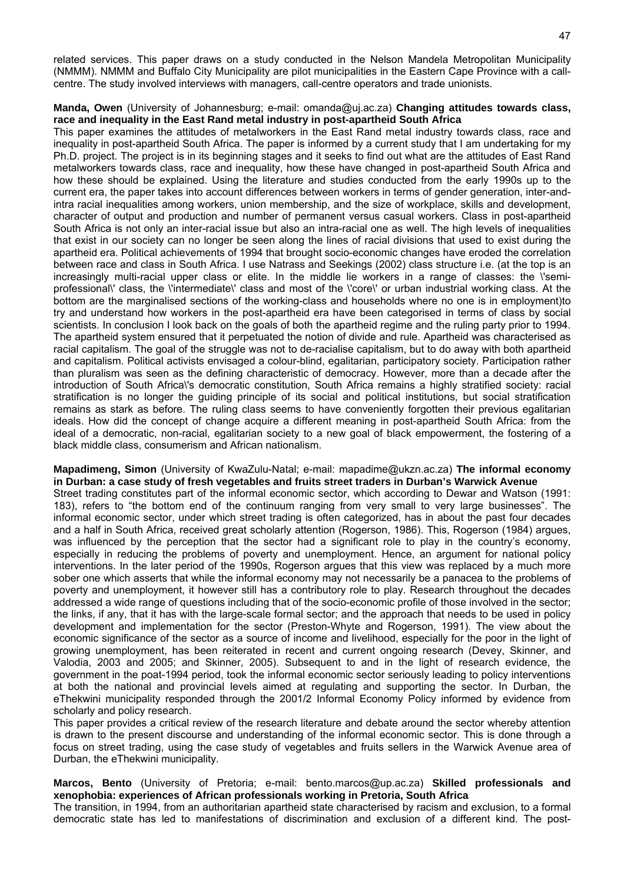related services. This paper draws on a study conducted in the Nelson Mandela Metropolitan Municipality (NMMM). NMMM and Buffalo City Municipality are pilot municipalities in the Eastern Cape Province with a callcentre. The study involved interviews with managers, call-centre operators and trade unionists.

#### **Manda, Owen** (University of Johannesburg; e-mail: omanda@uj.ac.za) **Changing attitudes towards class, race and inequality in the East Rand metal industry in post-apartheid South Africa**

This paper examines the attitudes of metalworkers in the East Rand metal industry towards class, race and inequality in post-apartheid South Africa. The paper is informed by a current study that I am undertaking for my Ph.D. project. The project is in its beginning stages and it seeks to find out what are the attitudes of East Rand metalworkers towards class, race and inequality, how these have changed in post-apartheid South Africa and how these should be explained. Using the literature and studies conducted from the early 1990s up to the current era, the paper takes into account differences between workers in terms of gender generation, inter-andintra racial inequalities among workers, union membership, and the size of workplace, skills and development, character of output and production and number of permanent versus casual workers. Class in post-apartheid South Africa is not only an inter-racial issue but also an intra-racial one as well. The high levels of inequalities that exist in our society can no longer be seen along the lines of racial divisions that used to exist during the apartheid era. Political achievements of 1994 that brought socio-economic changes have eroded the correlation between race and class in South Africa. I use Natrass and Seekings (2002) class structure i.e. (at the top is an increasingly multi-racial upper class or elite. In the middle lie workers in a range of classes: the \'semiprofessional\' class, the \'intermediate\' class and most of the \'core\' or urban industrial working class. At the bottom are the marginalised sections of the working-class and households where no one is in employment)to try and understand how workers in the post-apartheid era have been categorised in terms of class by social scientists. In conclusion I look back on the goals of both the apartheid regime and the ruling party prior to 1994. The apartheid system ensured that it perpetuated the notion of divide and rule. Apartheid was characterised as racial capitalism. The goal of the struggle was not to de-racialise capitalism, but to do away with both apartheid and capitalism. Political activists envisaged a colour-blind, egalitarian, participatory society. Participation rather than pluralism was seen as the defining characteristic of democracy. However, more than a decade after the introduction of South Africa\'s democratic constitution, South Africa remains a highly stratified society: racial stratification is no longer the guiding principle of its social and political institutions, but social stratification remains as stark as before. The ruling class seems to have conveniently forgotten their previous egalitarian ideals. How did the concept of change acquire a different meaning in post-apartheid South Africa: from the ideal of a democratic, non-racial, egalitarian society to a new goal of black empowerment, the fostering of a black middle class, consumerism and African nationalism.

#### **Mapadimeng, Simon** (University of KwaZulu-Natal; e-mail: mapadime@ukzn.ac.za) **The informal economy in Durban: a case study of fresh vegetables and fruits street traders in Durban's Warwick Avenue**

Street trading constitutes part of the informal economic sector, which according to Dewar and Watson (1991: 183), refers to "the bottom end of the continuum ranging from very small to very large businesses". The informal economic sector, under which street trading is often categorized, has in about the past four decades and a half in South Africa, received great scholarly attention (Rogerson, 1986). This, Rogerson (1984) argues, was influenced by the perception that the sector had a significant role to play in the country's economy, especially in reducing the problems of poverty and unemployment. Hence, an argument for national policy interventions. In the later period of the 1990s, Rogerson argues that this view was replaced by a much more sober one which asserts that while the informal economy may not necessarily be a panacea to the problems of poverty and unemployment, it however still has a contributory role to play. Research throughout the decades addressed a wide range of questions including that of the socio-economic profile of those involved in the sector; the links, if any, that it has with the large-scale formal sector; and the approach that needs to be used in policy development and implementation for the sector (Preston-Whyte and Rogerson, 1991). The view about the economic significance of the sector as a source of income and livelihood, especially for the poor in the light of growing unemployment, has been reiterated in recent and current ongoing research (Devey, Skinner, and Valodia, 2003 and 2005; and Skinner, 2005). Subsequent to and in the light of research evidence, the government in the poat-1994 period, took the informal economic sector seriously leading to policy interventions at both the national and provincial levels aimed at regulating and supporting the sector. In Durban, the eThekwini municipality responded through the 2001/2 Informal Economy Policy informed by evidence from scholarly and policy research.

This paper provides a critical review of the research literature and debate around the sector whereby attention is drawn to the present discourse and understanding of the informal economic sector. This is done through a focus on street trading, using the case study of vegetables and fruits sellers in the Warwick Avenue area of Durban, the eThekwini municipality.

#### **Marcos, Bento** (University of Pretoria; e-mail: bento.marcos@up.ac.za) **Skilled professionals and xenophobia: experiences of African professionals working in Pretoria, South Africa**

The transition, in 1994, from an authoritarian apartheid state characterised by racism and exclusion, to a formal democratic state has led to manifestations of discrimination and exclusion of a different kind. The post-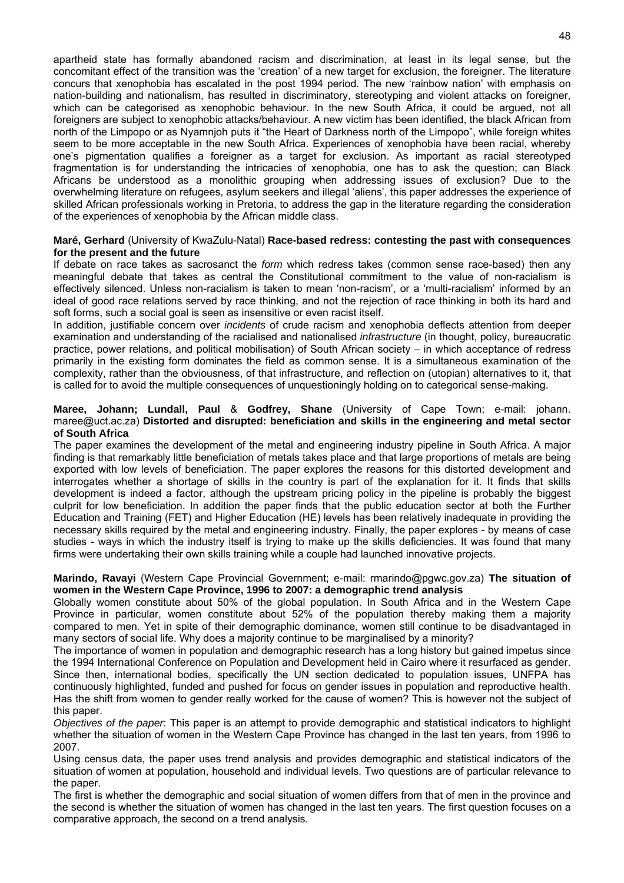apartheid state has formally abandoned racism and discrimination, at least in its legal sense, but the concomitant effect of the transition was the 'creation' of a new target for exclusion, the foreigner. The literature concurs that xenophobia has escalated in the post 1994 period. The new 'rainbow nation' with emphasis on nation-building and nationalism, has resulted in discriminatory, stereotyping and violent attacks on foreigner, which can be categorised as xenophobic behaviour. In the new South Africa, it could be argued, not all foreigners are subject to xenophobic attacks/behaviour. A new victim has been identified, the black African from north of the Limpopo or as Nyamnjoh puts it "the Heart of Darkness north of the Limpopo", while foreign whites seem to be more acceptable in the new South Africa. Experiences of xenophobia have been racial, whereby one's pigmentation qualifies a foreigner as a target for exclusion. As important as racial stereotyped fragmentation is for understanding the intricacies of xenophobia, one has to ask the question; can Black Africans be understood as a monolithic grouping when addressing issues of exclusion? Due to the overwhelming literature on refugees, asylum seekers and illegal 'aliens', this paper addresses the experience of skilled African professionals working in Pretoria, to address the gap in the literature regarding the consideration of the experiences of xenophobia by the African middle class.

#### **Maré, Gerhard** (University of KwaZulu-Natal) **Race-based redress: contesting the past with consequences for the present and the future**

If debate on race takes as sacrosanct the *form* which redress takes (common sense race-based) then any meaningful debate that takes as central the Constitutional commitment to the value of non-racialism is effectively silenced. Unless non-racialism is taken to mean 'non-racism', or a 'multi-racialism' informed by an ideal of good race relations served by race thinking, and not the rejection of race thinking in both its hard and soft forms, such a social goal is seen as insensitive or even racist itself.

In addition, justifiable concern over *incidents* of crude racism and xenophobia deflects attention from deeper examination and understanding of the racialised and nationalised *infrastructure* (in thought, policy, bureaucratic practice, power relations, and political mobilisation) of South African society – in which acceptance of redress primarily in the existing form dominates the field as common sense. It is a simultaneous examination of the complexity, rather than the obviousness, of that infrastructure, and reflection on (utopian) alternatives to it, that is called for to avoid the multiple consequences of unquestioningly holding on to categorical sense-making.

#### **Maree, Johann; Lundall, Paul** & **Godfrey, Shane** (University of Cape Town; e-mail: johann. maree@uct.ac.za) **Distorted and disrupted: beneficiation and skills in the engineering and metal sector of South Africa**

The paper examines the development of the metal and engineering industry pipeline in South Africa. A major finding is that remarkably little beneficiation of metals takes place and that large proportions of metals are being exported with low levels of beneficiation. The paper explores the reasons for this distorted development and interrogates whether a shortage of skills in the country is part of the explanation for it. It finds that skills development is indeed a factor, although the upstream pricing policy in the pipeline is probably the biggest culprit for low beneficiation. In addition the paper finds that the public education sector at both the Further Education and Training (FET) and Higher Education (HE) levels has been relatively inadequate in providing the necessary skills required by the metal and engineering industry. Finally, the paper explores - by means of case studies - ways in which the industry itself is trying to make up the skills deficiencies. It was found that many firms were undertaking their own skills training while a couple had launched innovative projects.

#### **Marindo, Ravayi** (Western Cape Provincial Government; e-mail: rmarindo@pgwc.gov.za) **The situation of women in the Western Cape Province, 1996 to 2007: a demographic trend analysis**

Globally women constitute about 50% of the global population. In South Africa and in the Western Cape Province in particular, women constitute about 52% of the population thereby making them a majority compared to men. Yet in spite of their demographic dominance, women still continue to be disadvantaged in many sectors of social life. Why does a majority continue to be marginalised by a minority?

The importance of women in population and demographic research has a long history but gained impetus since the 1994 International Conference on Population and Development held in Cairo where it resurfaced as gender. Since then, international bodies, specifically the UN section dedicated to population issues, UNFPA has continuously highlighted, funded and pushed for focus on gender issues in population and reproductive health. Has the shift from women to gender really worked for the cause of women? This is however not the subject of this paper.

*Objectives of the paper*: This paper is an attempt to provide demographic and statistical indicators to highlight whether the situation of women in the Western Cape Province has changed in the last ten years, from 1996 to 2007.

Using census data, the paper uses trend analysis and provides demographic and statistical indicators of the situation of women at population, household and individual levels. Two questions are of particular relevance to the paper.

The first is whether the demographic and social situation of women differs from that of men in the province and the second is whether the situation of women has changed in the last ten years. The first question focuses on a comparative approach, the second on a trend analysis.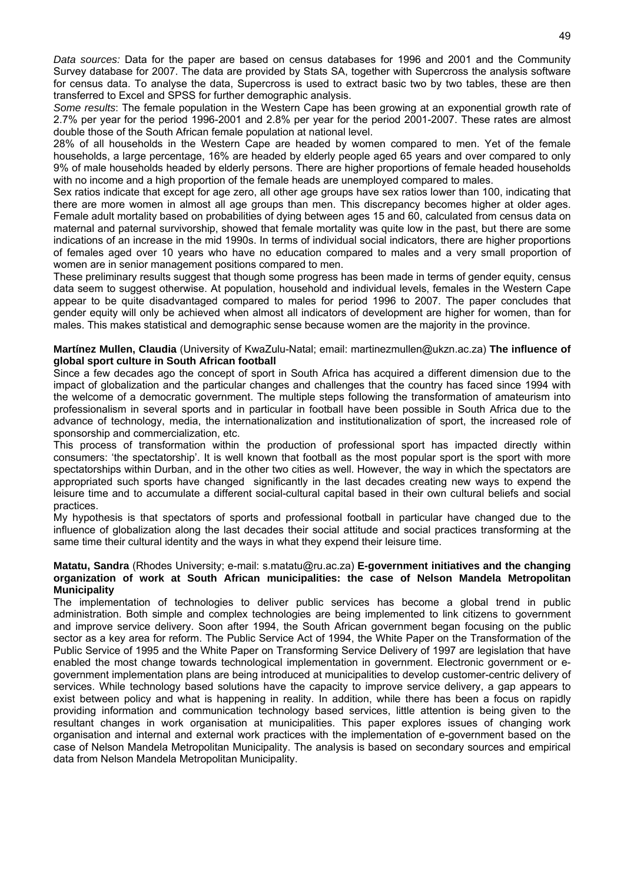*Data sources:* Data for the paper are based on census databases for 1996 and 2001 and the Community Survey database for 2007. The data are provided by Stats SA, together with Supercross the analysis software for census data. To analyse the data, Supercross is used to extract basic two by two tables, these are then transferred to Excel and SPSS for further demographic analysis.

*Some results*: The female population in the Western Cape has been growing at an exponential growth rate of 2.7% per year for the period 1996-2001 and 2.8% per year for the period 2001-2007. These rates are almost double those of the South African female population at national level.

28% of all households in the Western Cape are headed by women compared to men. Yet of the female households, a large percentage, 16% are headed by elderly people aged 65 years and over compared to only 9% of male households headed by elderly persons. There are higher proportions of female headed households with no income and a high proportion of the female heads are unemployed compared to males.

Sex ratios indicate that except for age zero, all other age groups have sex ratios lower than 100, indicating that there are more women in almost all age groups than men. This discrepancy becomes higher at older ages. Female adult mortality based on probabilities of dying between ages 15 and 60, calculated from census data on maternal and paternal survivorship, showed that female mortality was quite low in the past, but there are some indications of an increase in the mid 1990s. In terms of individual social indicators, there are higher proportions of females aged over 10 years who have no education compared to males and a very small proportion of women are in senior management positions compared to men.

These preliminary results suggest that though some progress has been made in terms of gender equity, census data seem to suggest otherwise. At population, household and individual levels, females in the Western Cape appear to be quite disadvantaged compared to males for period 1996 to 2007. The paper concludes that gender equity will only be achieved when almost all indicators of development are higher for women, than for males. This makes statistical and demographic sense because women are the majority in the province.

#### **Martínez Mullen, Claudia** (University of KwaZulu-Natal; email: martinezmullen@ukzn.ac.za) **The influence of global sport culture in South African football**

Since a few decades ago the concept of sport in South Africa has acquired a different dimension due to the impact of globalization and the particular changes and challenges that the country has faced since 1994 with the welcome of a democratic government. The multiple steps following the transformation of amateurism into professionalism in several sports and in particular in football have been possible in South Africa due to the advance of technology, media, the internationalization and institutionalization of sport, the increased role of sponsorship and commercialization, etc.

This process of transformation within the production of professional sport has impacted directly within consumers: 'the spectatorship'. It is well known that football as the most popular sport is the sport with more spectatorships within Durban, and in the other two cities as well. However, the way in which the spectators are appropriated such sports have changed significantly in the last decades creating new ways to expend the leisure time and to accumulate a different social-cultural capital based in their own cultural beliefs and social practices.

My hypothesis is that spectators of sports and professional football in particular have changed due to the influence of globalization along the last decades their social attitude and social practices transforming at the same time their cultural identity and the ways in what they expend their leisure time.

#### **Matatu, Sandra** (Rhodes University; e-mail: s.matatu@ru.ac.za) **E-government initiatives and the changing organization of work at South African municipalities: the case of Nelson Mandela Metropolitan Municipality**

The implementation of technologies to deliver public services has become a global trend in public administration. Both simple and complex technologies are being implemented to link citizens to government and improve service delivery. Soon after 1994, the South African government began focusing on the public sector as a key area for reform. The Public Service Act of 1994, the White Paper on the Transformation of the Public Service of 1995 and the White Paper on Transforming Service Delivery of 1997 are legislation that have enabled the most change towards technological implementation in government. Electronic government or egovernment implementation plans are being introduced at municipalities to develop customer-centric delivery of services. While technology based solutions have the capacity to improve service delivery, a gap appears to exist between policy and what is happening in reality. In addition, while there has been a focus on rapidly providing information and communication technology based services, little attention is being given to the resultant changes in work organisation at municipalities. This paper explores issues of changing work organisation and internal and external work practices with the implementation of e-government based on the case of Nelson Mandela Metropolitan Municipality. The analysis is based on secondary sources and empirical data from Nelson Mandela Metropolitan Municipality.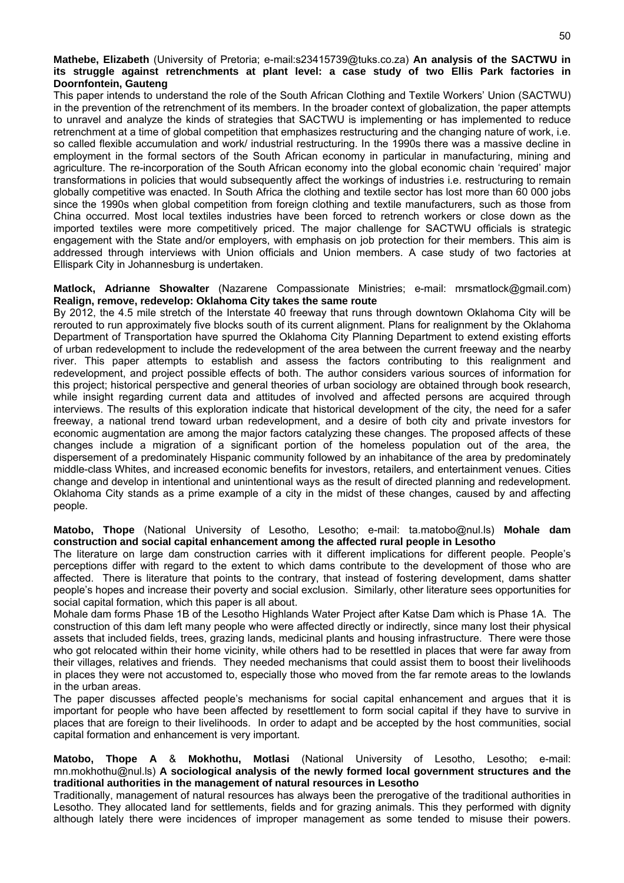#### **Mathebe, Elizabeth** (University of Pretoria; e-mail:s23415739@tuks.co.za) **An analysis of the SACTWU in its struggle against retrenchments at plant level: a case study of two Ellis Park factories in Doornfontein, Gauteng**

This paper intends to understand the role of the South African Clothing and Textile Workers' Union (SACTWU) in the prevention of the retrenchment of its members. In the broader context of globalization, the paper attempts to unravel and analyze the kinds of strategies that SACTWU is implementing or has implemented to reduce retrenchment at a time of global competition that emphasizes restructuring and the changing nature of work, i.e. so called flexible accumulation and work/ industrial restructuring. In the 1990s there was a massive decline in employment in the formal sectors of the South African economy in particular in manufacturing, mining and agriculture. The re-incorporation of the South African economy into the global economic chain 'required' major transformations in policies that would subsequently affect the workings of industries i.e. restructuring to remain globally competitive was enacted. In South Africa the clothing and textile sector has lost more than 60 000 jobs since the 1990s when global competition from foreign clothing and textile manufacturers, such as those from China occurred. Most local textiles industries have been forced to retrench workers or close down as the imported textiles were more competitively priced. The major challenge for SACTWU officials is strategic engagement with the State and/or employers, with emphasis on job protection for their members. This aim is addressed through interviews with Union officials and Union members. A case study of two factories at Ellispark City in Johannesburg is undertaken.

#### **Matlock, Adrianne Showalter** (Nazarene Compassionate Ministries; e-mail: mrsmatlock@gmail.com) **Realign, remove, redevelop: Oklahoma City takes the same route**

By 2012, the 4.5 mile stretch of the Interstate 40 freeway that runs through downtown Oklahoma City will be rerouted to run approximately five blocks south of its current alignment. Plans for realignment by the Oklahoma Department of Transportation have spurred the Oklahoma City Planning Department to extend existing efforts of urban redevelopment to include the redevelopment of the area between the current freeway and the nearby river. This paper attempts to establish and assess the factors contributing to this realignment and redevelopment, and project possible effects of both. The author considers various sources of information for this project; historical perspective and general theories of urban sociology are obtained through book research, while insight regarding current data and attitudes of involved and affected persons are acquired through interviews. The results of this exploration indicate that historical development of the city, the need for a safer freeway, a national trend toward urban redevelopment, and a desire of both city and private investors for economic augmentation are among the major factors catalyzing these changes. The proposed affects of these changes include a migration of a significant portion of the homeless population out of the area, the dispersement of a predominately Hispanic community followed by an inhabitance of the area by predominately middle-class Whites, and increased economic benefits for investors, retailers, and entertainment venues. Cities change and develop in intentional and unintentional ways as the result of directed planning and redevelopment. Oklahoma City stands as a prime example of a city in the midst of these changes, caused by and affecting people.

#### **Matobo, Thope** (National University of Lesotho, Lesotho; e-mail: ta.matobo@nul.ls) **Mohale dam construction and social capital enhancement among the affected rural people in Lesotho**

The literature on large dam construction carries with it different implications for different people. People's perceptions differ with regard to the extent to which dams contribute to the development of those who are affected. There is literature that points to the contrary, that instead of fostering development, dams shatter people's hopes and increase their poverty and social exclusion. Similarly, other literature sees opportunities for social capital formation, which this paper is all about.

Mohale dam forms Phase 1B of the Lesotho Highlands Water Project after Katse Dam which is Phase 1A. The construction of this dam left many people who were affected directly or indirectly, since many lost their physical assets that included fields, trees, grazing lands, medicinal plants and housing infrastructure. There were those who got relocated within their home vicinity, while others had to be resettled in places that were far away from their villages, relatives and friends. They needed mechanisms that could assist them to boost their livelihoods in places they were not accustomed to, especially those who moved from the far remote areas to the lowlands in the urban areas.

The paper discusses affected people's mechanisms for social capital enhancement and argues that it is important for people who have been affected by resettlement to form social capital if they have to survive in places that are foreign to their livelihoods. In order to adapt and be accepted by the host communities, social capital formation and enhancement is very important.

#### **Matobo, Thope A** & **Mokhothu, Motlasi** (National University of Lesotho, Lesotho; e-mail: mn.mokhothu@nul.ls) **A sociological analysis of the newly formed local government structures and the traditional authorities in the management of natural resources in Lesotho**

Traditionally, management of natural resources has always been the prerogative of the traditional authorities in Lesotho. They allocated land for settlements, fields and for grazing animals. This they performed with dignity although lately there were incidences of improper management as some tended to misuse their powers.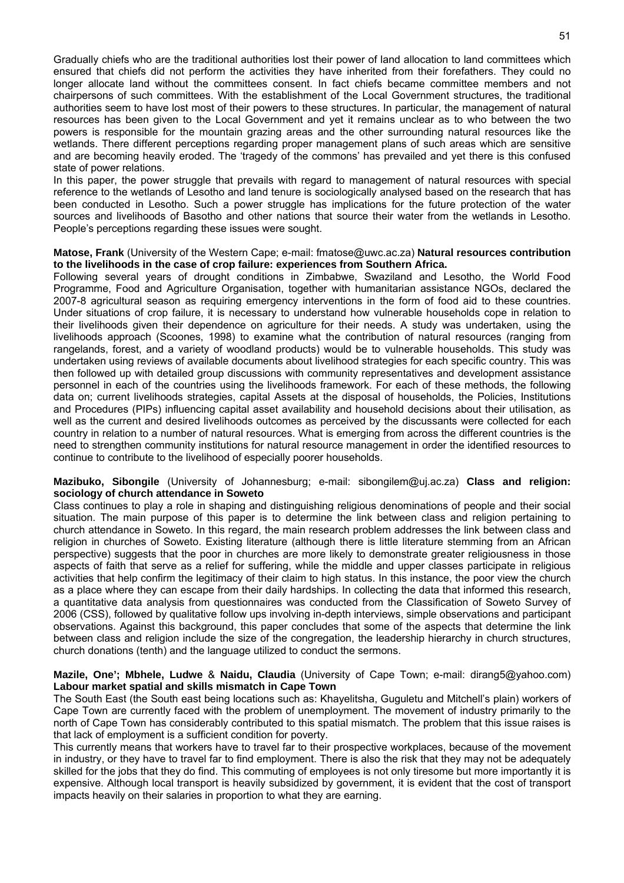Gradually chiefs who are the traditional authorities lost their power of land allocation to land committees which ensured that chiefs did not perform the activities they have inherited from their forefathers. They could no longer allocate land without the committees consent. In fact chiefs became committee members and not chairpersons of such committees. With the establishment of the Local Government structures, the traditional authorities seem to have lost most of their powers to these structures. In particular, the management of natural resources has been given to the Local Government and yet it remains unclear as to who between the two powers is responsible for the mountain grazing areas and the other surrounding natural resources like the wetlands. There different perceptions regarding proper management plans of such areas which are sensitive and are becoming heavily eroded. The 'tragedy of the commons' has prevailed and yet there is this confused state of power relations.

In this paper, the power struggle that prevails with regard to management of natural resources with special reference to the wetlands of Lesotho and land tenure is sociologically analysed based on the research that has been conducted in Lesotho. Such a power struggle has implications for the future protection of the water sources and livelihoods of Basotho and other nations that source their water from the wetlands in Lesotho. People's perceptions regarding these issues were sought.

#### **Matose, Frank** (University of the Western Cape; e-mail: fmatose@uwc.ac.za) **Natural resources contribution to the livelihoods in the case of crop failure: experiences from Southern Africa.**

Following several years of drought conditions in Zimbabwe, Swaziland and Lesotho, the World Food Programme, Food and Agriculture Organisation, together with humanitarian assistance NGOs, declared the 2007-8 agricultural season as requiring emergency interventions in the form of food aid to these countries. Under situations of crop failure, it is necessary to understand how vulnerable households cope in relation to their livelihoods given their dependence on agriculture for their needs. A study was undertaken, using the livelihoods approach (Scoones, 1998) to examine what the contribution of natural resources (ranging from rangelands, forest, and a variety of woodland products) would be to vulnerable households. This study was undertaken using reviews of available documents about livelihood strategies for each specific country. This was then followed up with detailed group discussions with community representatives and development assistance personnel in each of the countries using the livelihoods framework. For each of these methods, the following data on; current livelihoods strategies, capital Assets at the disposal of households, the Policies, Institutions and Procedures (PIPs) influencing capital asset availability and household decisions about their utilisation, as well as the current and desired livelihoods outcomes as perceived by the discussants were collected for each country in relation to a number of natural resources. What is emerging from across the different countries is the need to strengthen community institutions for natural resource management in order the identified resources to continue to contribute to the livelihood of especially poorer households.

#### **Mazibuko, Sibongile** (University of Johannesburg; e-mail: sibongilem@uj.ac.za) **Class and religion: sociology of church attendance in Soweto**

Class continues to play a role in shaping and distinguishing religious denominations of people and their social situation. The main purpose of this paper is to determine the link between class and religion pertaining to church attendance in Soweto. In this regard, the main research problem addresses the link between class and religion in churches of Soweto. Existing literature (although there is little literature stemming from an African perspective) suggests that the poor in churches are more likely to demonstrate greater religiousness in those aspects of faith that serve as a relief for suffering, while the middle and upper classes participate in religious activities that help confirm the legitimacy of their claim to high status. In this instance, the poor view the church as a place where they can escape from their daily hardships. In collecting the data that informed this research, a quantitative data analysis from questionnaires was conducted from the Classification of Soweto Survey of 2006 (CSS), followed by qualitative follow ups involving in-depth interviews, simple observations and participant observations. Against this background, this paper concludes that some of the aspects that determine the link between class and religion include the size of the congregation, the leadership hierarchy in church structures, church donations (tenth) and the language utilized to conduct the sermons.

#### **Mazile, One'; Mbhele, Ludwe** & **Naidu, Claudia** (University of Cape Town; e-mail: dirang5@yahoo.com) **Labour market spatial and skills mismatch in Cape Town**

The South East (the South east being locations such as: Khayelitsha, Guguletu and Mitchell's plain) workers of Cape Town are currently faced with the problem of unemployment. The movement of industry primarily to the north of Cape Town has considerably contributed to this spatial mismatch. The problem that this issue raises is that lack of employment is a sufficient condition for poverty.

This currently means that workers have to travel far to their prospective workplaces, because of the movement in industry, or they have to travel far to find employment. There is also the risk that they may not be adequately skilled for the jobs that they do find. This commuting of employees is not only tiresome but more importantly it is expensive. Although local transport is heavily subsidized by government, it is evident that the cost of transport impacts heavily on their salaries in proportion to what they are earning.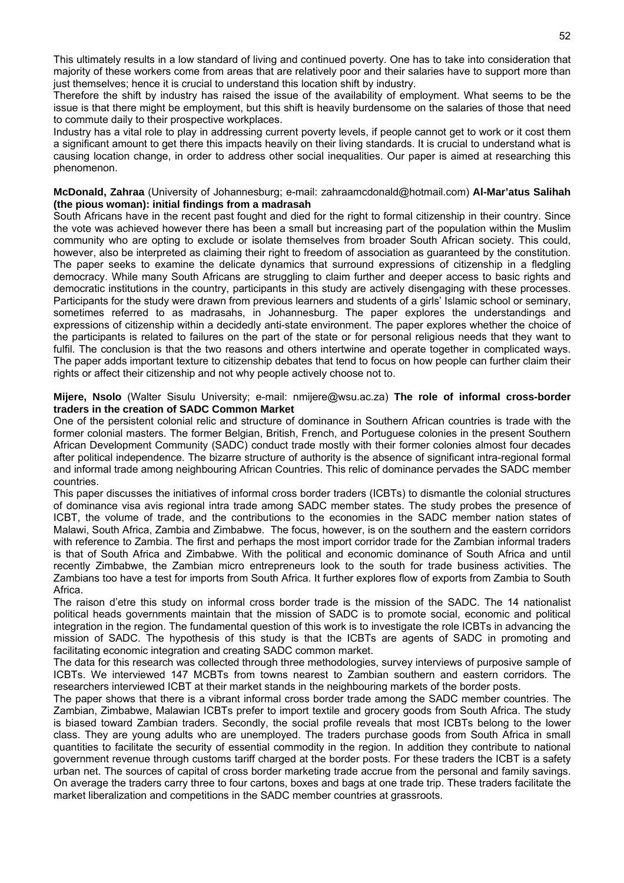This ultimately results in a low standard of living and continued poverty. One has to take into consideration that majority of these workers come from areas that are relatively poor and their salaries have to support more than just themselves; hence it is crucial to understand this location shift by industry.

Therefore the shift by industry has raised the issue of the availability of employment. What seems to be the issue is that there might be employment, but this shift is heavily burdensome on the salaries of those that need to commute daily to their prospective workplaces.

Industry has a vital role to play in addressing current poverty levels, if people cannot get to work or it cost them a significant amount to get there this impacts heavily on their living standards. It is crucial to understand what is causing location change, in order to address other social inequalities. Our paper is aimed at researching this phenomenon.

#### **McDonald, Zahraa** (University of Johannesburg; e-mail: zahraamcdonald@hotmail.com) **Al-Mar'atus Salihah (the pious woman): initial findings from a madrasah**

South Africans have in the recent past fought and died for the right to formal citizenship in their country. Since the vote was achieved however there has been a small but increasing part of the population within the Muslim community who are opting to exclude or isolate themselves from broader South African society. This could, however, also be interpreted as claiming their right to freedom of association as guaranteed by the constitution. The paper seeks to examine the delicate dynamics that surround expressions of citizenship in a fledgling democracy. While many South Africans are struggling to claim further and deeper access to basic rights and democratic institutions in the country, participants in this study are actively disengaging with these processes. Participants for the study were drawn from previous learners and students of a girls' Islamic school or seminary, sometimes referred to as madrasahs, in Johannesburg. The paper explores the understandings and expressions of citizenship within a decidedly anti-state environment. The paper explores whether the choice of the participants is related to failures on the part of the state or for personal religious needs that they want to fulfil. The conclusion is that the two reasons and others intertwine and operate together in complicated ways. The paper adds important texture to citizenship debates that tend to focus on how people can further claim their rights or affect their citizenship and not why people actively choose not to.

#### **Mijere, Nsolo** (Walter Sisulu University; e-mail: nmijere@wsu.ac.za) **The role of informal cross-border traders in the creation of SADC Common Market**

One of the persistent colonial relic and structure of dominance in Southern African countries is trade with the former colonial masters. The former Belgian, British, French, and Portuguese colonies in the present Southern African Development Community (SADC) conduct trade mostly with their former colonies almost four decades after political independence. The bizarre structure of authority is the absence of significant intra-regional formal and informal trade among neighbouring African Countries. This relic of dominance pervades the SADC member countries.

This paper discusses the initiatives of informal cross border traders (ICBTs) to dismantle the colonial structures of dominance visa avis regional intra trade among SADC member states. The study probes the presence of ICBT, the volume of trade, and the contributions to the economies in the SADC member nation states of Malawi, South Africa, Zambia and Zimbabwe. The focus, however, is on the southern and the eastern corridors with reference to Zambia. The first and perhaps the most import corridor trade for the Zambian informal traders is that of South Africa and Zimbabwe. With the political and economic dominance of South Africa and until recently Zimbabwe, the Zambian micro entrepreneurs look to the south for trade business activities. The Zambians too have a test for imports from South Africa. It further explores flow of exports from Zambia to South Africa.

The raison d'etre this study on informal cross border trade is the mission of the SADC. The 14 nationalist political heads governments maintain that the mission of SADC is to promote social, economic and political integration in the region. The fundamental question of this work is to investigate the role ICBTs in advancing the mission of SADC. The hypothesis of this study is that the ICBTs are agents of SADC in promoting and facilitating economic integration and creating SADC common market.

The data for this research was collected through three methodologies, survey interviews of purposive sample of ICBTs. We interviewed 147 MCBTs from towns nearest to Zambian southern and eastern corridors. The researchers interviewed ICBT at their market stands in the neighbouring markets of the border posts.

The paper shows that there is a vibrant informal cross border trade among the SADC member countries. The Zambian, Zimbabwe, Malawian ICBTs prefer to import textile and grocery goods from South Africa. The study is biased toward Zambian traders. Secondly, the social profile reveals that most ICBTs belong to the lower class. They are young adults who are unemployed. The traders purchase goods from South Africa in small quantities to facilitate the security of essential commodity in the region. In addition they contribute to national government revenue through customs tariff charged at the border posts. For these traders the ICBT is a safety urban net. The sources of capital of cross border marketing trade accrue from the personal and family savings. On average the traders carry three to four cartons, boxes and bags at one trade trip. These traders facilitate the market liberalization and competitions in the SADC member countries at grassroots.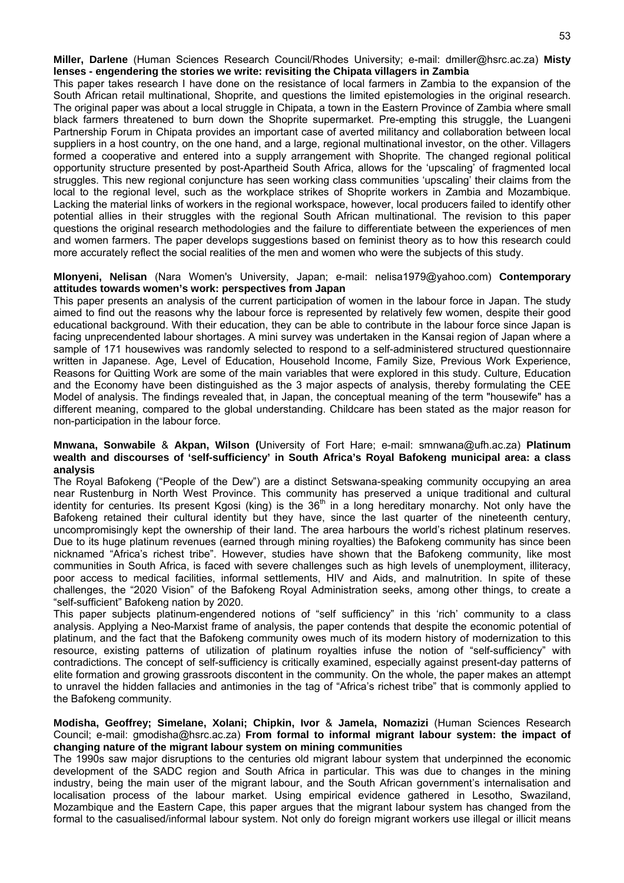**Miller, Darlene** (Human Sciences Research Council/Rhodes University; e-mail: dmiller@hsrc.ac.za) **Misty lenses - engendering the stories we write: revisiting the Chipata villagers in Zambia** 

This paper takes research I have done on the resistance of local farmers in Zambia to the expansion of the South African retail multinational, Shoprite, and questions the limited epistemologies in the original research. The original paper was about a local struggle in Chipata, a town in the Eastern Province of Zambia where small black farmers threatened to burn down the Shoprite supermarket. Pre-empting this struggle, the Luangeni Partnership Forum in Chipata provides an important case of averted militancy and collaboration between local suppliers in a host country, on the one hand, and a large, regional multinational investor, on the other. Villagers formed a cooperative and entered into a supply arrangement with Shoprite. The changed regional political opportunity structure presented by post-Apartheid South Africa, allows for the 'upscaling' of fragmented local struggles. This new regional conjuncture has seen working class communities 'upscaling' their claims from the local to the regional level, such as the workplace strikes of Shoprite workers in Zambia and Mozambique. Lacking the material links of workers in the regional workspace, however, local producers failed to identify other potential allies in their struggles with the regional South African multinational. The revision to this paper questions the original research methodologies and the failure to differentiate between the experiences of men and women farmers. The paper develops suggestions based on feminist theory as to how this research could more accurately reflect the social realities of the men and women who were the subjects of this study.

#### **Mlonyeni, Nelisan** (Nara Women's University, Japan; e-mail: nelisa1979@yahoo.com) **Contemporary attitudes towards women's work: perspectives from Japan**

This paper presents an analysis of the current participation of women in the labour force in Japan. The study aimed to find out the reasons why the labour force is represented by relatively few women, despite their good educational background. With their education, they can be able to contribute in the labour force since Japan is facing unprecendented labour shortages. A mini survey was undertaken in the Kansai region of Japan where a sample of 171 housewives was randomly selected to respond to a self-administered structured questionnaire written in Japanese. Age, Level of Education, Household Income, Family Size, Previous Work Experience, Reasons for Quitting Work are some of the main variables that were explored in this study. Culture, Education and the Economy have been distinguished as the 3 major aspects of analysis, thereby formulating the CEE Model of analysis. The findings revealed that, in Japan, the conceptual meaning of the term "housewife" has a different meaning, compared to the global understanding. Childcare has been stated as the major reason for non-participation in the labour force.

#### **Mnwana, Sonwabile** & **Akpan, Wilson (**University of Fort Hare; e-mail: smnwana@ufh.ac.za) **Platinum wealth and discourses of 'self-sufficiency' in South Africa's Royal Bafokeng municipal area: a class analysis**

The Royal Bafokeng ("People of the Dew") are a distinct Setswana-speaking community occupying an area near Rustenburg in North West Province. This community has preserved a unique traditional and cultural identity for centuries. Its present Kgosi (king) is the 36<sup>th</sup> in a long hereditary monarchy. Not only have the Bafokeng retained their cultural identity but they have, since the last quarter of the nineteenth century, uncompromisingly kept the ownership of their land. The area harbours the world's richest platinum reserves. Due to its huge platinum revenues (earned through mining royalties) the Bafokeng community has since been nicknamed "Africa's richest tribe". However, studies have shown that the Bafokeng community, like most communities in South Africa, is faced with severe challenges such as high levels of unemployment, illiteracy, poor access to medical facilities, informal settlements, HIV and Aids, and malnutrition. In spite of these challenges, the "2020 Vision" of the Bafokeng Royal Administration seeks, among other things, to create a "self-sufficient" Bafokeng nation by 2020.

This paper subjects platinum-engendered notions of "self sufficiency" in this 'rich' community to a class analysis. Applying a Neo-Marxist frame of analysis, the paper contends that despite the economic potential of platinum, and the fact that the Bafokeng community owes much of its modern history of modernization to this resource, existing patterns of utilization of platinum royalties infuse the notion of "self-sufficiency" with contradictions. The concept of self-sufficiency is critically examined, especially against present-day patterns of elite formation and growing grassroots discontent in the community. On the whole, the paper makes an attempt to unravel the hidden fallacies and antimonies in the tag of "Africa's richest tribe" that is commonly applied to the Bafokeng community.

#### **Modisha, Geoffrey; Simelane, Xolani; Chipkin, Ivor** & **Jamela, Nomazizi** (Human Sciences Research Council; e-mail: gmodisha@hsrc.ac.za) **From formal to informal migrant labour system: the impact of changing nature of the migrant labour system on mining communities**

The 1990s saw major disruptions to the centuries old migrant labour system that underpinned the economic development of the SADC region and South Africa in particular. This was due to changes in the mining industry, being the main user of the migrant labour, and the South African government's internalisation and localisation process of the labour market. Using empirical evidence gathered in Lesotho, Swaziland, Mozambique and the Eastern Cape, this paper argues that the migrant labour system has changed from the formal to the casualised/informal labour system. Not only do foreign migrant workers use illegal or illicit means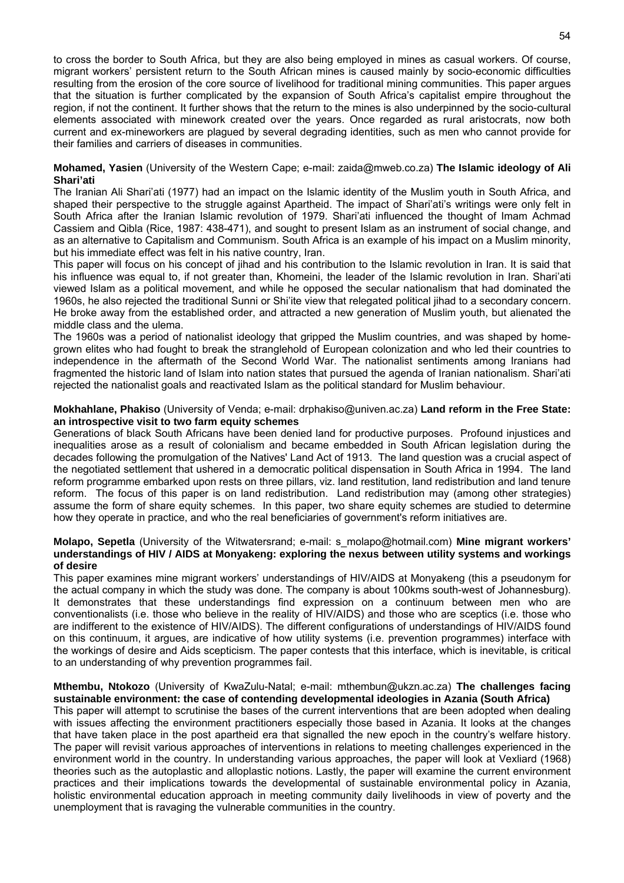to cross the border to South Africa, but they are also being employed in mines as casual workers. Of course, migrant workers' persistent return to the South African mines is caused mainly by socio-economic difficulties resulting from the erosion of the core source of livelihood for traditional mining communities. This paper argues that the situation is further complicated by the expansion of South Africa's capitalist empire throughout the region, if not the continent. It further shows that the return to the mines is also underpinned by the socio-cultural elements associated with minework created over the years. Once regarded as rural aristocrats, now both current and ex-mineworkers are plagued by several degrading identities, such as men who cannot provide for their families and carriers of diseases in communities.

#### **Mohamed, Yasien** (University of the Western Cape; e-mail: zaida@mweb.co.za) **The Islamic ideology of Ali Shari'ati**

The Iranian Ali Shari'ati (1977) had an impact on the Islamic identity of the Muslim youth in South Africa, and shaped their perspective to the struggle against Apartheid. The impact of Shari'ati's writings were only felt in South Africa after the Iranian Islamic revolution of 1979. Shari'ati influenced the thought of Imam Achmad Cassiem and Qibla (Rice, 1987: 438-471), and sought to present Islam as an instrument of social change, and as an alternative to Capitalism and Communism. South Africa is an example of his impact on a Muslim minority, but his immediate effect was felt in his native country, Iran.

This paper will focus on his concept of jihad and his contribution to the Islamic revolution in Iran. It is said that his influence was equal to, if not greater than, Khomeini, the leader of the Islamic revolution in Iran. Shari'ati viewed Islam as a political movement, and while he opposed the secular nationalism that had dominated the 1960s, he also rejected the traditional Sunni or Shi'ite view that relegated political jihad to a secondary concern. He broke away from the established order, and attracted a new generation of Muslim youth, but alienated the middle class and the ulema.

The 1960s was a period of nationalist ideology that gripped the Muslim countries, and was shaped by homegrown elites who had fought to break the stranglehold of European colonization and who led their countries to independence in the aftermath of the Second World War. The nationalist sentiments among Iranians had fragmented the historic land of Islam into nation states that pursued the agenda of Iranian nationalism. Shari'ati rejected the nationalist goals and reactivated Islam as the political standard for Muslim behaviour.

#### **Mokhahlane, Phakiso** (University of Venda; e-mail: drphakiso@univen.ac.za) **Land reform in the Free State: an introspective visit to two farm equity schemes**

Generations of black South Africans have been denied land for productive purposes. Profound injustices and inequalities arose as a result of colonialism and became embedded in South African legislation during the decades following the promulgation of the Natives' Land Act of 1913. The land question was a crucial aspect of the negotiated settlement that ushered in a democratic political dispensation in South Africa in 1994. The land reform programme embarked upon rests on three pillars, viz. land restitution, land redistribution and land tenure reform. The focus of this paper is on land redistribution. Land redistribution may (among other strategies) assume the form of share equity schemes. In this paper, two share equity schemes are studied to determine how they operate in practice, and who the real beneficiaries of government's reform initiatives are.

#### **Molapo, Sepetla** (University of the Witwatersrand; e-mail: s\_molapo@hotmail.com) **Mine migrant workers' understandings of HIV / AIDS at Monyakeng: exploring the nexus between utility systems and workings of desire**

This paper examines mine migrant workers' understandings of HIV/AIDS at Monyakeng (this a pseudonym for the actual company in which the study was done. The company is about 100kms south-west of Johannesburg). It demonstrates that these understandings find expression on a continuum between men who are conventionalists (i.e. those who believe in the reality of HIV/AIDS) and those who are sceptics (i.e. those who are indifferent to the existence of HIV/AIDS). The different configurations of understandings of HIV/AIDS found on this continuum, it argues, are indicative of how utility systems (i.e. prevention programmes) interface with the workings of desire and Aids scepticism. The paper contests that this interface, which is inevitable, is critical to an understanding of why prevention programmes fail.

#### **Mthembu, Ntokozo** (University of KwaZulu-Natal; e-mail: mthembun@ukzn.ac.za) **The challenges facing sustainable environment: the case of contending developmental ideologies in Azania (South Africa)**

This paper will attempt to scrutinise the bases of the current interventions that are been adopted when dealing with issues affecting the environment practitioners especially those based in Azania. It looks at the changes that have taken place in the post apartheid era that signalled the new epoch in the country's welfare history. The paper will revisit various approaches of interventions in relations to meeting challenges experienced in the environment world in the country. In understanding various approaches, the paper will look at Vexliard (1968) theories such as the autoplastic and alloplastic notions. Lastly, the paper will examine the current environment practices and their implications towards the developmental of sustainable environmental policy in Azania, holistic environmental education approach in meeting community daily livelihoods in view of poverty and the unemployment that is ravaging the vulnerable communities in the country.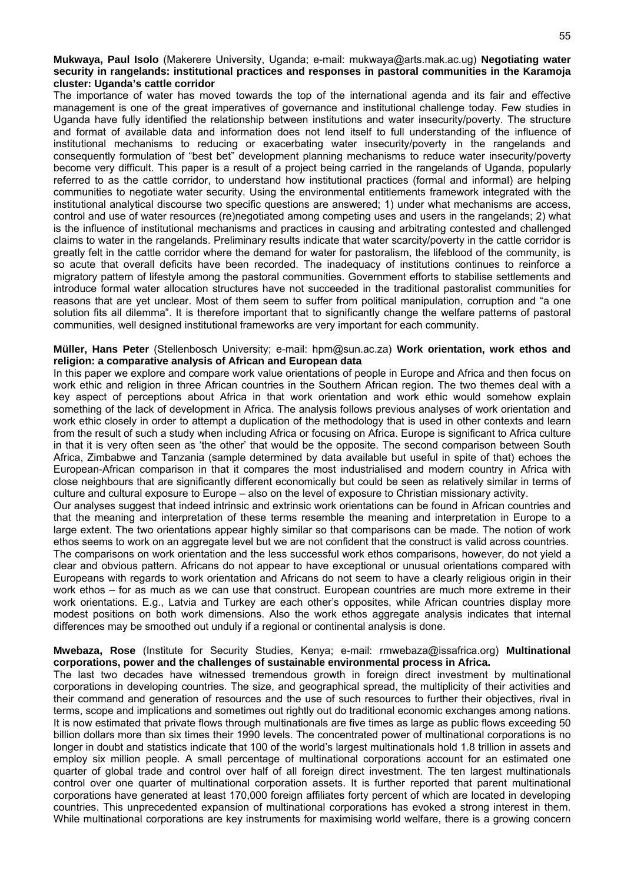#### **Mukwaya, Paul Isolo** (Makerere University, Uganda; e-mail: mukwaya@arts.mak.ac.ug) **Negotiating water security in rangelands: institutional practices and responses in pastoral communities in the Karamoja cluster: Uganda's cattle corridor**

The importance of water has moved towards the top of the international agenda and its fair and effective management is one of the great imperatives of governance and institutional challenge today. Few studies in Uganda have fully identified the relationship between institutions and water insecurity/poverty. The structure and format of available data and information does not lend itself to full understanding of the influence of institutional mechanisms to reducing or exacerbating water insecurity/poverty in the rangelands and consequently formulation of "best bet" development planning mechanisms to reduce water insecurity/poverty become very difficult. This paper is a result of a project being carried in the rangelands of Uganda, popularly referred to as the cattle corridor, to understand how institutional practices (formal and informal) are helping communities to negotiate water security. Using the environmental entitlements framework integrated with the institutional analytical discourse two specific questions are answered; 1) under what mechanisms are access, control and use of water resources (re)negotiated among competing uses and users in the rangelands; 2) what is the influence of institutional mechanisms and practices in causing and arbitrating contested and challenged claims to water in the rangelands. Preliminary results indicate that water scarcity/poverty in the cattle corridor is greatly felt in the cattle corridor where the demand for water for pastoralism, the lifeblood of the community, is so acute that overall deficits have been recorded. The inadequacy of institutions continues to reinforce a migratory pattern of lifestyle among the pastoral communities. Government efforts to stabilise settlements and introduce formal water allocation structures have not succeeded in the traditional pastoralist communities for reasons that are yet unclear. Most of them seem to suffer from political manipulation, corruption and "a one solution fits all dilemma". It is therefore important that to significantly change the welfare patterns of pastoral communities, well designed institutional frameworks are very important for each community.

#### **Müller, Hans Peter** (Stellenbosch University; e-mail: hpm@sun.ac.za) **Work orientation, work ethos and religion: a comparative analysis of African and European data**

In this paper we explore and compare work value orientations of people in Europe and Africa and then focus on work ethic and religion in three African countries in the Southern African region. The two themes deal with a key aspect of perceptions about Africa in that work orientation and work ethic would somehow explain something of the lack of development in Africa. The analysis follows previous analyses of work orientation and work ethic closely in order to attempt a duplication of the methodology that is used in other contexts and learn from the result of such a study when including Africa or focusing on Africa. Europe is significant to Africa culture in that it is very often seen as 'the other' that would be the opposite. The second comparison between South Africa, Zimbabwe and Tanzania (sample determined by data available but useful in spite of that) echoes the European-African comparison in that it compares the most industrialised and modern country in Africa with close neighbours that are significantly different economically but could be seen as relatively similar in terms of culture and cultural exposure to Europe – also on the level of exposure to Christian missionary activity.

Our analyses suggest that indeed intrinsic and extrinsic work orientations can be found in African countries and that the meaning and interpretation of these terms resemble the meaning and interpretation in Europe to a large extent. The two orientations appear highly similar so that comparisons can be made. The notion of work ethos seems to work on an aggregate level but we are not confident that the construct is valid across countries.

The comparisons on work orientation and the less successful work ethos comparisons, however, do not yield a clear and obvious pattern. Africans do not appear to have exceptional or unusual orientations compared with Europeans with regards to work orientation and Africans do not seem to have a clearly religious origin in their work ethos – for as much as we can use that construct. European countries are much more extreme in their work orientations. E.g., Latvia and Turkey are each other's opposites, while African countries display more modest positions on both work dimensions. Also the work ethos aggregate analysis indicates that internal differences may be smoothed out unduly if a regional or continental analysis is done.

#### **Mwebaza, Rose** (Institute for Security Studies, Kenya; e-mail: rmwebaza@issafrica.org) **Multinational corporations, power and the challenges of sustainable environmental process in Africa.**

The last two decades have witnessed tremendous growth in foreign direct investment by multinational corporations in developing countries. The size, and geographical spread, the multiplicity of their activities and their command and generation of resources and the use of such resources to further their objectives, rival in terms, scope and implications and sometimes out rightly out do traditional economic exchanges among nations. It is now estimated that private flows through multinationals are five times as large as public flows exceeding 50 billion dollars more than six times their 1990 levels. The concentrated power of multinational corporations is no longer in doubt and statistics indicate that 100 of the world's largest multinationals hold 1.8 trillion in assets and employ six million people. A small percentage of multinational corporations account for an estimated one quarter of global trade and control over half of all foreign direct investment. The ten largest multinationals control over one quarter of multinational corporation assets. It is further reported that parent multinational corporations have generated at least 170,000 foreign affiliates forty percent of which are located in developing countries. This unprecedented expansion of multinational corporations has evoked a strong interest in them. While multinational corporations are key instruments for maximising world welfare, there is a growing concern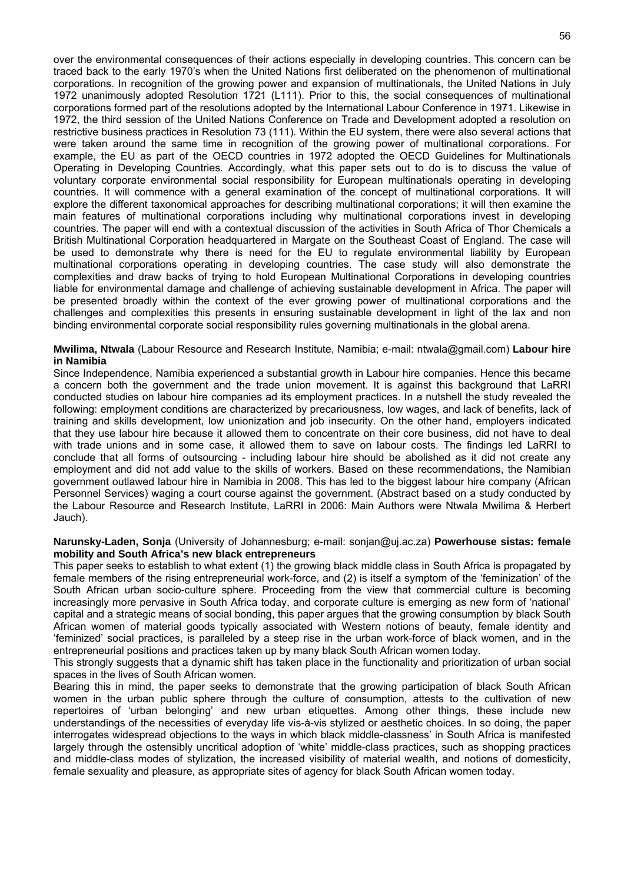over the environmental consequences of their actions especially in developing countries. This concern can be traced back to the early 1970's when the United Nations first deliberated on the phenomenon of multinational corporations. In recognition of the growing power and expansion of multinationals, the United Nations in July 1972 unanimously adopted Resolution 1721 (L111). Prior to this, the social consequences of multinational corporations formed part of the resolutions adopted by the International Labour Conference in 1971. Likewise in 1972, the third session of the United Nations Conference on Trade and Development adopted a resolution on restrictive business practices in Resolution 73 (111). Within the EU system, there were also several actions that were taken around the same time in recognition of the growing power of multinational corporations. For example, the EU as part of the OECD countries in 1972 adopted the OECD Guidelines for Multinationals Operating in Developing Countries. Accordingly, what this paper sets out to do is to discuss the value of voluntary corporate environmental social responsibility for European multinationals operating in developing countries. It will commence with a general examination of the concept of multinational corporations. It will explore the different taxonomical approaches for describing multinational corporations; it will then examine the main features of multinational corporations including why multinational corporations invest in developing countries. The paper will end with a contextual discussion of the activities in South Africa of Thor Chemicals a British Multinational Corporation headquartered in Margate on the Southeast Coast of England. The case will be used to demonstrate why there is need for the EU to regulate environmental liability by European multinational corporations operating in developing countries. The case study will also demonstrate the complexities and draw backs of trying to hold European Multinational Corporations in developing countries liable for environmental damage and challenge of achieving sustainable development in Africa. The paper will be presented broadly within the context of the ever growing power of multinational corporations and the challenges and complexities this presents in ensuring sustainable development in light of the lax and non binding environmental corporate social responsibility rules governing multinationals in the global arena.

#### **Mwilima, Ntwala** (Labour Resource and Research Institute, Namibia; e-mail: ntwala@gmail.com) **Labour hire in Namibia**

Since Independence, Namibia experienced a substantial growth in Labour hire companies. Hence this became a concern both the government and the trade union movement. It is against this background that LaRRI conducted studies on labour hire companies ad its employment practices. In a nutshell the study revealed the following: employment conditions are characterized by precariousness, low wages, and lack of benefits, lack of training and skills development, low unionization and job insecurity. On the other hand, employers indicated that they use labour hire because it allowed them to concentrate on their core business, did not have to deal with trade unions and in some case, it allowed them to save on labour costs. The findings led LaRRI to conclude that all forms of outsourcing - including labour hire should be abolished as it did not create any employment and did not add value to the skills of workers. Based on these recommendations, the Namibian government outlawed labour hire in Namibia in 2008. This has led to the biggest labour hire company (African Personnel Services) waging a court course against the government. (Abstract based on a study conducted by the Labour Resource and Research Institute, LaRRI in 2006: Main Authors were Ntwala Mwilima & Herbert Jauch).

#### **Narunsky-Laden, Sonja** (University of Johannesburg; e-mail: sonjan@uj.ac.za) **Powerhouse sistas: female mobility and South Africa's new black entrepreneurs**

This paper seeks to establish to what extent (1) the growing black middle class in South Africa is propagated by female members of the rising entrepreneurial work-force, and (2) is itself a symptom of the 'feminization' of the South African urban socio-culture sphere. Proceeding from the view that commercial culture is becoming increasingly more pervasive in South Africa today, and corporate culture is emerging as new form of 'national' capital and a strategic means of social bonding, this paper argues that the growing consumption by black South African women of material goods typically associated with Western notions of beauty, female identity and 'feminized' social practices, is paralleled by a steep rise in the urban work-force of black women, and in the entrepreneurial positions and practices taken up by many black South African women today.

This strongly suggests that a dynamic shift has taken place in the functionality and prioritization of urban social spaces in the lives of South African women.

Bearing this in mind, the paper seeks to demonstrate that the growing participation of black South African women in the urban public sphere through the culture of consumption, attests to the cultivation of new repertoires of 'urban belonging' and new urban etiquettes. Among other things, these include new understandings of the necessities of everyday life vis-à-vis stylized or aesthetic choices. In so doing, the paper interrogates widespread objections to the ways in which black middle-classness' in South Africa is manifested largely through the ostensibly uncritical adoption of 'white' middle-class practices, such as shopping practices and middle-class modes of stylization, the increased visibility of material wealth, and notions of domesticity, female sexuality and pleasure, as appropriate sites of agency for black South African women today.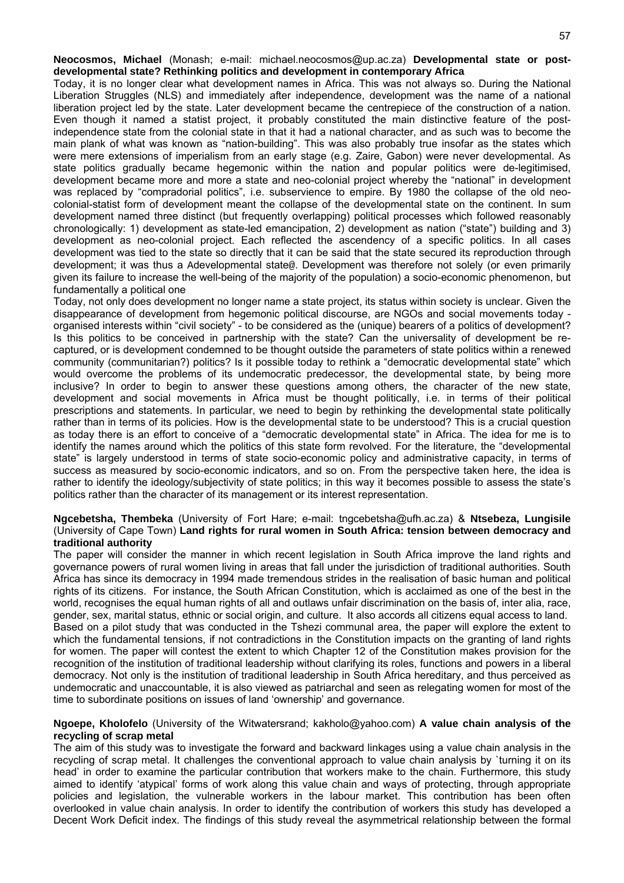**Neocosmos, Michael** (Monash; e-mail: michael.neocosmos@up.ac.za) **Developmental state or postdevelopmental state? Rethinking politics and development in contemporary Africa** 

Today, it is no longer clear what development names in Africa. This was not always so. During the National Liberation Struggles (NLS) and immediately after independence, development was the name of a national liberation project led by the state. Later development became the centrepiece of the construction of a nation. Even though it named a statist project, it probably constituted the main distinctive feature of the postindependence state from the colonial state in that it had a national character, and as such was to become the main plank of what was known as "nation-building". This was also probably true insofar as the states which were mere extensions of imperialism from an early stage (e.g. Zaire, Gabon) were never developmental. As state politics gradually became hegemonic within the nation and popular politics were de-legitimised, development became more and more a state and neo-colonial project whereby the "national" in development was replaced by "compradorial politics", i.e. subservience to empire. By 1980 the collapse of the old neocolonial-statist form of development meant the collapse of the developmental state on the continent. In sum development named three distinct (but frequently overlapping) political processes which followed reasonably chronologically: 1) development as state-led emancipation, 2) development as nation ("state") building and 3) development as neo-colonial project. Each reflected the ascendency of a specific politics. In all cases development was tied to the state so directly that it can be said that the state secured its reproduction through development; it was thus a Adevelopmental state@. Development was therefore not solely (or even primarily given its failure to increase the well-being of the majority of the population) a socio-economic phenomenon, but fundamentally a political one

Today, not only does development no longer name a state project, its status within society is unclear. Given the disappearance of development from hegemonic political discourse, are NGOs and social movements today organised interests within "civil society" - to be considered as the (unique) bearers of a politics of development? Is this politics to be conceived in partnership with the state? Can the universality of development be recaptured, or is development condemned to be thought outside the parameters of state politics within a renewed community (communitarian?) politics? Is it possible today to rethink a "democratic developmental state" which would overcome the problems of its undemocratic predecessor, the developmental state, by being more inclusive? In order to begin to answer these questions among others, the character of the new state, development and social movements in Africa must be thought politically, i.e. in terms of their political prescriptions and statements. In particular, we need to begin by rethinking the developmental state politically rather than in terms of its policies. How is the developmental state to be understood? This is a crucial question as today there is an effort to conceive of a "democratic developmental state" in Africa. The idea for me is to identify the names around which the politics of this state form revolved. For the literature, the "developmental state" is largely understood in terms of state socio-economic policy and administrative capacity, in terms of success as measured by socio-economic indicators, and so on. From the perspective taken here, the idea is rather to identify the ideology/subjectivity of state politics; in this way it becomes possible to assess the state's politics rather than the character of its management or its interest representation.

#### **Ngcebetsha, Thembeka** (University of Fort Hare; e-mail: tngcebetsha@ufh.ac.za) & **Ntsebeza, Lungisile** (University of Cape Town) **Land rights for rural women in South Africa: tension between democracy and traditional authority**

The paper will consider the manner in which recent legislation in South Africa improve the land rights and governance powers of rural women living in areas that fall under the jurisdiction of traditional authorities. South Africa has since its democracy in 1994 made tremendous strides in the realisation of basic human and political rights of its citizens. For instance, the South African Constitution, which is acclaimed as one of the best in the world, recognises the equal human rights of all and outlaws unfair discrimination on the basis of, inter alia, race, gender, sex, marital status, ethnic or social origin, and culture. It also accords all citizens equal access to land. Based on a pilot study that was conducted in the Tshezi communal area, the paper will explore the extent to which the fundamental tensions, if not contradictions in the Constitution impacts on the granting of land rights for women. The paper will contest the extent to which Chapter 12 of the Constitution makes provision for the recognition of the institution of traditional leadership without clarifying its roles, functions and powers in a liberal democracy. Not only is the institution of traditional leadership in South Africa hereditary, and thus perceived as undemocratic and unaccountable, it is also viewed as patriarchal and seen as relegating women for most of the time to subordinate positions on issues of land 'ownership' and governance.

#### **Ngoepe, Kholofelo** (University of the Witwatersrand; kakholo@yahoo.com) **A value chain analysis of the recycling of scrap metal**

The aim of this study was to investigate the forward and backward linkages using a value chain analysis in the recycling of scrap metal. It challenges the conventional approach to value chain analysis by `turning it on its head' in order to examine the particular contribution that workers make to the chain. Furthermore, this study aimed to identify 'atypical' forms of work along this value chain and ways of protecting, through appropriate policies and legislation, the vulnerable workers in the labour market. This contribution has been often overlooked in value chain analysis. In order to identify the contribution of workers this study has developed a Decent Work Deficit index. The findings of this study reveal the asymmetrical relationship between the formal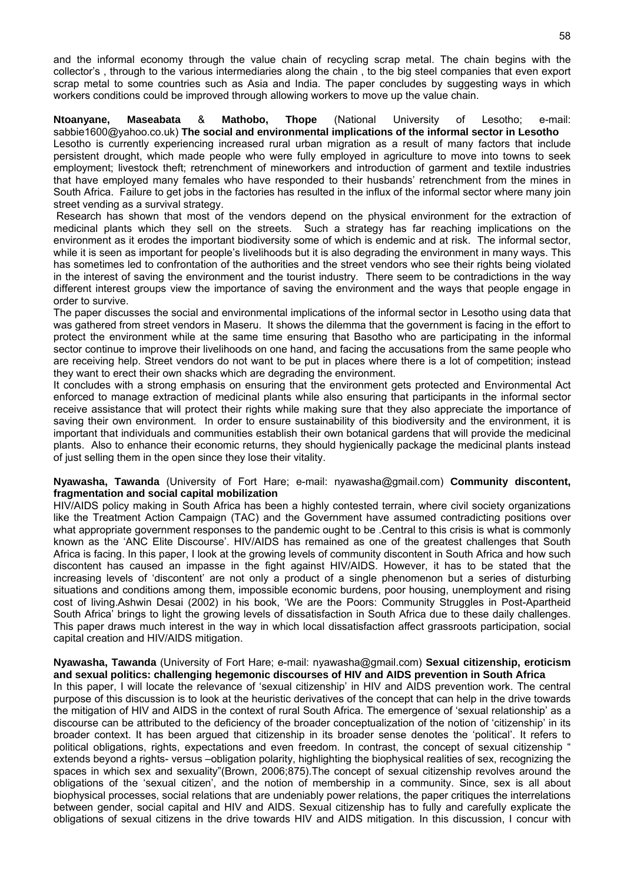and the informal economy through the value chain of recycling scrap metal. The chain begins with the collector's , through to the various intermediaries along the chain , to the big steel companies that even export scrap metal to some countries such as Asia and India. The paper concludes by suggesting ways in which workers conditions could be improved through allowing workers to move up the value chain.

**Ntoanyane, Maseabata** & **Mathobo, Thope** (National University of Lesotho; e-mail: sabbie1600@yahoo.co.uk) **The social and environmental implications of the informal sector in Lesotho** Lesotho is currently experiencing increased rural urban migration as a result of many factors that include persistent drought, which made people who were fully employed in agriculture to move into towns to seek employment; livestock theft; retrenchment of mineworkers and introduction of garment and textile industries that have employed many females who have responded to their husbands' retrenchment from the mines in South Africa. Failure to get jobs in the factories has resulted in the influx of the informal sector where many join street vending as a survival strategy.

 Research has shown that most of the vendors depend on the physical environment for the extraction of medicinal plants which they sell on the streets. Such a strategy has far reaching implications on the environment as it erodes the important biodiversity some of which is endemic and at risk. The informal sector, while it is seen as important for people's livelihoods but it is also degrading the environment in many ways. This has sometimes led to confrontation of the authorities and the street vendors who see their rights being violated in the interest of saving the environment and the tourist industry. There seem to be contradictions in the way different interest groups view the importance of saving the environment and the ways that people engage in order to survive.

The paper discusses the social and environmental implications of the informal sector in Lesotho using data that was gathered from street vendors in Maseru. It shows the dilemma that the government is facing in the effort to protect the environment while at the same time ensuring that Basotho who are participating in the informal sector continue to improve their livelihoods on one hand, and facing the accusations from the same people who are receiving help. Street vendors do not want to be put in places where there is a lot of competition; instead they want to erect their own shacks which are degrading the environment.

It concludes with a strong emphasis on ensuring that the environment gets protected and Environmental Act enforced to manage extraction of medicinal plants while also ensuring that participants in the informal sector receive assistance that will protect their rights while making sure that they also appreciate the importance of saving their own environment. In order to ensure sustainability of this biodiversity and the environment, it is important that individuals and communities establish their own botanical gardens that will provide the medicinal plants. Also to enhance their economic returns, they should hygienically package the medicinal plants instead of just selling them in the open since they lose their vitality.

#### **Nyawasha, Tawanda** (University of Fort Hare; e-mail: nyawasha@gmail.com) **Community discontent, fragmentation and social capital mobilization**

HIV/AIDS policy making in South Africa has been a highly contested terrain, where civil society organizations like the Treatment Action Campaign (TAC) and the Government have assumed contradicting positions over what appropriate government responses to the pandemic ought to be .Central to this crisis is what is commonly known as the 'ANC Elite Discourse'. HIV/AIDS has remained as one of the greatest challenges that South Africa is facing. In this paper, I look at the growing levels of community discontent in South Africa and how such discontent has caused an impasse in the fight against HIV/AIDS. However, it has to be stated that the increasing levels of 'discontent' are not only a product of a single phenomenon but a series of disturbing situations and conditions among them, impossible economic burdens, poor housing, unemployment and rising cost of living.Ashwin Desai (2002) in his book, 'We are the Poors: Community Struggles in Post-Apartheid South Africa' brings to light the growing levels of dissatisfaction in South Africa due to these daily challenges. This paper draws much interest in the way in which local dissatisfaction affect grassroots participation, social capital creation and HIV/AIDS mitigation.

#### **Nyawasha, Tawanda** (University of Fort Hare; e-mail: nyawasha@gmail.com) **Sexual citizenship, eroticism and sexual politics: challenging hegemonic discourses of HIV and AIDS prevention in South Africa**

In this paper, I will locate the relevance of 'sexual citizenship' in HIV and AIDS prevention work. The central purpose of this discussion is to look at the heuristic derivatives of the concept that can help in the drive towards the mitigation of HIV and AIDS in the context of rural South Africa. The emergence of 'sexual relationship' as a discourse can be attributed to the deficiency of the broader conceptualization of the notion of 'citizenship' in its broader context. It has been argued that citizenship in its broader sense denotes the 'political'. It refers to political obligations, rights, expectations and even freedom. In contrast, the concept of sexual citizenship " extends beyond a rights- versus –obligation polarity, highlighting the biophysical realities of sex, recognizing the spaces in which sex and sexuality"(Brown, 2006;875).The concept of sexual citizenship revolves around the obligations of the 'sexual citizen', and the notion of membership in a community. Since, sex is all about biophysical processes, social relations that are undeniably power relations, the paper critiques the interrelations between gender, social capital and HIV and AIDS. Sexual citizenship has to fully and carefully explicate the obligations of sexual citizens in the drive towards HIV and AIDS mitigation. In this discussion, I concur with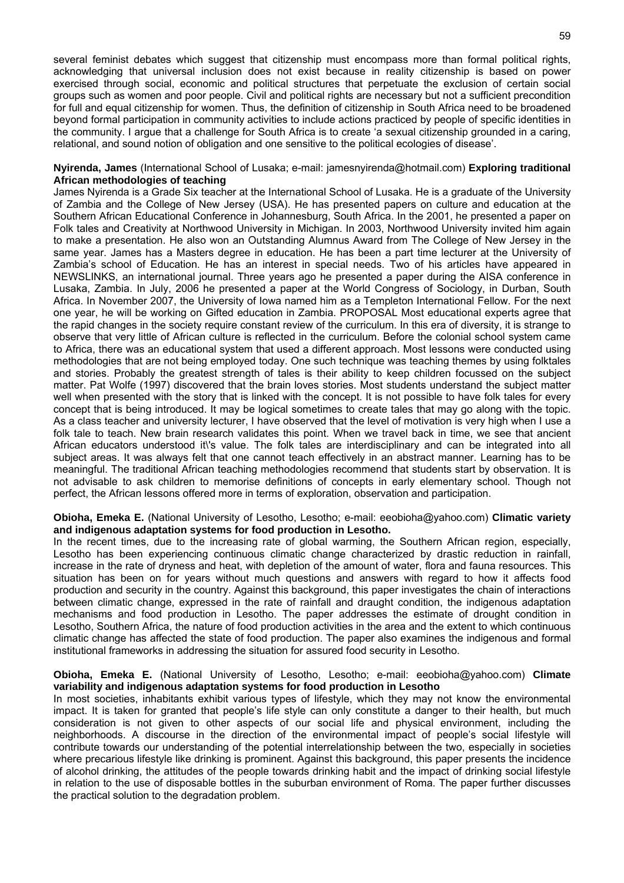several feminist debates which suggest that citizenship must encompass more than formal political rights, acknowledging that universal inclusion does not exist because in reality citizenship is based on power exercised through social, economic and political structures that perpetuate the exclusion of certain social groups such as women and poor people. Civil and political rights are necessary but not a sufficient precondition for full and equal citizenship for women. Thus, the definition of citizenship in South Africa need to be broadened beyond formal participation in community activities to include actions practiced by people of specific identities in the community. I argue that a challenge for South Africa is to create 'a sexual citizenship grounded in a caring, relational, and sound notion of obligation and one sensitive to the political ecologies of disease'.

#### **Nyirenda, James** (International School of Lusaka; e-mail: jamesnyirenda@hotmail.com) **Exploring traditional African methodologies of teaching**

James Nyirenda is a Grade Six teacher at the International School of Lusaka. He is a graduate of the University of Zambia and the College of New Jersey (USA). He has presented papers on culture and education at the Southern African Educational Conference in Johannesburg, South Africa. In the 2001, he presented a paper on Folk tales and Creativity at Northwood University in Michigan. In 2003, Northwood University invited him again to make a presentation. He also won an Outstanding Alumnus Award from The College of New Jersey in the same year. James has a Masters degree in education. He has been a part time lecturer at the University of Zambia's school of Education. He has an interest in special needs. Two of his articles have appeared in NEWSLINKS, an international journal. Three years ago he presented a paper during the AISA conference in Lusaka, Zambia. In July, 2006 he presented a paper at the World Congress of Sociology, in Durban, South Africa. In November 2007, the University of Iowa named him as a Templeton International Fellow. For the next one year, he will be working on Gifted education in Zambia. PROPOSAL Most educational experts agree that the rapid changes in the society require constant review of the curriculum. In this era of diversity, it is strange to observe that very little of African culture is reflected in the curriculum. Before the colonial school system came to Africa, there was an educational system that used a different approach. Most lessons were conducted using methodologies that are not being employed today. One such technique was teaching themes by using folktales and stories. Probably the greatest strength of tales is their ability to keep children focussed on the subject matter. Pat Wolfe (1997) discovered that the brain loves stories. Most students understand the subject matter well when presented with the story that is linked with the concept. It is not possible to have folk tales for every concept that is being introduced. It may be logical sometimes to create tales that may go along with the topic. As a class teacher and university lecturer, I have observed that the level of motivation is very high when I use a folk tale to teach. New brain research validates this point. When we travel back in time, we see that ancient African educators understood it\'s value. The folk tales are interdisciplinary and can be integrated into all subject areas. It was always felt that one cannot teach effectively in an abstract manner. Learning has to be meaningful. The traditional African teaching methodologies recommend that students start by observation. It is not advisable to ask children to memorise definitions of concepts in early elementary school. Though not perfect, the African lessons offered more in terms of exploration, observation and participation.

#### **Obioha, Emeka E.** (National University of Lesotho, Lesotho; e-mail: eeobioha@yahoo.com) **Climatic variety and indigenous adaptation systems for food production in Lesotho.**

In the recent times, due to the increasing rate of global warming, the Southern African region, especially, Lesotho has been experiencing continuous climatic change characterized by drastic reduction in rainfall, increase in the rate of dryness and heat, with depletion of the amount of water, flora and fauna resources. This situation has been on for years without much questions and answers with regard to how it affects food production and security in the country. Against this background, this paper investigates the chain of interactions between climatic change, expressed in the rate of rainfall and draught condition, the indigenous adaptation mechanisms and food production in Lesotho. The paper addresses the estimate of drought condition in Lesotho, Southern Africa, the nature of food production activities in the area and the extent to which continuous climatic change has affected the state of food production. The paper also examines the indigenous and formal institutional frameworks in addressing the situation for assured food security in Lesotho.

#### **Obioha, Emeka E.** (National University of Lesotho, Lesotho; e-mail: eeobioha@yahoo.com) **Climate variability and indigenous adaptation systems for food production in Lesotho**

In most societies, inhabitants exhibit various types of lifestyle, which they may not know the environmental impact. It is taken for granted that people's life style can only constitute a danger to their health, but much consideration is not given to other aspects of our social life and physical environment, including the neighborhoods. A discourse in the direction of the environmental impact of people's social lifestyle will contribute towards our understanding of the potential interrelationship between the two, especially in societies where precarious lifestyle like drinking is prominent. Against this background, this paper presents the incidence of alcohol drinking, the attitudes of the people towards drinking habit and the impact of drinking social lifestyle in relation to the use of disposable bottles in the suburban environment of Roma. The paper further discusses the practical solution to the degradation problem.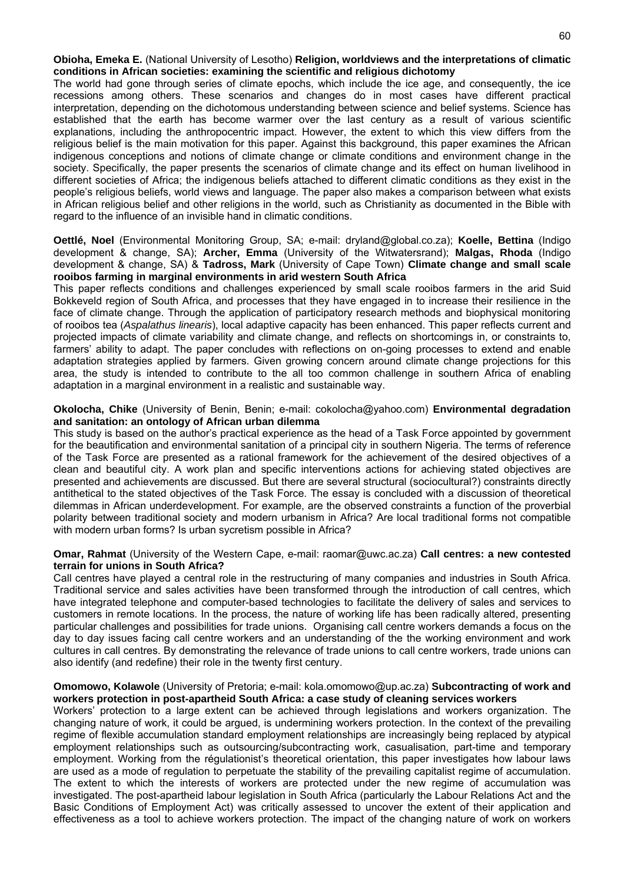#### **Obioha, Emeka E.** (National University of Lesotho) **Religion, worldviews and the interpretations of climatic conditions in African societies: examining the scientific and religious dichotomy**

The world had gone through series of climate epochs, which include the ice age, and consequently, the ice recessions among others. These scenarios and changes do in most cases have different practical interpretation, depending on the dichotomous understanding between science and belief systems. Science has established that the earth has become warmer over the last century as a result of various scientific explanations, including the anthropocentric impact. However, the extent to which this view differs from the religious belief is the main motivation for this paper. Against this background, this paper examines the African indigenous conceptions and notions of climate change or climate conditions and environment change in the society. Specifically, the paper presents the scenarios of climate change and its effect on human livelihood in different societies of Africa; the indigenous beliefs attached to different climatic conditions as they exist in the people's religious beliefs, world views and language. The paper also makes a comparison between what exists in African religious belief and other religions in the world, such as Christianity as documented in the Bible with regard to the influence of an invisible hand in climatic conditions.

#### **Oettlé, Noel** (Environmental Monitoring Group, SA; e-mail: dryland@global.co.za); **Koelle, Bettina** (Indigo development & change, SA); **Archer, Emma** (University of the Witwatersrand); **Malgas, Rhoda** (Indigo development & change, SA) & **Tadross, Mark** (University of Cape Town) **Climate change and small scale rooibos farming in marginal environments in arid western South Africa**

This paper reflects conditions and challenges experienced by small scale rooibos farmers in the arid Suid Bokkeveld region of South Africa, and processes that they have engaged in to increase their resilience in the face of climate change. Through the application of participatory research methods and biophysical monitoring of rooibos tea (*Aspalathus linearis*), local adaptive capacity has been enhanced. This paper reflects current and projected impacts of climate variability and climate change, and reflects on shortcomings in, or constraints to, farmers' ability to adapt. The paper concludes with reflections on on-going processes to extend and enable adaptation strategies applied by farmers. Given growing concern around climate change projections for this area, the study is intended to contribute to the all too common challenge in southern Africa of enabling adaptation in a marginal environment in a realistic and sustainable way.

#### **Okolocha, Chike** (University of Benin, Benin; e-mail: cokolocha@yahoo.com) **Environmental degradation and sanitation: an ontology of African urban dilemma**

This study is based on the author's practical experience as the head of a Task Force appointed by government for the beautification and environmental sanitation of a principal city in southern Nigeria. The terms of reference of the Task Force are presented as a rational framework for the achievement of the desired objectives of a clean and beautiful city. A work plan and specific interventions actions for achieving stated objectives are presented and achievements are discussed. But there are several structural (sociocultural?) constraints directly antithetical to the stated objectives of the Task Force. The essay is concluded with a discussion of theoretical dilemmas in African underdevelopment. For example, are the observed constraints a function of the proverbial polarity between traditional society and modern urbanism in Africa? Are local traditional forms not compatible with modern urban forms? Is urban sycretism possible in Africa?

#### **Omar, Rahmat** (University of the Western Cape, e-mail: raomar@uwc.ac.za) **Call centres: a new contested terrain for unions in South Africa?**

Call centres have played a central role in the restructuring of many companies and industries in South Africa. Traditional service and sales activities have been transformed through the introduction of call centres, which have integrated telephone and computer-based technologies to facilitate the delivery of sales and services to customers in remote locations. In the process, the nature of working life has been radically altered, presenting particular challenges and possibilities for trade unions. Organising call centre workers demands a focus on the day to day issues facing call centre workers and an understanding of the the working environment and work cultures in call centres. By demonstrating the relevance of trade unions to call centre workers, trade unions can also identify (and redefine) their role in the twenty first century.

#### **Omomowo, Kolawole** (University of Pretoria; e-mail: kola.omomowo@up.ac.za) **Subcontracting of work and workers protection in post-apartheid South Africa: a case study of cleaning services workers**

Workers' protection to a large extent can be achieved through legislations and workers organization. The changing nature of work, it could be argued, is undermining workers protection. In the context of the prevailing regime of flexible accumulation standard employment relationships are increasingly being replaced by atypical employment relationships such as outsourcing/subcontracting work, casualisation, part-time and temporary employment. Working from the régulationist's theoretical orientation, this paper investigates how labour laws are used as a mode of regulation to perpetuate the stability of the prevailing capitalist regime of accumulation. The extent to which the interests of workers are protected under the new regime of accumulation was investigated. The post-apartheid labour legislation in South Africa (particularly the Labour Relations Act and the Basic Conditions of Employment Act) was critically assessed to uncover the extent of their application and effectiveness as a tool to achieve workers protection. The impact of the changing nature of work on workers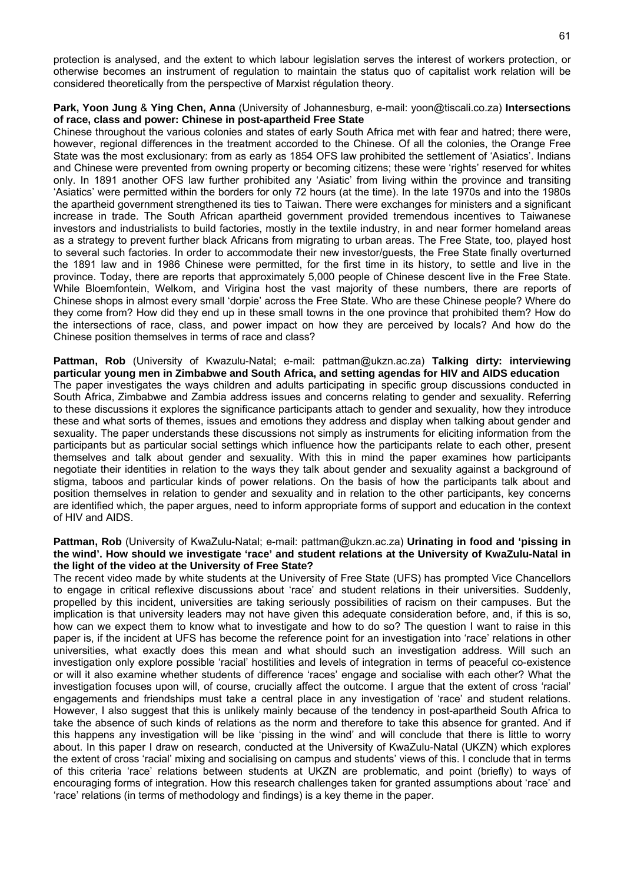protection is analysed, and the extent to which labour legislation serves the interest of workers protection, or otherwise becomes an instrument of regulation to maintain the status quo of capitalist work relation will be considered theoretically from the perspective of Marxist régulation theory.

#### **Park, Yoon Jung** & **Ying Chen, Anna** (University of Johannesburg, e-mail: yoon@tiscali.co.za) **Intersections of race, class and power: Chinese in post-apartheid Free State**

Chinese throughout the various colonies and states of early South Africa met with fear and hatred; there were, however, regional differences in the treatment accorded to the Chinese. Of all the colonies, the Orange Free State was the most exclusionary: from as early as 1854 OFS law prohibited the settlement of 'Asiatics'. Indians and Chinese were prevented from owning property or becoming citizens; these were 'rights' reserved for whites only. In 1891 another OFS law further prohibited any 'Asiatic' from living within the province and transiting 'Asiatics' were permitted within the borders for only 72 hours (at the time). In the late 1970s and into the 1980s the apartheid government strengthened its ties to Taiwan. There were exchanges for ministers and a significant increase in trade. The South African apartheid government provided tremendous incentives to Taiwanese investors and industrialists to build factories, mostly in the textile industry, in and near former homeland areas as a strategy to prevent further black Africans from migrating to urban areas. The Free State, too, played host to several such factories. In order to accommodate their new investor/guests, the Free State finally overturned the 1891 law and in 1986 Chinese were permitted, for the first time in its history, to settle and live in the province. Today, there are reports that approximately 5,000 people of Chinese descent live in the Free State. While Bloemfontein, Welkom, and Virigina host the vast majority of these numbers, there are reports of Chinese shops in almost every small 'dorpie' across the Free State. Who are these Chinese people? Where do they come from? How did they end up in these small towns in the one province that prohibited them? How do the intersections of race, class, and power impact on how they are perceived by locals? And how do the Chinese position themselves in terms of race and class?

**Pattman, Rob** (University of Kwazulu-Natal; e-mail: pattman@ukzn.ac.za) **Talking dirty: interviewing particular young men in Zimbabwe and South Africa, and setting agendas for HIV and AIDS education**  The paper investigates the ways children and adults participating in specific group discussions conducted in South Africa, Zimbabwe and Zambia address issues and concerns relating to gender and sexuality. Referring to these discussions it explores the significance participants attach to gender and sexuality, how they introduce these and what sorts of themes, issues and emotions they address and display when talking about gender and sexuality. The paper understands these discussions not simply as instruments for eliciting information from the participants but as particular social settings which influence how the participants relate to each other, present themselves and talk about gender and sexuality. With this in mind the paper examines how participants negotiate their identities in relation to the ways they talk about gender and sexuality against a background of stigma, taboos and particular kinds of power relations. On the basis of how the participants talk about and position themselves in relation to gender and sexuality and in relation to the other participants, key concerns are identified which, the paper argues, need to inform appropriate forms of support and education in the context of HIV and AIDS.

#### **Pattman, Rob** (University of KwaZulu-Natal; e-mail: pattman@ukzn.ac.za) **Urinating in food and 'pissing in the wind'. How should we investigate 'race' and student relations at the University of KwaZulu-Natal in the light of the video at the University of Free State?**

The recent video made by white students at the University of Free State (UFS) has prompted Vice Chancellors to engage in critical reflexive discussions about 'race' and student relations in their universities. Suddenly, propelled by this incident, universities are taking seriously possibilities of racism on their campuses. But the implication is that university leaders may not have given this adequate consideration before, and, if this is so, how can we expect them to know what to investigate and how to do so? The question I want to raise in this paper is, if the incident at UFS has become the reference point for an investigation into 'race' relations in other universities, what exactly does this mean and what should such an investigation address. Will such an investigation only explore possible 'racial' hostilities and levels of integration in terms of peaceful co-existence or will it also examine whether students of difference 'races' engage and socialise with each other? What the investigation focuses upon will, of course, crucially affect the outcome. I argue that the extent of cross 'racial' engagements and friendships must take a central place in any investigation of 'race' and student relations. However, I also suggest that this is unlikely mainly because of the tendency in post-apartheid South Africa to take the absence of such kinds of relations as the norm and therefore to take this absence for granted. And if this happens any investigation will be like 'pissing in the wind' and will conclude that there is little to worry about. In this paper I draw on research, conducted at the University of KwaZulu-Natal (UKZN) which explores the extent of cross 'racial' mixing and socialising on campus and students' views of this. I conclude that in terms of this criteria 'race' relations between students at UKZN are problematic, and point (briefly) to ways of encouraging forms of integration. How this research challenges taken for granted assumptions about 'race' and 'race' relations (in terms of methodology and findings) is a key theme in the paper.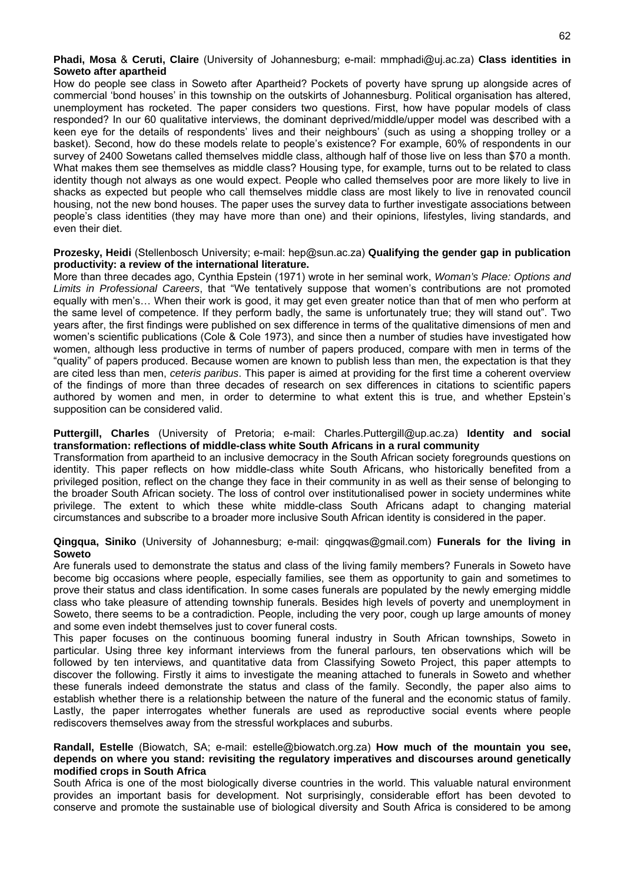**Phadi, Mosa** & **Ceruti, Claire** (University of Johannesburg; e-mail: mmphadi@uj.ac.za) **Class identities in Soweto after apartheid** 

How do people see class in Soweto after Apartheid? Pockets of poverty have sprung up alongside acres of commercial 'bond houses' in this township on the outskirts of Johannesburg. Political organisation has altered, unemployment has rocketed. The paper considers two questions. First, how have popular models of class responded? In our 60 qualitative interviews, the dominant deprived/middle/upper model was described with a keen eye for the details of respondents' lives and their neighbours' (such as using a shopping trolley or a basket). Second, how do these models relate to people's existence? For example, 60% of respondents in our survey of 2400 Sowetans called themselves middle class, although half of those live on less than \$70 a month. What makes them see themselves as middle class? Housing type, for example, turns out to be related to class identity though not always as one would expect. People who called themselves poor are more likely to live in shacks as expected but people who call themselves middle class are most likely to live in renovated council housing, not the new bond houses. The paper uses the survey data to further investigate associations between people's class identities (they may have more than one) and their opinions, lifestyles, living standards, and even their diet.

#### **Prozesky, Heidi** (Stellenbosch University; e-mail: hep@sun.ac.za) **Qualifying the gender gap in publication productivity: a review of the international literature.**

More than three decades ago, Cynthia Epstein (1971) wrote in her seminal work, *Woman's Place: Options and Limits in Professional Careers*, that "We tentatively suppose that women's contributions are not promoted equally with men's… When their work is good, it may get even greater notice than that of men who perform at the same level of competence. If they perform badly, the same is unfortunately true; they will stand out". Two years after, the first findings were published on sex difference in terms of the qualitative dimensions of men and women's scientific publications (Cole & Cole 1973), and since then a number of studies have investigated how women, although less productive in terms of number of papers produced, compare with men in terms of the "quality" of papers produced. Because women are known to publish less than men, the expectation is that they are cited less than men, *ceteris paribus*. This paper is aimed at providing for the first time a coherent overview of the findings of more than three decades of research on sex differences in citations to scientific papers authored by women and men, in order to determine to what extent this is true, and whether Epstein's supposition can be considered valid.

#### **Puttergill, Charles** (University of Pretoria; e-mail: Charles.Puttergill@up.ac.za) **Identity and social transformation: reflections of middle-class white South Africans in a rural community**

Transformation from apartheid to an inclusive democracy in the South African society foregrounds questions on identity. This paper reflects on how middle-class white South Africans, who historically benefited from a privileged position, reflect on the change they face in their community in as well as their sense of belonging to the broader South African society. The loss of control over institutionalised power in society undermines white privilege. The extent to which these white middle-class South Africans adapt to changing material circumstances and subscribe to a broader more inclusive South African identity is considered in the paper.

#### **Qingqua, Siniko** (University of Johannesburg; e-mail: qingqwas@gmail.com) **Funerals for the living in Soweto**

Are funerals used to demonstrate the status and class of the living family members? Funerals in Soweto have become big occasions where people, especially families, see them as opportunity to gain and sometimes to prove their status and class identification. In some cases funerals are populated by the newly emerging middle class who take pleasure of attending township funerals. Besides high levels of poverty and unemployment in Soweto, there seems to be a contradiction. People, including the very poor, cough up large amounts of money and some even indebt themselves just to cover funeral costs.

This paper focuses on the continuous booming funeral industry in South African townships, Soweto in particular. Using three key informant interviews from the funeral parlours, ten observations which will be followed by ten interviews, and quantitative data from Classifying Soweto Project, this paper attempts to discover the following. Firstly it aims to investigate the meaning attached to funerals in Soweto and whether these funerals indeed demonstrate the status and class of the family. Secondly, the paper also aims to establish whether there is a relationship between the nature of the funeral and the economic status of family. Lastly, the paper interrogates whether funerals are used as reproductive social events where people rediscovers themselves away from the stressful workplaces and suburbs.

#### **Randall, Estelle** (Biowatch, SA; e-mail: estelle@biowatch.org.za) **How much of the mountain you see, depends on where you stand: revisiting the regulatory imperatives and discourses around genetically modified crops in South Africa**

South Africa is one of the most biologically diverse countries in the world. This valuable natural environment provides an important basis for development. Not surprisingly, considerable effort has been devoted to conserve and promote the sustainable use of biological diversity and South Africa is considered to be among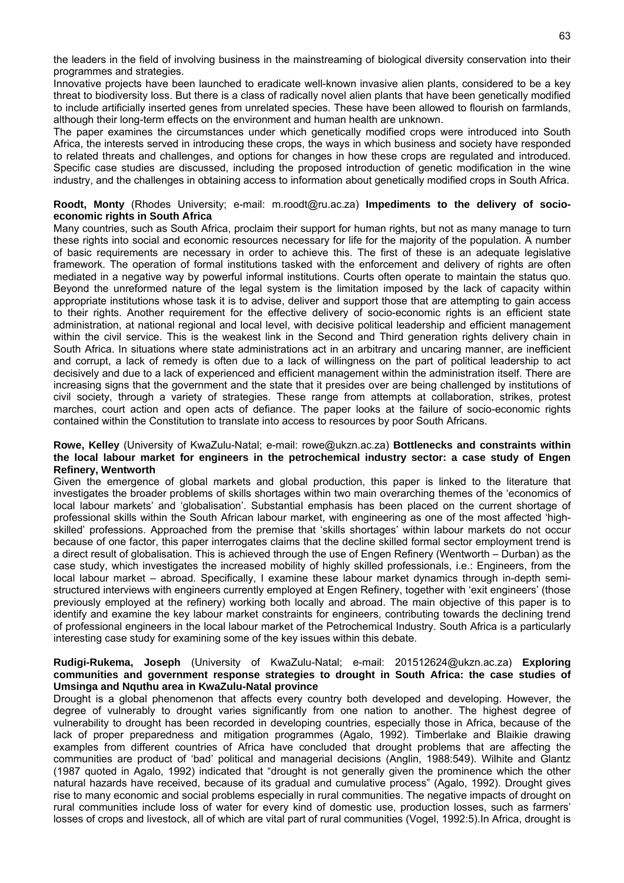the leaders in the field of involving business in the mainstreaming of biological diversity conservation into their programmes and strategies.

Innovative projects have been launched to eradicate well-known invasive alien plants, considered to be a key threat to biodiversity loss. But there is a class of radically novel alien plants that have been genetically modified to include artificially inserted genes from unrelated species. These have been allowed to flourish on farmlands, although their long-term effects on the environment and human health are unknown.

The paper examines the circumstances under which genetically modified crops were introduced into South Africa, the interests served in introducing these crops, the ways in which business and society have responded to related threats and challenges, and options for changes in how these crops are regulated and introduced. Specific case studies are discussed, including the proposed introduction of genetic modification in the wine industry, and the challenges in obtaining access to information about genetically modified crops in South Africa.

#### **Roodt, Monty** (Rhodes University; e-mail: m.roodt@ru.ac.za) **Impediments to the delivery of socioeconomic rights in South Africa**

Many countries, such as South Africa, proclaim their support for human rights, but not as many manage to turn these rights into social and economic resources necessary for life for the majority of the population. A number of basic requirements are necessary in order to achieve this. The first of these is an adequate legislative framework. The operation of formal institutions tasked with the enforcement and delivery of rights are often mediated in a negative way by powerful informal institutions. Courts often operate to maintain the status quo. Beyond the unreformed nature of the legal system is the limitation imposed by the lack of capacity within appropriate institutions whose task it is to advise, deliver and support those that are attempting to gain access to their rights. Another requirement for the effective delivery of socio-economic rights is an efficient state administration, at national regional and local level, with decisive political leadership and efficient management within the civil service. This is the weakest link in the Second and Third generation rights delivery chain in South Africa. In situations where state administrations act in an arbitrary and uncaring manner, are inefficient and corrupt, a lack of remedy is often due to a lack of willingness on the part of political leadership to act decisively and due to a lack of experienced and efficient management within the administration itself. There are increasing signs that the government and the state that it presides over are being challenged by institutions of civil society, through a variety of strategies. These range from attempts at collaboration, strikes, protest marches, court action and open acts of defiance. The paper looks at the failure of socio-economic rights contained within the Constitution to translate into access to resources by poor South Africans.

#### **Rowe, Kelley** (University of KwaZulu-Natal; e-mail: rowe@ukzn.ac.za) **Bottlenecks and constraints within the local labour market for engineers in the petrochemical industry sector: a case study of Engen Refinery, Wentworth**

Given the emergence of global markets and global production, this paper is linked to the literature that investigates the broader problems of skills shortages within two main overarching themes of the 'economics of local labour markets' and 'globalisation'. Substantial emphasis has been placed on the current shortage of professional skills within the South African labour market, with engineering as one of the most affected 'highskilled' professions. Approached from the premise that 'skills shortages' within labour markets do not occur because of one factor, this paper interrogates claims that the decline skilled formal sector employment trend is a direct result of globalisation. This is achieved through the use of Engen Refinery (Wentworth – Durban) as the case study, which investigates the increased mobility of highly skilled professionals, i.e.: Engineers, from the local labour market – abroad. Specifically, I examine these labour market dynamics through in-depth semistructured interviews with engineers currently employed at Engen Refinery, together with 'exit engineers' (those previously employed at the refinery) working both locally and abroad. The main objective of this paper is to identify and examine the key labour market constraints for engineers, contributing towards the declining trend of professional engineers in the local labour market of the Petrochemical Industry. South Africa is a particularly interesting case study for examining some of the key issues within this debate.

#### **Rudigi-Rukema, Joseph** (University of KwaZulu-Natal; e-mail: 201512624@ukzn.ac.za) **Exploring communities and government response strategies to drought in South Africa: the case studies of Umsinga and Nquthu area in KwaZulu-Natal province**

Drought is a global phenomenon that affects every country both developed and developing. However, the degree of vulnerably to drought varies significantly from one nation to another. The highest degree of vulnerability to drought has been recorded in developing countries, especially those in Africa, because of the lack of proper preparedness and mitigation programmes (Agalo, 1992). Timberlake and Blaikie drawing examples from different countries of Africa have concluded that drought problems that are affecting the communities are product of 'bad' political and managerial decisions (Anglin, 1988:549). Wilhite and Glantz (1987 quoted in Agalo, 1992) indicated that "drought is not generally given the prominence which the other natural hazards have received, because of its gradual and cumulative process" (Agalo, 1992). Drought gives rise to many economic and social problems especially in rural communities. The negative impacts of drought on rural communities include loss of water for every kind of domestic use, production losses, such as farmers' losses of crops and livestock, all of which are vital part of rural communities (Vogel, 1992:5).In Africa, drought is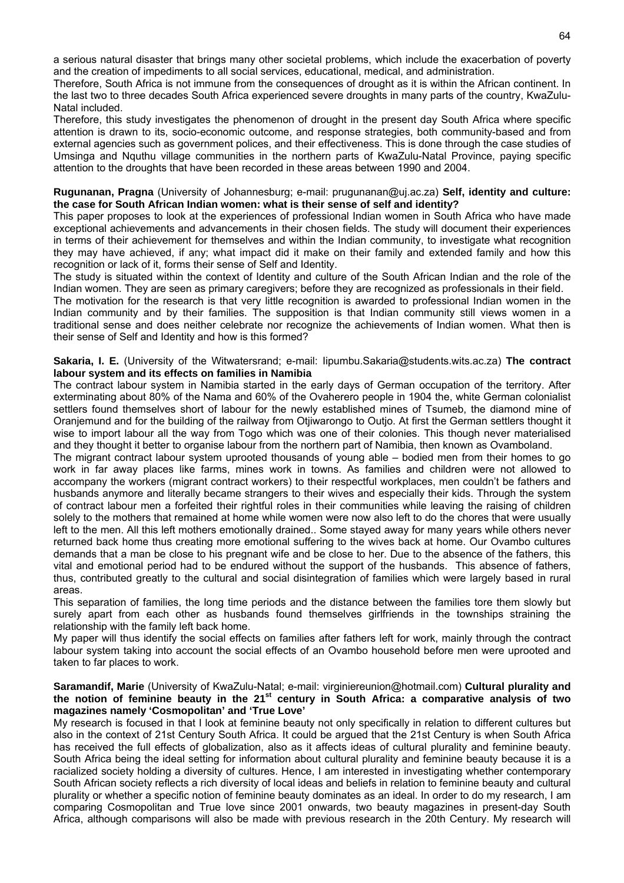a serious natural disaster that brings many other societal problems, which include the exacerbation of poverty and the creation of impediments to all social services, educational, medical, and administration.

Therefore, South Africa is not immune from the consequences of drought as it is within the African continent. In the last two to three decades South Africa experienced severe droughts in many parts of the country, KwaZulu-Natal included.

Therefore, this study investigates the phenomenon of drought in the present day South Africa where specific attention is drawn to its, socio-economic outcome, and response strategies, both community-based and from external agencies such as government polices, and their effectiveness. This is done through the case studies of Umsinga and Nquthu village communities in the northern parts of KwaZulu-Natal Province, paying specific attention to the droughts that have been recorded in these areas between 1990 and 2004.

#### **Rugunanan, Pragna** (University of Johannesburg; e-mail: prugunanan@uj.ac.za) **Self, identity and culture: the case for South African Indian women: what is their sense of self and identity?**

This paper proposes to look at the experiences of professional Indian women in South Africa who have made exceptional achievements and advancements in their chosen fields. The study will document their experiences in terms of their achievement for themselves and within the Indian community, to investigate what recognition they may have achieved, if any; what impact did it make on their family and extended family and how this recognition or lack of it, forms their sense of Self and Identity.

The study is situated within the context of Identity and culture of the South African Indian and the role of the Indian women. They are seen as primary caregivers; before they are recognized as professionals in their field.

The motivation for the research is that very little recognition is awarded to professional Indian women in the Indian community and by their families. The supposition is that Indian community still views women in a traditional sense and does neither celebrate nor recognize the achievements of Indian women. What then is their sense of Self and Identity and how is this formed?

#### **Sakaria, I. E.** (University of the Witwatersrand; e-mail: Iipumbu.Sakaria@students.wits.ac.za) **The contract labour system and its effects on families in Namibia**

The contract labour system in Namibia started in the early days of German occupation of the territory. After exterminating about 80% of the Nama and 60% of the Ovaherero people in 1904 the, white German colonialist settlers found themselves short of labour for the newly established mines of Tsumeb, the diamond mine of Oranjemund and for the building of the railway from Otjiwarongo to Outjo. At first the German settlers thought it wise to import labour all the way from Togo which was one of their colonies. This though never materialised and they thought it better to organise labour from the northern part of Namibia, then known as Ovamboland.

The migrant contract labour system uprooted thousands of young able – bodied men from their homes to go work in far away places like farms, mines work in towns. As families and children were not allowed to accompany the workers (migrant contract workers) to their respectful workplaces, men couldn't be fathers and husbands anymore and literally became strangers to their wives and especially their kids. Through the system of contract labour men a forfeited their rightful roles in their communities while leaving the raising of children solely to the mothers that remained at home while women were now also left to do the chores that were usually left to the men. All this left mothers emotionally drained.. Some stayed away for many years while others never returned back home thus creating more emotional suffering to the wives back at home. Our Ovambo cultures demands that a man be close to his pregnant wife and be close to her. Due to the absence of the fathers, this vital and emotional period had to be endured without the support of the husbands. This absence of fathers, thus, contributed greatly to the cultural and social disintegration of families which were largely based in rural areas.

This separation of families, the long time periods and the distance between the families tore them slowly but surely apart from each other as husbands found themselves girlfriends in the townships straining the relationship with the family left back home.

My paper will thus identify the social effects on families after fathers left for work, mainly through the contract labour system taking into account the social effects of an Ovambo household before men were uprooted and taken to far places to work.

#### **Saramandif, Marie** (University of KwaZulu-Natal; e-mail: virginiereunion@hotmail.com) **Cultural plurality and the notion of feminine beauty in the 21st century in South Africa: a comparative analysis of two magazines namely 'Cosmopolitan' and 'True Love'**

My research is focused in that I look at feminine beauty not only specifically in relation to different cultures but also in the context of 21st Century South Africa. It could be argued that the 21st Century is when South Africa has received the full effects of globalization, also as it affects ideas of cultural plurality and feminine beauty. South Africa being the ideal setting for information about cultural plurality and feminine beauty because it is a racialized society holding a diversity of cultures. Hence, I am interested in investigating whether contemporary South African society reflects a rich diversity of local ideas and beliefs in relation to feminine beauty and cultural plurality or whether a specific notion of feminine beauty dominates as an ideal. In order to do my research, I am comparing Cosmopolitan and True love since 2001 onwards, two beauty magazines in present-day South Africa, although comparisons will also be made with previous research in the 20th Century. My research will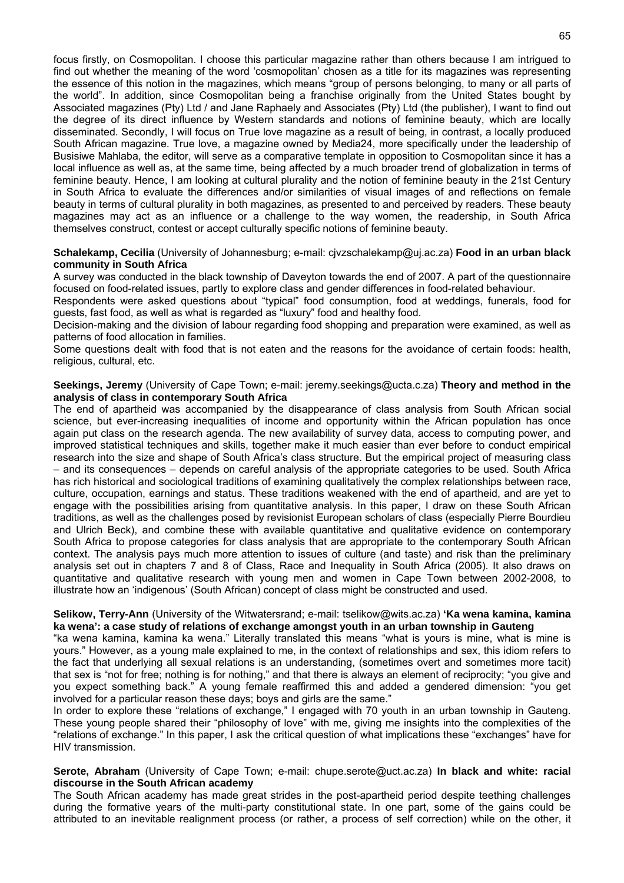focus firstly, on Cosmopolitan. I choose this particular magazine rather than others because I am intrigued to find out whether the meaning of the word 'cosmopolitan' chosen as a title for its magazines was representing the essence of this notion in the magazines, which means "group of persons belonging, to many or all parts of the world". In addition, since Cosmopolitan being a franchise originally from the United States bought by Associated magazines (Pty) Ltd / and Jane Raphaely and Associates (Pty) Ltd (the publisher), I want to find out the degree of its direct influence by Western standards and notions of feminine beauty, which are locally disseminated. Secondly, I will focus on True love magazine as a result of being, in contrast, a locally produced South African magazine. True love, a magazine owned by Media24, more specifically under the leadership of Busisiwe Mahlaba, the editor, will serve as a comparative template in opposition to Cosmopolitan since it has a local influence as well as, at the same time, being affected by a much broader trend of globalization in terms of feminine beauty. Hence, I am looking at cultural plurality and the notion of feminine beauty in the 21st Century in South Africa to evaluate the differences and/or similarities of visual images of and reflections on female beauty in terms of cultural plurality in both magazines, as presented to and perceived by readers. These beauty magazines may act as an influence or a challenge to the way women, the readership, in South Africa themselves construct, contest or accept culturally specific notions of feminine beauty.

#### **Schalekamp, Cecilia** (University of Johannesburg; e-mail: cjvzschalekamp@uj.ac.za) **Food in an urban black community in South Africa**

A survey was conducted in the black township of Daveyton towards the end of 2007. A part of the questionnaire focused on food-related issues, partly to explore class and gender differences in food-related behaviour.

Respondents were asked questions about "typical" food consumption, food at weddings, funerals, food for guests, fast food, as well as what is regarded as "luxury" food and healthy food.

Decision-making and the division of labour regarding food shopping and preparation were examined, as well as patterns of food allocation in families.

Some questions dealt with food that is not eaten and the reasons for the avoidance of certain foods: health, religious, cultural, etc.

#### **Seekings, Jeremy** (University of Cape Town; e-mail: jeremy.seekings@ucta.c.za) **Theory and method in the analysis of class in contemporary South Africa**

The end of apartheid was accompanied by the disappearance of class analysis from South African social science, but ever-increasing inequalities of income and opportunity within the African population has once again put class on the research agenda. The new availability of survey data, access to computing power, and improved statistical techniques and skills, together make it much easier than ever before to conduct empirical research into the size and shape of South Africa's class structure. But the empirical project of measuring class – and its consequences – depends on careful analysis of the appropriate categories to be used. South Africa has rich historical and sociological traditions of examining qualitatively the complex relationships between race, culture, occupation, earnings and status. These traditions weakened with the end of apartheid, and are yet to engage with the possibilities arising from quantitative analysis. In this paper, I draw on these South African traditions, as well as the challenges posed by revisionist European scholars of class (especially Pierre Bourdieu and Ulrich Beck), and combine these with available quantitative and qualitative evidence on contemporary South Africa to propose categories for class analysis that are appropriate to the contemporary South African context. The analysis pays much more attention to issues of culture (and taste) and risk than the preliminary analysis set out in chapters 7 and 8 of Class, Race and Inequality in South Africa (2005). It also draws on quantitative and qualitative research with young men and women in Cape Town between 2002-2008, to illustrate how an 'indigenous' (South African) concept of class might be constructed and used.

#### **Selikow, Terry-Ann** (University of the Witwatersrand; e-mail: tselikow@wits.ac.za) **'Ka wena kamina, kamina ka wena': a case study of relations of exchange amongst youth in an urban township in Gauteng**

"ka wena kamina, kamina ka wena." Literally translated this means "what is yours is mine, what is mine is yours." However, as a young male explained to me, in the context of relationships and sex, this idiom refers to the fact that underlying all sexual relations is an understanding, (sometimes overt and sometimes more tacit) that sex is "not for free; nothing is for nothing," and that there is always an element of reciprocity; "you give and you expect something back." A young female reaffirmed this and added a gendered dimension: "you get involved for a particular reason these days; boys and girls are the same."

In order to explore these "relations of exchange," I engaged with 70 youth in an urban township in Gauteng. These young people shared their "philosophy of love" with me, giving me insights into the complexities of the "relations of exchange." In this paper, I ask the critical question of what implications these "exchanges" have for HIV transmission.

#### **Serote, Abraham** (University of Cape Town; e-mail: chupe.serote@uct.ac.za) **In black and white: racial discourse in the South African academy**

The South African academy has made great strides in the post-apartheid period despite teething challenges during the formative years of the multi-party constitutional state. In one part, some of the gains could be attributed to an inevitable realignment process (or rather, a process of self correction) while on the other, it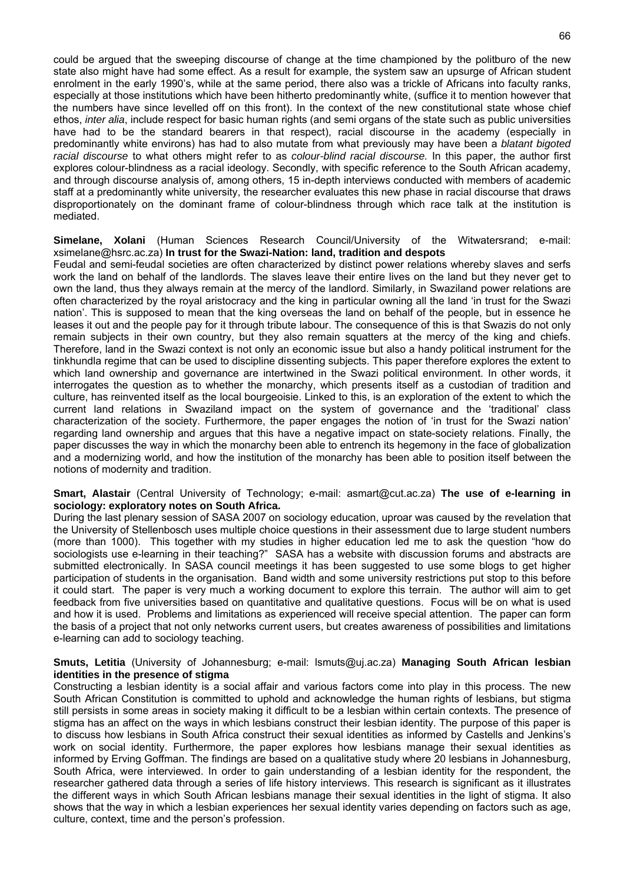could be argued that the sweeping discourse of change at the time championed by the politburo of the new state also might have had some effect. As a result for example, the system saw an upsurge of African student enrolment in the early 1990's, while at the same period, there also was a trickle of Africans into faculty ranks, especially at those institutions which have been hitherto predominantly white, (suffice it to mention however that the numbers have since levelled off on this front). In the context of the new constitutional state whose chief ethos, *inter alia*, include respect for basic human rights (and semi organs of the state such as public universities have had to be the standard bearers in that respect), racial discourse in the academy (especially in predominantly white environs) has had to also mutate from what previously may have been a *blatant bigoted racial discourse* to what others might refer to as *colour-blind racial discourse.* In this paper, the author first explores colour-blindness as a racial ideology. Secondly, with specific reference to the South African academy, and through discourse analysis of, among others, 15 in-depth interviews conducted with members of academic staff at a predominantly white university, the researcher evaluates this new phase in racial discourse that draws disproportionately on the dominant frame of colour-blindness through which race talk at the institution is mediated.

#### **Simelane, Xolani** (Human Sciences Research Council/University of the Witwatersrand; e-mail: xsimelane@hsrc.ac.za) **In trust for the Swazi-Nation: land, tradition and despots**

Feudal and semi-feudal societies are often characterized by distinct power relations whereby slaves and serfs work the land on behalf of the landlords. The slaves leave their entire lives on the land but they never get to own the land, thus they always remain at the mercy of the landlord. Similarly, in Swaziland power relations are often characterized by the royal aristocracy and the king in particular owning all the land 'in trust for the Swazi nation'. This is supposed to mean that the king overseas the land on behalf of the people, but in essence he leases it out and the people pay for it through tribute labour. The consequence of this is that Swazis do not only remain subjects in their own country, but they also remain squatters at the mercy of the king and chiefs. Therefore, land in the Swazi context is not only an economic issue but also a handy political instrument for the tinkhundla regime that can be used to discipline dissenting subjects. This paper therefore explores the extent to which land ownership and governance are intertwined in the Swazi political environment. In other words, it interrogates the question as to whether the monarchy, which presents itself as a custodian of tradition and culture, has reinvented itself as the local bourgeoisie. Linked to this, is an exploration of the extent to which the current land relations in Swaziland impact on the system of governance and the 'traditional' class characterization of the society. Furthermore, the paper engages the notion of 'in trust for the Swazi nation' regarding land ownership and argues that this have a negative impact on state-society relations. Finally, the paper discusses the way in which the monarchy been able to entrench its hegemony in the face of globalization and a modernizing world, and how the institution of the monarchy has been able to position itself between the notions of modernity and tradition.

#### **Smart, Alastair** (Central University of Technology; e-mail: asmart@cut.ac.za) **The use of e-learning in sociology: exploratory notes on South Africa.**

During the last plenary session of SASA 2007 on sociology education, uproar was caused by the revelation that the University of Stellenbosch uses multiple choice questions in their assessment due to large student numbers (more than 1000). This together with my studies in higher education led me to ask the question "how do sociologists use e-learning in their teaching?" SASA has a website with discussion forums and abstracts are submitted electronically. In SASA council meetings it has been suggested to use some blogs to get higher participation of students in the organisation. Band width and some university restrictions put stop to this before it could start. The paper is very much a working document to explore this terrain. The author will aim to get feedback from five universities based on quantitative and qualitative questions. Focus will be on what is used and how it is used. Problems and limitations as experienced will receive special attention. The paper can form the basis of a project that not only networks current users, but creates awareness of possibilities and limitations e-learning can add to sociology teaching.

#### **Smuts, Letitia** (University of Johannesburg; e-mail: lsmuts@uj.ac.za) **Managing South African lesbian identities in the presence of stigma**

Constructing a lesbian identity is a social affair and various factors come into play in this process. The new South African Constitution is committed to uphold and acknowledge the human rights of lesbians, but stigma still persists in some areas in society making it difficult to be a lesbian within certain contexts. The presence of stigma has an affect on the ways in which lesbians construct their lesbian identity. The purpose of this paper is to discuss how lesbians in South Africa construct their sexual identities as informed by Castells and Jenkins's work on social identity. Furthermore, the paper explores how lesbians manage their sexual identities as informed by Erving Goffman. The findings are based on a qualitative study where 20 lesbians in Johannesburg, South Africa, were interviewed. In order to gain understanding of a lesbian identity for the respondent, the researcher gathered data through a series of life history interviews. This research is significant as it illustrates the different ways in which South African lesbians manage their sexual identities in the light of stigma. It also shows that the way in which a lesbian experiences her sexual identity varies depending on factors such as age, culture, context, time and the person's profession.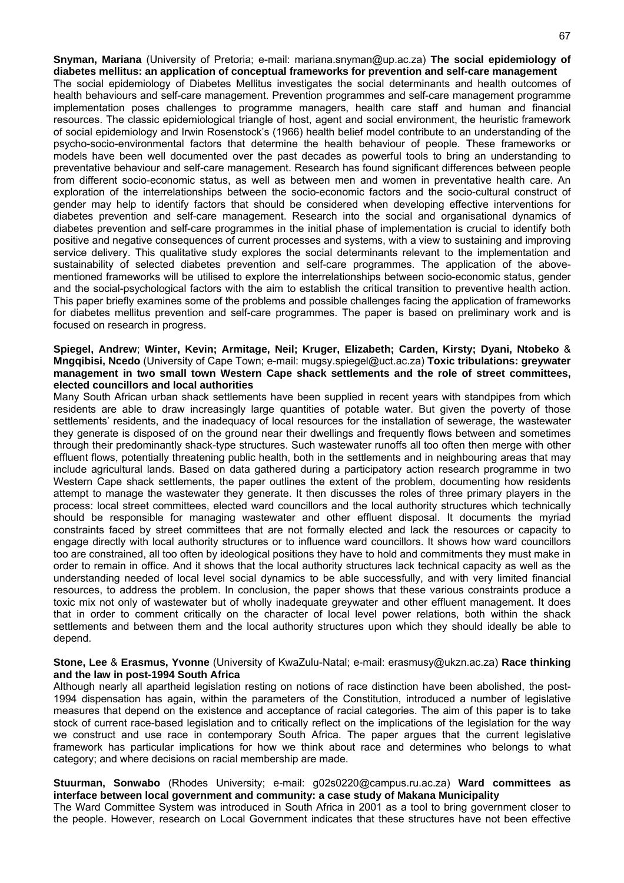**Snyman, Mariana** (University of Pretoria; e-mail: mariana.snyman@up.ac.za) **The social epidemiology of diabetes mellitus: an application of conceptual frameworks for prevention and self-care management** The social epidemiology of Diabetes Mellitus investigates the social determinants and health outcomes of health behaviours and self-care management. Prevention programmes and self-care management programme implementation poses challenges to programme managers, health care staff and human and financial resources. The classic epidemiological triangle of host, agent and social environment, the heuristic framework of social epidemiology and Irwin Rosenstock's (1966) health belief model contribute to an understanding of the psycho-socio-environmental factors that determine the health behaviour of people. These frameworks or models have been well documented over the past decades as powerful tools to bring an understanding to preventative behaviour and self-care management. Research has found significant differences between people from different socio-economic status, as well as between men and women in preventative health care. An exploration of the interrelationships between the socio-economic factors and the socio-cultural construct of gender may help to identify factors that should be considered when developing effective interventions for diabetes prevention and self-care management. Research into the social and organisational dynamics of diabetes prevention and self-care programmes in the initial phase of implementation is crucial to identify both positive and negative consequences of current processes and systems, with a view to sustaining and improving service delivery. This qualitative study explores the social determinants relevant to the implementation and sustainability of selected diabetes prevention and self-care programmes. The application of the abovementioned frameworks will be utilised to explore the interrelationships between socio-economic status, gender and the social-psychological factors with the aim to establish the critical transition to preventive health action. This paper briefly examines some of the problems and possible challenges facing the application of frameworks for diabetes mellitus prevention and self-care programmes. The paper is based on preliminary work and is focused on research in progress.

#### **Spiegel, Andrew**; **Winter, Kevin; Armitage, Neil; Kruger, Elizabeth; Carden, Kirsty; Dyani, Ntobeko** & **Mngqibisi, Ncedo** (University of Cape Town; e-mail: mugsy.spiegel@uct.ac.za) **Toxic tribulations: greywater management in two small town Western Cape shack settlements and the role of street committees, elected councillors and local authorities**

Many South African urban shack settlements have been supplied in recent years with standpipes from which residents are able to draw increasingly large quantities of potable water. But given the poverty of those settlements' residents, and the inadequacy of local resources for the installation of sewerage, the wastewater they generate is disposed of on the ground near their dwellings and frequently flows between and sometimes through their predominantly shack-type structures. Such wastewater runoffs all too often then merge with other effluent flows, potentially threatening public health, both in the settlements and in neighbouring areas that may include agricultural lands. Based on data gathered during a participatory action research programme in two Western Cape shack settlements, the paper outlines the extent of the problem, documenting how residents attempt to manage the wastewater they generate. It then discusses the roles of three primary players in the process: local street committees, elected ward councillors and the local authority structures which technically should be responsible for managing wastewater and other effluent disposal. It documents the myriad constraints faced by street committees that are not formally elected and lack the resources or capacity to engage directly with local authority structures or to influence ward councillors. It shows how ward councillors too are constrained, all too often by ideological positions they have to hold and commitments they must make in order to remain in office. And it shows that the local authority structures lack technical capacity as well as the understanding needed of local level social dynamics to be able successfully, and with very limited financial resources, to address the problem. In conclusion, the paper shows that these various constraints produce a toxic mix not only of wastewater but of wholly inadequate greywater and other effluent management. It does that in order to comment critically on the character of local level power relations, both within the shack settlements and between them and the local authority structures upon which they should ideally be able to depend.

#### **Stone, Lee** & **Erasmus, Yvonne** (University of KwaZulu-Natal; e-mail: erasmusy@ukzn.ac.za) **Race thinking and the law in post-1994 South Africa**

Although nearly all apartheid legislation resting on notions of race distinction have been abolished, the post-1994 dispensation has again, within the parameters of the Constitution, introduced a number of legislative measures that depend on the existence and acceptance of racial categories. The aim of this paper is to take stock of current race-based legislation and to critically reflect on the implications of the legislation for the way we construct and use race in contemporary South Africa. The paper argues that the current legislative framework has particular implications for how we think about race and determines who belongs to what category; and where decisions on racial membership are made.

#### **Stuurman, Sonwabo** (Rhodes University; e-mail: g02s0220@campus.ru.ac.za) **Ward committees as interface between local government and community: a case study of Makana Municipality**

The Ward Committee System was introduced in South Africa in 2001 as a tool to bring government closer to the people. However, research on Local Government indicates that these structures have not been effective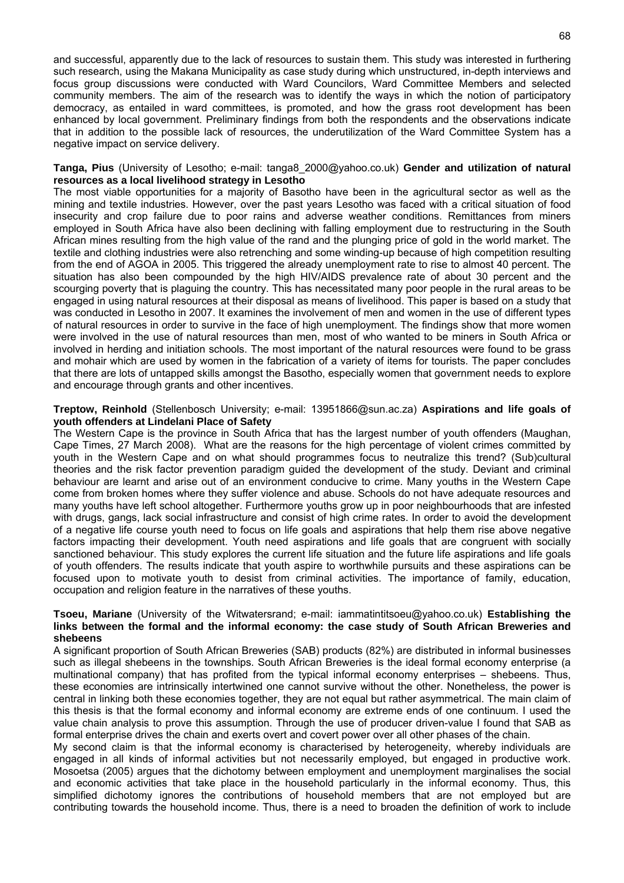and successful, apparently due to the lack of resources to sustain them. This study was interested in furthering such research, using the Makana Municipality as case study during which unstructured, in-depth interviews and focus group discussions were conducted with Ward Councilors, Ward Committee Members and selected community members. The aim of the research was to identify the ways in which the notion of participatory democracy, as entailed in ward committees, is promoted, and how the grass root development has been enhanced by local government. Preliminary findings from both the respondents and the observations indicate that in addition to the possible lack of resources, the underutilization of the Ward Committee System has a negative impact on service delivery.

#### **Tanga, Pius** (University of Lesotho; e-mail: tanga8\_2000@yahoo.co.uk) **Gender and utilization of natural resources as a local livelihood strategy in Lesotho**

The most viable opportunities for a majority of Basotho have been in the agricultural sector as well as the mining and textile industries. However, over the past years Lesotho was faced with a critical situation of food insecurity and crop failure due to poor rains and adverse weather conditions. Remittances from miners employed in South Africa have also been declining with falling employment due to restructuring in the South African mines resulting from the high value of the rand and the plunging price of gold in the world market. The textile and clothing industries were also retrenching and some winding-up because of high competition resulting from the end of AGOA in 2005. This triggered the already unemployment rate to rise to almost 40 percent. The situation has also been compounded by the high HIV/AIDS prevalence rate of about 30 percent and the scourging poverty that is plaguing the country. This has necessitated many poor people in the rural areas to be engaged in using natural resources at their disposal as means of livelihood. This paper is based on a study that was conducted in Lesotho in 2007. It examines the involvement of men and women in the use of different types of natural resources in order to survive in the face of high unemployment. The findings show that more women were involved in the use of natural resources than men, most of who wanted to be miners in South Africa or involved in herding and initiation schools. The most important of the natural resources were found to be grass and mohair which are used by women in the fabrication of a variety of items for tourists. The paper concludes that there are lots of untapped skills amongst the Basotho, especially women that government needs to explore and encourage through grants and other incentives.

#### **Treptow, Reinhold** (Stellenbosch University; e-mail: 13951866@sun.ac.za) **Aspirations and life goals of youth offenders at Lindelani Place of Safety**

The Western Cape is the province in South Africa that has the largest number of youth offenders (Maughan, Cape Times, 27 March 2008). What are the reasons for the high percentage of violent crimes committed by youth in the Western Cape and on what should programmes focus to neutralize this trend? (Sub)cultural theories and the risk factor prevention paradigm guided the development of the study. Deviant and criminal behaviour are learnt and arise out of an environment conducive to crime. Many youths in the Western Cape come from broken homes where they suffer violence and abuse. Schools do not have adequate resources and many youths have left school altogether. Furthermore youths grow up in poor neighbourhoods that are infested with drugs, gangs, lack social infrastructure and consist of high crime rates. In order to avoid the development of a negative life course youth need to focus on life goals and aspirations that help them rise above negative factors impacting their development. Youth need aspirations and life goals that are congruent with socially sanctioned behaviour. This study explores the current life situation and the future life aspirations and life goals of youth offenders. The results indicate that youth aspire to worthwhile pursuits and these aspirations can be focused upon to motivate youth to desist from criminal activities. The importance of family, education, occupation and religion feature in the narratives of these youths.

#### **Tsoeu, Mariane** (University of the Witwatersrand; e-mail: iammatintitsoeu@yahoo.co.uk) **Establishing the links between the formal and the informal economy: the case study of South African Breweries and shebeens**

A significant proportion of South African Breweries (SAB) products (82%) are distributed in informal businesses such as illegal shebeens in the townships. South African Breweries is the ideal formal economy enterprise (a multinational company) that has profited from the typical informal economy enterprises – shebeens. Thus, these economies are intrinsically intertwined one cannot survive without the other. Nonetheless, the power is central in linking both these economies together, they are not equal but rather asymmetrical. The main claim of this thesis is that the formal economy and informal economy are extreme ends of one continuum. I used the value chain analysis to prove this assumption. Through the use of producer driven-value I found that SAB as formal enterprise drives the chain and exerts overt and covert power over all other phases of the chain.

My second claim is that the informal economy is characterised by heterogeneity, whereby individuals are engaged in all kinds of informal activities but not necessarily employed, but engaged in productive work. Mosoetsa (2005) argues that the dichotomy between employment and unemployment marginalises the social and economic activities that take place in the household particularly in the informal economy. Thus, this simplified dichotomy ignores the contributions of household members that are not employed but are contributing towards the household income. Thus, there is a need to broaden the definition of work to include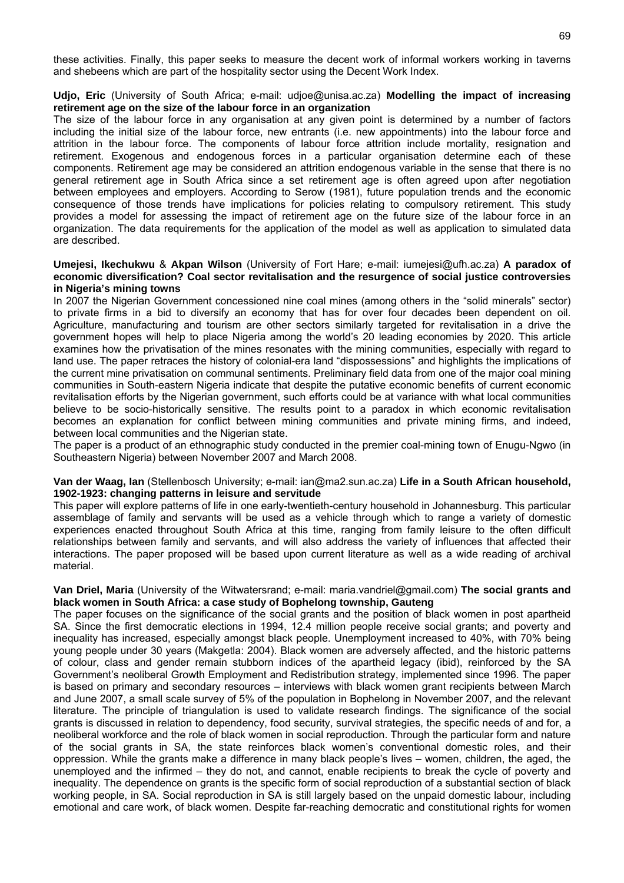these activities. Finally, this paper seeks to measure the decent work of informal workers working in taverns and shebeens which are part of the hospitality sector using the Decent Work Index.

#### **Udjo, Eric** (University of South Africa; e-mail: udjoe@unisa.ac.za) **Modelling the impact of increasing retirement age on the size of the labour force in an organization**

The size of the labour force in any organisation at any given point is determined by a number of factors including the initial size of the labour force, new entrants (i.e. new appointments) into the labour force and attrition in the labour force. The components of labour force attrition include mortality, resignation and retirement. Exogenous and endogenous forces in a particular organisation determine each of these components. Retirement age may be considered an attrition endogenous variable in the sense that there is no general retirement age in South Africa since a set retirement age is often agreed upon after negotiation between employees and employers. According to Serow (1981), future population trends and the economic consequence of those trends have implications for policies relating to compulsory retirement. This study provides a model for assessing the impact of retirement age on the future size of the labour force in an organization. The data requirements for the application of the model as well as application to simulated data are described.

#### **Umejesi, Ikechukwu** & **Akpan Wilson** (University of Fort Hare; e-mail: iumejesi@ufh.ac.za) **A paradox of economic diversification? Coal sector revitalisation and the resurgence of social justice controversies in Nigeria's mining towns**

In 2007 the Nigerian Government concessioned nine coal mines (among others in the "solid minerals" sector) to private firms in a bid to diversify an economy that has for over four decades been dependent on oil. Agriculture, manufacturing and tourism are other sectors similarly targeted for revitalisation in a drive the government hopes will help to place Nigeria among the world's 20 leading economies by 2020. This article examines how the privatisation of the mines resonates with the mining communities, especially with regard to land use. The paper retraces the history of colonial-era land "dispossessions" and highlights the implications of the current mine privatisation on communal sentiments. Preliminary field data from one of the major coal mining communities in South-eastern Nigeria indicate that despite the putative economic benefits of current economic revitalisation efforts by the Nigerian government, such efforts could be at variance with what local communities believe to be socio-historically sensitive. The results point to a paradox in which economic revitalisation becomes an explanation for conflict between mining communities and private mining firms, and indeed, between local communities and the Nigerian state.

The paper is a product of an ethnographic study conducted in the premier coal-mining town of Enugu-Ngwo (in Southeastern Nigeria) between November 2007 and March 2008.

#### **Van der Waag, Ian** (Stellenbosch University; e-mail: ian@ma2.sun.ac.za) **Life in a South African household, 1902-1923: changing patterns in leisure and servitude**

This paper will explore patterns of life in one early-twentieth-century household in Johannesburg. This particular assemblage of family and servants will be used as a vehicle through which to range a variety of domestic experiences enacted throughout South Africa at this time, ranging from family leisure to the often difficult relationships between family and servants, and will also address the variety of influences that affected their interactions. The paper proposed will be based upon current literature as well as a wide reading of archival material.

#### **Van Driel, Maria** (University of the Witwatersrand; e-mail: maria.vandriel@gmail.com) **The social grants and black women in South Africa: a case study of Bophelong township, Gauteng**

The paper focuses on the significance of the social grants and the position of black women in post apartheid SA. Since the first democratic elections in 1994, 12.4 million people receive social grants; and poverty and inequality has increased, especially amongst black people. Unemployment increased to 40%, with 70% being young people under 30 years (Makgetla: 2004). Black women are adversely affected, and the historic patterns of colour, class and gender remain stubborn indices of the apartheid legacy (ibid), reinforced by the SA Government's neoliberal Growth Employment and Redistribution strategy, implemented since 1996. The paper is based on primary and secondary resources – interviews with black women grant recipients between March and June 2007, a small scale survey of 5% of the population in Bophelong in November 2007, and the relevant literature. The principle of triangulation is used to validate research findings. The significance of the social grants is discussed in relation to dependency, food security, survival strategies, the specific needs of and for, a neoliberal workforce and the role of black women in social reproduction. Through the particular form and nature of the social grants in SA, the state reinforces black women's conventional domestic roles, and their oppression. While the grants make a difference in many black people's lives – women, children, the aged, the unemployed and the infirmed – they do not, and cannot, enable recipients to break the cycle of poverty and inequality. The dependence on grants is the specific form of social reproduction of a substantial section of black working people, in SA. Social reproduction in SA is still largely based on the unpaid domestic labour, including emotional and care work, of black women. Despite far-reaching democratic and constitutional rights for women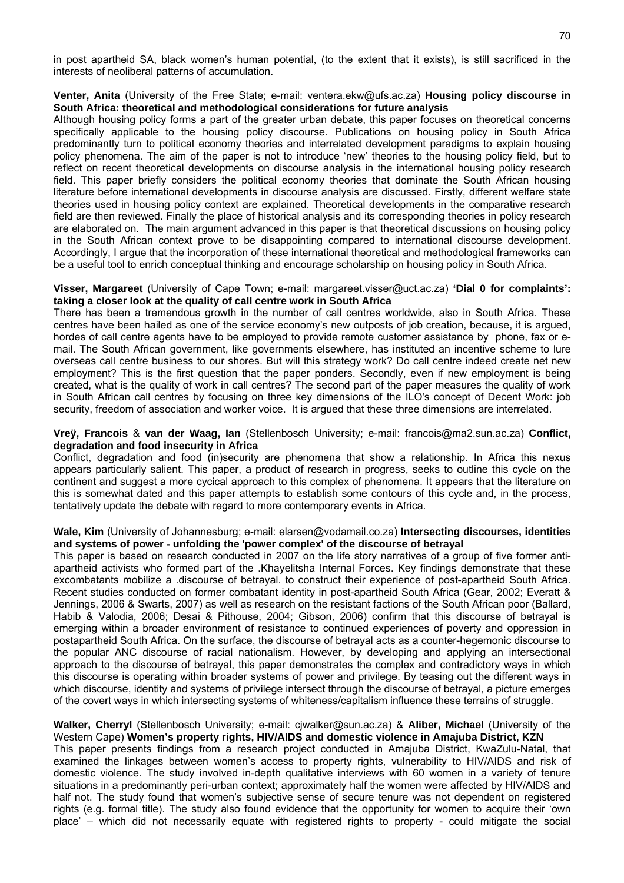in post apartheid SA, black women's human potential, (to the extent that it exists), is still sacrificed in the interests of neoliberal patterns of accumulation.

#### **Venter, Anita** (University of the Free State; e-mail: ventera.ekw@ufs.ac.za) **Housing policy discourse in South Africa: theoretical and methodological considerations for future analysis**

Although housing policy forms a part of the greater urban debate, this paper focuses on theoretical concerns specifically applicable to the housing policy discourse. Publications on housing policy in South Africa predominantly turn to political economy theories and interrelated development paradigms to explain housing policy phenomena. The aim of the paper is not to introduce 'new' theories to the housing policy field, but to reflect on recent theoretical developments on discourse analysis in the international housing policy research field. This paper briefly considers the political economy theories that dominate the South African housing literature before international developments in discourse analysis are discussed. Firstly, different welfare state theories used in housing policy context are explained. Theoretical developments in the comparative research field are then reviewed. Finally the place of historical analysis and its corresponding theories in policy research are elaborated on. The main argument advanced in this paper is that theoretical discussions on housing policy in the South African context prove to be disappointing compared to international discourse development. Accordingly, I argue that the incorporation of these international theoretical and methodological frameworks can be a useful tool to enrich conceptual thinking and encourage scholarship on housing policy in South Africa.

#### **Visser, Margareet** (University of Cape Town; e-mail: margareet.visser@uct.ac.za) **'Dial 0 for complaints': taking a closer look at the quality of call centre work in South Africa**

There has been a tremendous growth in the number of call centres worldwide, also in South Africa. These centres have been hailed as one of the service economy's new outposts of job creation, because, it is argued, hordes of call centre agents have to be employed to provide remote customer assistance by phone, fax or email. The South African government, like governments elsewhere, has instituted an incentive scheme to lure overseas call centre business to our shores. But will this strategy work? Do call centre indeed create net new employment? This is the first question that the paper ponders. Secondly, even if new employment is being created, what is the quality of work in call centres? The second part of the paper measures the quality of work in South African call centres by focusing on three key dimensions of the ILO's concept of Decent Work: job security, freedom of association and worker voice. It is argued that these three dimensions are interrelated.

#### **Vreÿ, Francois** & **van der Waag, Ian** (Stellenbosch University; e-mail: francois@ma2.sun.ac.za) **Conflict, degradation and food insecurity in Africa**

Conflict, degradation and food (in)security are phenomena that show a relationship. In Africa this nexus appears particularly salient. This paper, a product of research in progress, seeks to outline this cycle on the continent and suggest a more cycical approach to this complex of phenomena. It appears that the literature on this is somewhat dated and this paper attempts to establish some contours of this cycle and, in the process, tentatively update the debate with regard to more contemporary events in Africa.

#### **Wale, Kim** (University of Johannesburg; e-mail: elarsen@vodamail.co.za) **Intersecting discourses, identities and systems of power - unfolding the 'power complex' of the discourse of betrayal**

This paper is based on research conducted in 2007 on the life story narratives of a group of five former antiapartheid activists who formed part of the .Khayelitsha Internal Forces. Key findings demonstrate that these excombatants mobilize a .discourse of betrayal. to construct their experience of post-apartheid South Africa. Recent studies conducted on former combatant identity in post-apartheid South Africa (Gear, 2002; Everatt & Jennings, 2006 & Swarts, 2007) as well as research on the resistant factions of the South African poor (Ballard, Habib & Valodia, 2006; Desai & Pithouse, 2004; Gibson, 2006) confirm that this discourse of betrayal is emerging within a broader environment of resistance to continued experiences of poverty and oppression in postapartheid South Africa. On the surface, the discourse of betrayal acts as a counter-hegemonic discourse to the popular ANC discourse of racial nationalism. However, by developing and applying an intersectional approach to the discourse of betrayal, this paper demonstrates the complex and contradictory ways in which this discourse is operating within broader systems of power and privilege. By teasing out the different ways in which discourse, identity and systems of privilege intersect through the discourse of betrayal, a picture emerges of the covert ways in which intersecting systems of whiteness/capitalism influence these terrains of struggle.

#### **Walker, Cherryl** (Stellenbosch University; e-mail: cjwalker@sun.ac.za) & **Aliber, Michael** (University of the Western Cape) **Women's property rights, HIV/AIDS and domestic violence in Amajuba District, KZN**

This paper presents findings from a research project conducted in Amajuba District, KwaZulu-Natal, that examined the linkages between women's access to property rights, vulnerability to HIV/AIDS and risk of domestic violence. The study involved in-depth qualitative interviews with 60 women in a variety of tenure situations in a predominantly peri-urban context; approximately half the women were affected by HIV/AIDS and half not. The study found that women's subjective sense of secure tenure was not dependent on registered rights (e.g. formal title). The study also found evidence that the opportunity for women to acquire their 'own place' – which did not necessarily equate with registered rights to property - could mitigate the social